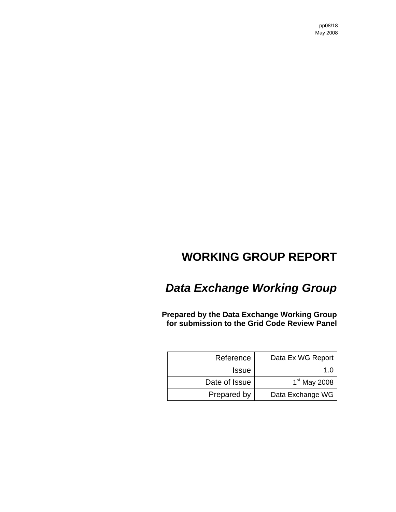# **WORKING GROUP REPORT**

# *Data Exchange Working Group*

**Prepared by the Data Exchange Working Group for submission to the Grid Code Review Panel** 

| Reference     | Data Ex WG Report |
|---------------|-------------------|
| <b>Issue</b>  | 1.0               |
| Date of Issue | $1st$ May 2008    |
| Prepared by   | Data Exchange WG  |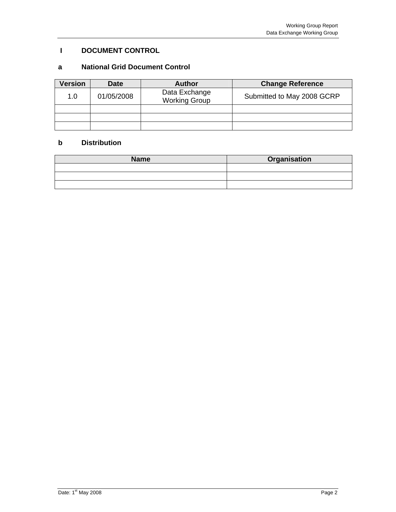# **I DOCUMENT CONTROL**

# **a National Grid Document Control**

| <b>Version</b> | <b>Date</b> | <b>Author</b>                         | <b>Change Reference</b>    |
|----------------|-------------|---------------------------------------|----------------------------|
| 1.0            | 01/05/2008  | Data Exchange<br><b>Working Group</b> | Submitted to May 2008 GCRP |
|                |             |                                       |                            |
|                |             |                                       |                            |
|                |             |                                       |                            |

## **b Distribution**

| <b>Name</b> | Organisation |
|-------------|--------------|
|             |              |
|             |              |
|             |              |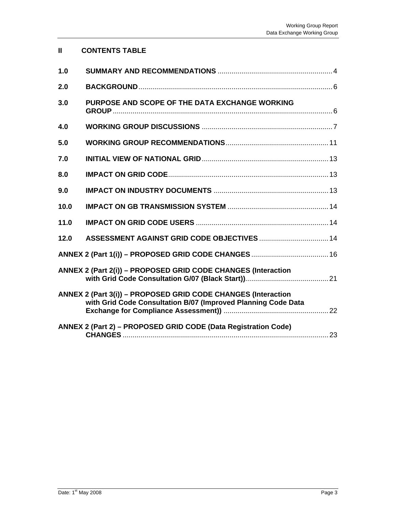# **II CONTENTS TABLE**

| 1.0  |                                                                                                                                |
|------|--------------------------------------------------------------------------------------------------------------------------------|
| 2.0  |                                                                                                                                |
| 3.0  | PURPOSE AND SCOPE OF THE DATA EXCHANGE WORKING                                                                                 |
| 4.0  |                                                                                                                                |
| 5.0  |                                                                                                                                |
| 7.0  |                                                                                                                                |
| 8.0  |                                                                                                                                |
| 9.0  |                                                                                                                                |
| 10.0 |                                                                                                                                |
| 11.0 |                                                                                                                                |
| 12.0 | ASSESSMENT AGAINST GRID CODE OBJECTIVES  14                                                                                    |
|      |                                                                                                                                |
|      | ANNEX 2 (Part 2(i)) - PROPOSED GRID CODE CHANGES (Interaction                                                                  |
|      | ANNEX 2 (Part 3(i)) - PROPOSED GRID CODE CHANGES (Interaction<br>with Grid Code Consultation B/07 (Improved Planning Code Data |
|      | ANNEX 2 (Part 2) - PROPOSED GRID CODE (Data Registration Code)                                                                 |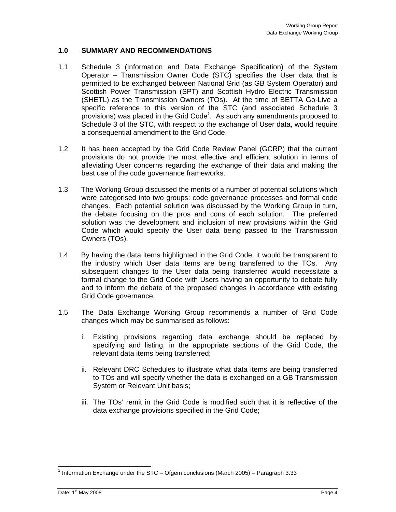## **1.0 SUMMARY AND RECOMMENDATIONS**

- 1.1 Schedule 3 (Information and Data Exchange Specification) of the System Operator – Transmission Owner Code (STC) specifies the User data that is permitted to be exchanged between National Grid (as GB System Operator) and Scottish Power Transmission (SPT) and Scottish Hydro Electric Transmission (SHETL) as the Transmission Owners (TOs). At the time of BETTA Go-Live a specific reference to this version of the STC (and associated Schedule 3 provisions) was placed in the Grid Code*<sup>1</sup>* . As such any amendments proposed to Schedule 3 of the STC, with respect to the exchange of User data, would require a consequential amendment to the Grid Code.
- 1.2 It has been accepted by the Grid Code Review Panel (GCRP) that the current provisions do not provide the most effective and efficient solution in terms of alleviating User concerns regarding the exchange of their data and making the best use of the code governance frameworks.
- 1.3 The Working Group discussed the merits of a number of potential solutions which were categorised into two groups: code governance processes and formal code changes. Each potential solution was discussed by the Working Group in turn, the debate focusing on the pros and cons of each solution. The preferred solution was the development and inclusion of new provisions within the Grid Code which would specify the User data being passed to the Transmission Owners (TOs).
- 1.4 By having the data items highlighted in the Grid Code, it would be transparent to the industry which User data items are being transferred to the TOs. Any subsequent changes to the User data being transferred would necessitate a formal change to the Grid Code with Users having an opportunity to debate fully and to inform the debate of the proposed changes in accordance with existing Grid Code governance.
- 1.5 The Data Exchange Working Group recommends a number of Grid Code changes which may be summarised as follows:
	- i. Existing provisions regarding data exchange should be replaced by specifying and listing, in the appropriate sections of the Grid Code, the relevant data items being transferred;
	- ii. Relevant DRC Schedules to illustrate what data items are being transferred to TOs and will specify whether the data is exchanged on a GB Transmission System or Relevant Unit basis;
	- iii. The TOs' remit in the Grid Code is modified such that it is reflective of the data exchange provisions specified in the Grid Code;

<sup>-</sup><sup>1</sup> Information Exchange under the STC – Ofgem conclusions (March 2005) – Paragraph 3.33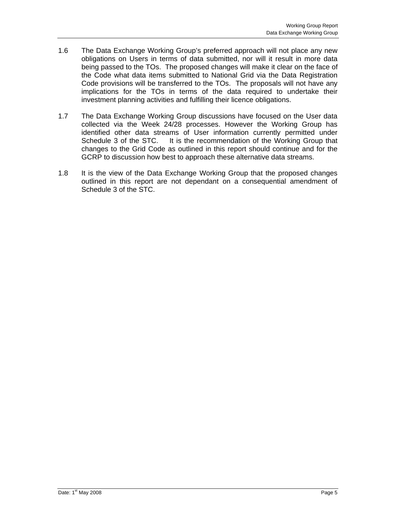- 1.6 The Data Exchange Working Group's preferred approach will not place any new obligations on Users in terms of data submitted, nor will it result in more data being passed to the TOs. The proposed changes will make it clear on the face of the Code what data items submitted to National Grid via the Data Registration Code provisions will be transferred to the TOs. The proposals will not have any implications for the TOs in terms of the data required to undertake their investment planning activities and fulfilling their licence obligations.
- 1.7 The Data Exchange Working Group discussions have focused on the User data collected via the Week 24/28 processes. However the Working Group has identified other data streams of User information currently permitted under Schedule 3 of the STC. It is the recommendation of the Working Group that changes to the Grid Code as outlined in this report should continue and for the GCRP to discussion how best to approach these alternative data streams.
- 1.8 It is the view of the Data Exchange Working Group that the proposed changes outlined in this report are not dependant on a consequential amendment of Schedule 3 of the STC.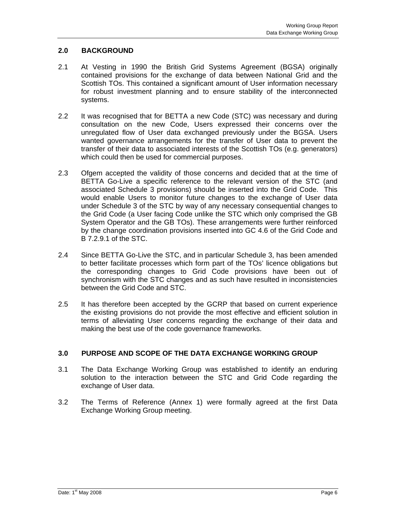## **2.0 BACKGROUND**

- 2.1 At Vesting in 1990 the British Grid Systems Agreement (BGSA) originally contained provisions for the exchange of data between National Grid and the Scottish TOs. This contained a significant amount of User information necessary for robust investment planning and to ensure stability of the interconnected systems.
- 2.2 It was recognised that for BETTA a new Code (STC) was necessary and during consultation on the new Code, Users expressed their concerns over the unregulated flow of User data exchanged previously under the BGSA. Users wanted governance arrangements for the transfer of User data to prevent the transfer of their data to associated interests of the Scottish TOs (e.g. generators) which could then be used for commercial purposes.
- 2.3 Ofgem accepted the validity of those concerns and decided that at the time of BETTA Go-Live a specific reference to the relevant version of the STC (and associated Schedule 3 provisions) should be inserted into the Grid Code. This would enable Users to monitor future changes to the exchange of User data under Schedule 3 of the STC by way of any necessary consequential changes to the Grid Code (a User facing Code unlike the STC which only comprised the GB System Operator and the GB TOs). These arrangements were further reinforced by the change coordination provisions inserted into GC 4.6 of the Grid Code and B 7.2.9.1 of the STC.
- 2.4 Since BETTA Go-Live the STC, and in particular Schedule 3, has been amended to better facilitate processes which form part of the TOs' licence obligations but the corresponding changes to Grid Code provisions have been out of synchronism with the STC changes and as such have resulted in inconsistencies between the Grid Code and STC.
- 2.5 It has therefore been accepted by the GCRP that based on current experience the existing provisions do not provide the most effective and efficient solution in terms of alleviating User concerns regarding the exchange of their data and making the best use of the code governance frameworks.

### **3.0 PURPOSE AND SCOPE OF THE DATA EXCHANGE WORKING GROUP**

- 3.1 The Data Exchange Working Group was established to identify an enduring solution to the interaction between the STC and Grid Code regarding the exchange of User data.
- 3.2 The Terms of Reference (Annex 1) were formally agreed at the first Data Exchange Working Group meeting.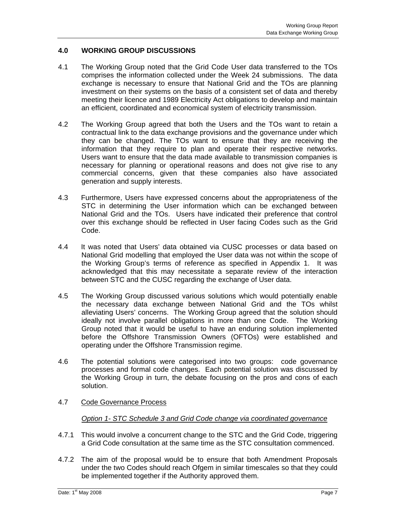## **4.0 WORKING GROUP DISCUSSIONS**

- 4.1 The Working Group noted that the Grid Code User data transferred to the TOs comprises the information collected under the Week 24 submissions. The data exchange is necessary to ensure that National Grid and the TOs are planning investment on their systems on the basis of a consistent set of data and thereby meeting their licence and 1989 Electricity Act obligations to develop and maintain an efficient, coordinated and economical system of electricity transmission.
- 4.2 The Working Group agreed that both the Users and the TOs want to retain a contractual link to the data exchange provisions and the governance under which they can be changed. The TOs want to ensure that they are receiving the information that they require to plan and operate their respective networks. Users want to ensure that the data made available to transmission companies is necessary for planning or operational reasons and does not give rise to any commercial concerns, given that these companies also have associated generation and supply interests.
- 4.3 Furthermore, Users have expressed concerns about the appropriateness of the STC in determining the User information which can be exchanged between National Grid and the TOs. Users have indicated their preference that control over this exchange should be reflected in User facing Codes such as the Grid Code.
- 4.4 It was noted that Users' data obtained via CUSC processes or data based on National Grid modelling that employed the User data was not within the scope of the Working Group's terms of reference as specified in Appendix 1. It was acknowledged that this may necessitate a separate review of the interaction between STC and the CUSC regarding the exchange of User data.
- 4.5 The Working Group discussed various solutions which would potentially enable the necessary data exchange between National Grid and the TOs whilst alleviating Users' concerns. The Working Group agreed that the solution should ideally not involve parallel obligations in more than one Code. The Working Group noted that it would be useful to have an enduring solution implemented before the Offshore Transmission Owners (OFTOs) were established and operating under the Offshore Transmission regime.
- 4.6 The potential solutions were categorised into two groups: code governance processes and formal code changes. Each potential solution was discussed by the Working Group in turn, the debate focusing on the pros and cons of each solution.
- 4.7 Code Governance Process

#### *Option 1- STC Schedule 3 and Grid Code change via coordinated governance*

- 4.7.1 This would involve a concurrent change to the STC and the Grid Code, triggering a Grid Code consultation at the same time as the STC consultation commenced.
- 4.7.2 The aim of the proposal would be to ensure that both Amendment Proposals under the two Codes should reach Ofgem in similar timescales so that they could be implemented together if the Authority approved them.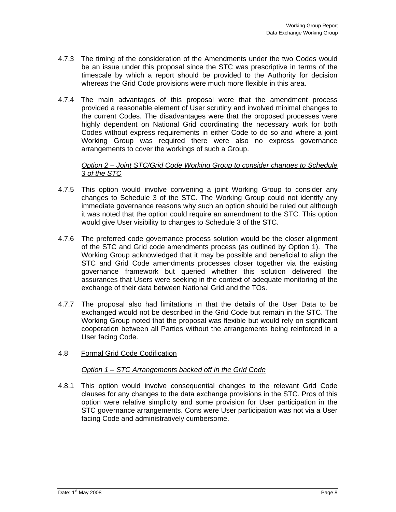- 4.7.3 The timing of the consideration of the Amendments under the two Codes would be an issue under this proposal since the STC was prescriptive in terms of the timescale by which a report should be provided to the Authority for decision whereas the Grid Code provisions were much more flexible in this area.
- 4.7.4 The main advantages of this proposal were that the amendment process provided a reasonable element of User scrutiny and involved minimal changes to the current Codes. The disadvantages were that the proposed processes were highly dependent on National Grid coordinating the necessary work for both Codes without express requirements in either Code to do so and where a joint Working Group was required there were also no express governance arrangements to cover the workings of such a Group.

#### *Option 2 – Joint STC/Grid Code Working Group to consider changes to Schedule 3 of the STC*

- 4.7.5 This option would involve convening a joint Working Group to consider any changes to Schedule 3 of the STC. The Working Group could not identify any immediate governance reasons why such an option should be ruled out although it was noted that the option could require an amendment to the STC. This option would give User visibility to changes to Schedule 3 of the STC.
- 4.7.6 The preferred code governance process solution would be the closer alignment of the STC and Grid code amendments process (as outlined by Option 1). The Working Group acknowledged that it may be possible and beneficial to align the STC and Grid Code amendments processes closer together via the existing governance framework but queried whether this solution delivered the assurances that Users were seeking in the context of adequate monitoring of the exchange of their data between National Grid and the TOs.
- 4.7.7 The proposal also had limitations in that the details of the User Data to be exchanged would not be described in the Grid Code but remain in the STC. The Working Group noted that the proposal was flexible but would rely on significant cooperation between all Parties without the arrangements being reinforced in a User facing Code.
- 4.8 Formal Grid Code Codification

#### *Option 1 – STC Arrangements backed off in the Grid Code*

4.8.1 This option would involve consequential changes to the relevant Grid Code clauses for any changes to the data exchange provisions in the STC. Pros of this option were relative simplicity and some provision for User participation in the STC governance arrangements. Cons were User participation was not via a User facing Code and administratively cumbersome.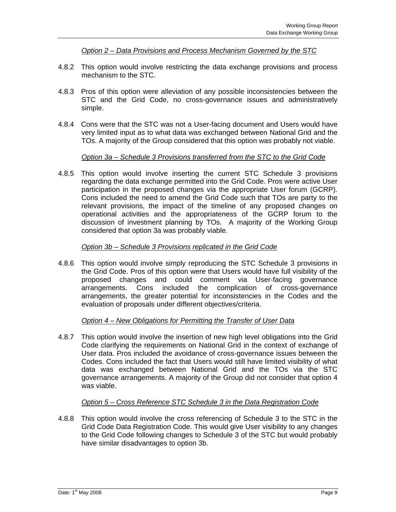*Option 2 – Data Provisions and Process Mechanism Governed by the STC* 

- 4.8.2 This option would involve restricting the data exchange provisions and process mechanism to the STC.
- 4.8.3 Pros of this option were alleviation of any possible inconsistencies between the STC and the Grid Code, no cross-governance issues and administratively simple.
- 4.8.4 Cons were that the STC was not a User-facing document and Users would have very limited input as to what data was exchanged between National Grid and the TOs. A majority of the Group considered that this option was probably not viable.

#### *Option 3a – Schedule 3 Provisions transferred from the STC to the Grid Code*

4.8.5 This option would involve inserting the current STC Schedule 3 provisions regarding the data exchange permitted into the Grid Code. Pros were active User participation in the proposed changes via the appropriate User forum (GCRP). Cons included the need to amend the Grid Code such that TOs are party to the relevant provisions, the impact of the timeline of any proposed changes on operational activities and the appropriateness of the GCRP forum to the discussion of investment planning by TOs. A majority of the Working Group considered that option 3a was probably viable.

#### *Option 3b – Schedule 3 Provisions replicated in the Grid Code*

4.8.6 This option would involve simply reproducing the STC Schedule 3 provisions in the Grid Code. Pros of this option were that Users would have full visibility of the proposed changes and could comment via User-facing governance arrangements. Cons included the complication of cross-governance arrangements, the greater potential for inconsistencies in the Codes and the evaluation of proposals under different objectives/criteria.

#### *Option 4 – New Obligations for Permitting the Transfer of User Data*

4.8.7 This option would involve the insertion of new high level obligations into the Grid Code clarifying the requirements on National Grid in the context of exchange of User data. Pros included the avoidance of cross-governance issues between the Codes. Cons included the fact that Users would still have limited visibility of what data was exchanged between National Grid and the TOs via the STC governance arrangements. A majority of the Group did not consider that option 4 was viable.

## *Option 5 – Cross Reference STC Schedule 3 in the Data Registration Code*

4.8.8 This option would involve the cross referencing of Schedule 3 to the STC in the Grid Code Data Registration Code. This would give User visibility to any changes to the Grid Code following changes to Schedule 3 of the STC but would probably have similar disadvantages to option 3b.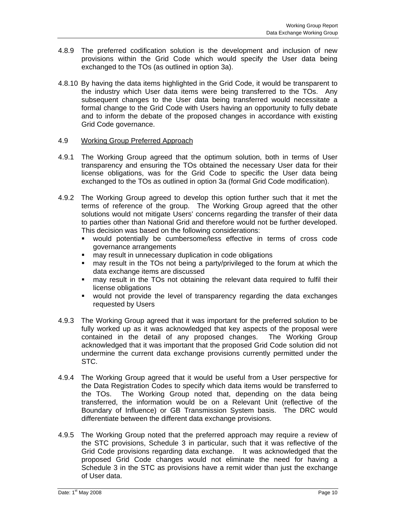- 4.8.9 The preferred codification solution is the development and inclusion of new provisions within the Grid Code which would specify the User data being exchanged to the TOs (as outlined in option 3a).
- 4.8.10 By having the data items highlighted in the Grid Code, it would be transparent to the industry which User data items were being transferred to the TOs. Any subsequent changes to the User data being transferred would necessitate a formal change to the Grid Code with Users having an opportunity to fully debate and to inform the debate of the proposed changes in accordance with existing Grid Code governance.

#### 4.9 Working Group Preferred Approach

- 4.9.1 The Working Group agreed that the optimum solution, both in terms of User transparency and ensuring the TOs obtained the necessary User data for their license obligations, was for the Grid Code to specific the User data being exchanged to the TOs as outlined in option 3a (formal Grid Code modification).
- 4.9.2 The Working Group agreed to develop this option further such that it met the terms of reference of the group. The Working Group agreed that the other solutions would not mitigate Users' concerns regarding the transfer of their data to parties other than National Grid and therefore would not be further developed. This decision was based on the following considerations:
	- would potentially be cumbersome/less effective in terms of cross code governance arrangements
	- **nay result in unnecessary duplication in code obligations**
	- may result in the TOs not being a party/privileged to the forum at which the data exchange items are discussed
	- may result in the TOs not obtaining the relevant data required to fulfil their license obligations
	- would not provide the level of transparency regarding the data exchanges requested by Users
- 4.9.3 The Working Group agreed that it was important for the preferred solution to be fully worked up as it was acknowledged that key aspects of the proposal were contained in the detail of any proposed changes. The Working Group acknowledged that it was important that the proposed Grid Code solution did not undermine the current data exchange provisions currently permitted under the STC.
- 4.9.4 The Working Group agreed that it would be useful from a User perspective for the Data Registration Codes to specify which data items would be transferred to the TOs. The Working Group noted that, depending on the data being transferred, the information would be on a Relevant Unit (reflective of the Boundary of Influence) or GB Transmission System basis. The DRC would differentiate between the different data exchange provisions.
- 4.9.5 The Working Group noted that the preferred approach may require a review of the STC provisions, Schedule 3 in particular, such that it was reflective of the Grid Code provisions regarding data exchange. It was acknowledged that the proposed Grid Code changes would not eliminate the need for having a Schedule 3 in the STC as provisions have a remit wider than just the exchange of User data.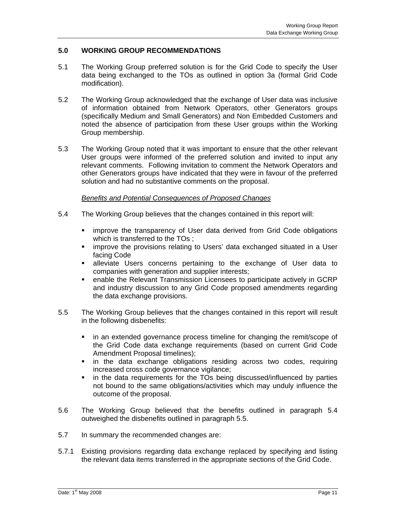### **5.0 WORKING GROUP RECOMMENDATIONS**

- 5.1 The Working Group preferred solution is for the Grid Code to specify the User data being exchanged to the TOs as outlined in option 3a (formal Grid Code modification).
- 5.2 The Working Group acknowledged that the exchange of User data was inclusive of information obtained from Network Operators, other Generators groups (specifically Medium and Small Generators) and Non Embedded Customers and noted the absence of participation from these User groups within the Working Group membership.
- 5.3 The Working Group noted that it was important to ensure that the other relevant User groups were informed of the preferred solution and invited to input any relevant comments. Following invitation to comment the Network Operators and other Generators groups have indicated that they were in favour of the preferred solution and had no substantive comments on the proposal.

#### *Benefits and Potential Consequences of Proposed Changes*

- 5.4 The Working Group believes that the changes contained in this report will:
	- **EXED** improve the transparency of User data derived from Grid Code obligations which is transferred to the TOs ;
	- improve the provisions relating to Users' data exchanged situated in a User facing Code
	- **alleviate Users concerns pertaining to the exchange of User data to** companies with generation and supplier interests;
	- enable the Relevant Transmission Licensees to participate actively in GCRP and industry discussion to any Grid Code proposed amendments regarding the data exchange provisions.
- 5.5 The Working Group believes that the changes contained in this report will result in the following disbenefits:
	- in an extended governance process timeline for changing the remit/scope of the Grid Code data exchange requirements (based on current Grid Code Amendment Proposal timelines);
	- in the data exchange obligations residing across two codes, requiring increased cross code governance vigilance;
	- in the data requirements for the TOs being discussed/influenced by parties not bound to the same obligations/activities which may unduly influence the outcome of the proposal.
- 5.6 The Working Group believed that the benefits outlined in paragraph 5.4 outweighed the disbenefits outlined in paragraph 5.5.
- 5.7 In summary the recommended changes are:
- 5.7.1 Existing provisions regarding data exchange replaced by specifying and listing the relevant data items transferred in the appropriate sections of the Grid Code.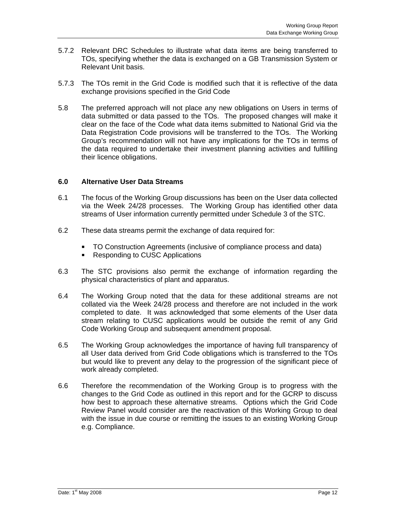- 5.7.2 Relevant DRC Schedules to illustrate what data items are being transferred to TOs, specifying whether the data is exchanged on a GB Transmission System or Relevant Unit basis.
- 5.7.3 The TOs remit in the Grid Code is modified such that it is reflective of the data exchange provisions specified in the Grid Code
- 5.8 The preferred approach will not place any new obligations on Users in terms of data submitted or data passed to the TOs. The proposed changes will make it clear on the face of the Code what data items submitted to National Grid via the Data Registration Code provisions will be transferred to the TOs. The Working Group's recommendation will not have any implications for the TOs in terms of the data required to undertake their investment planning activities and fulfilling their licence obligations.

#### **6.0 Alternative User Data Streams**

- 6.1 The focus of the Working Group discussions has been on the User data collected via the Week 24/28 processes. The Working Group has identified other data streams of User information currently permitted under Schedule 3 of the STC.
- 6.2 These data streams permit the exchange of data required for:
	- TO Construction Agreements (inclusive of compliance process and data)
	- Responding to CUSC Applications
- 6.3 The STC provisions also permit the exchange of information regarding the physical characteristics of plant and apparatus.
- 6.4 The Working Group noted that the data for these additional streams are not collated via the Week 24/28 process and therefore are not included in the work completed to date. It was acknowledged that some elements of the User data stream relating to CUSC applications would be outside the remit of any Grid Code Working Group and subsequent amendment proposal.
- 6.5 The Working Group acknowledges the importance of having full transparency of all User data derived from Grid Code obligations which is transferred to the TOs but would like to prevent any delay to the progression of the significant piece of work already completed.
- 6.6 Therefore the recommendation of the Working Group is to progress with the changes to the Grid Code as outlined in this report and for the GCRP to discuss how best to approach these alternative streams. Options which the Grid Code Review Panel would consider are the reactivation of this Working Group to deal with the issue in due course or remitting the issues to an existing Working Group e.g. Compliance.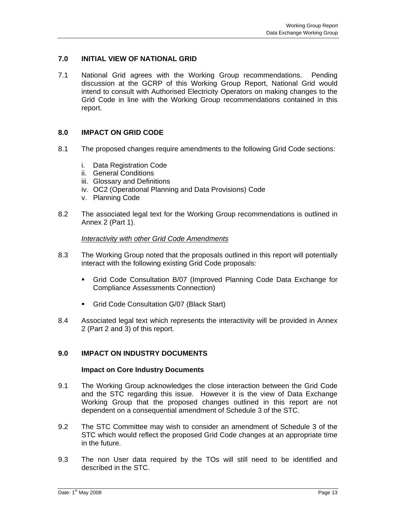### **7.0 INITIAL VIEW OF NATIONAL GRID**

7.1 National Grid agrees with the Working Group recommendations. Pending discussion at the GCRP of this Working Group Report, National Grid would intend to consult with Authorised Electricity Operators on making changes to the Grid Code in line with the Working Group recommendations contained in this report.

#### **8.0 IMPACT ON GRID CODE**

- 8.1 The proposed changes require amendments to the following Grid Code sections:
	- i. Data Registration Code
	- ii. General Conditions
	- iii. Glossary and Definitions
	- iv. OC2 (Operational Planning and Data Provisions) Code
	- v. Planning Code
- 8.2 The associated legal text for the Working Group recommendations is outlined in Annex 2 (Part 1).

#### *Interactivity with other Grid Code Amendments*

- 8.3 The Working Group noted that the proposals outlined in this report will potentially interact with the following existing Grid Code proposals:
	- Grid Code Consultation B/07 (Improved Planning Code Data Exchange for Compliance Assessments Connection)
	- Grid Code Consultation G/07 (Black Start)
- 8.4 Associated legal text which represents the interactivity will be provided in Annex 2 (Part 2 and 3) of this report.

#### **9.0 IMPACT ON INDUSTRY DOCUMENTS**

#### **Impact on Core Industry Documents**

- 9.1 The Working Group acknowledges the close interaction between the Grid Code and the STC regarding this issue. However it is the view of Data Exchange Working Group that the proposed changes outlined in this report are not dependent on a consequential amendment of Schedule 3 of the STC.
- 9.2 The STC Committee may wish to consider an amendment of Schedule 3 of the STC which would reflect the proposed Grid Code changes at an appropriate time in the future.
- 9.3 The non User data required by the TOs will still need to be identified and described in the STC.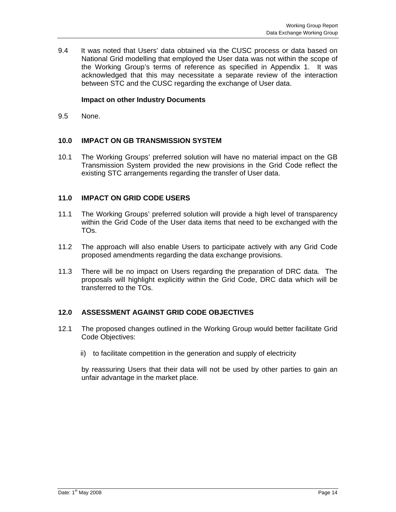9.4 It was noted that Users' data obtained via the CUSC process or data based on National Grid modelling that employed the User data was not within the scope of the Working Group's terms of reference as specified in Appendix 1. It was acknowledged that this may necessitate a separate review of the interaction between STC and the CUSC regarding the exchange of User data.

### **Impact on other Industry Documents**

9.5 None.

## **10.0 IMPACT ON GB TRANSMISSION SYSTEM**

10.1 The Working Groups' preferred solution will have no material impact on the GB Transmission System provided the new provisions in the Grid Code reflect the existing STC arrangements regarding the transfer of User data.

## **11.0 IMPACT ON GRID CODE USERS**

- 11.1 The Working Groups' preferred solution will provide a high level of transparency within the Grid Code of the User data items that need to be exchanged with the TOs.
- 11.2 The approach will also enable Users to participate actively with any Grid Code proposed amendments regarding the data exchange provisions.
- 11.3 There will be no impact on Users regarding the preparation of DRC data. The proposals will highlight explicitly within the Grid Code, DRC data which will be transferred to the TOs.

#### **12.0 ASSESSMENT AGAINST GRID CODE OBJECTIVES**

- 12.1 The proposed changes outlined in the Working Group would better facilitate Grid Code Objectives:
	- ii) to facilitate competition in the generation and supply of electricity

by reassuring Users that their data will not be used by other parties to gain an unfair advantage in the market place.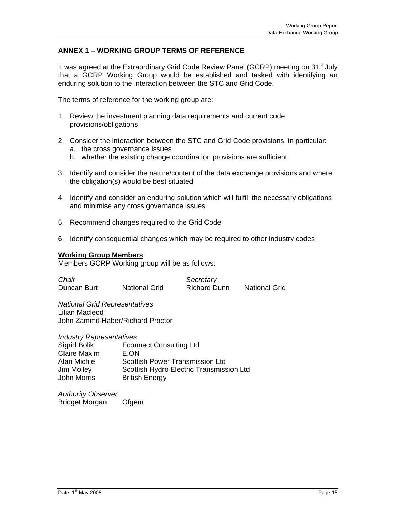## **ANNEX 1 – WORKING GROUP TERMS OF REFERENCE**

It was agreed at the Extraordinary Grid Code Review Panel (GCRP) meeting on 31<sup>st</sup> July that a GCRP Working Group would be established and tasked with identifying an enduring solution to the interaction between the STC and Grid Code.

The terms of reference for the working group are:

- 1. Review the investment planning data requirements and current code provisions/obligations
- 2. Consider the interaction between the STC and Grid Code provisions, in particular:
	- a. the cross governance issues
	- b. whether the existing change coordination provisions are sufficient
- 3. Identify and consider the nature/content of the data exchange provisions and where the obligation(s) would be best situated
- 4. Identify and consider an enduring solution which will fulfill the necessary obligations and minimise any cross governance issues
- 5. Recommend changes required to the Grid Code
- 6. Identify consequential changes which may be required to other industry codes

#### **Working Group Members**

Members GCRP Working group will be as follows:

**Chair** Secretary Duncan Burt National Grid Richard Dunn National Grid

*National Grid Representatives*  Lilian Macleod John Zammit-Haber/Richard Proctor

*Industry Representatives* 

| Sigrid Bolik        | <b>Econnect Consulting Ltd</b>           |
|---------------------|------------------------------------------|
| <b>Claire Maxim</b> | E.ON                                     |
| Alan Michie         | <b>Scottish Power Transmission Ltd</b>   |
| Jim Molley          | Scottish Hydro Electric Transmission Ltd |
| John Morris         | <b>British Energy</b>                    |
|                     |                                          |

*Authority Observer*  Bridget Morgan Ofgem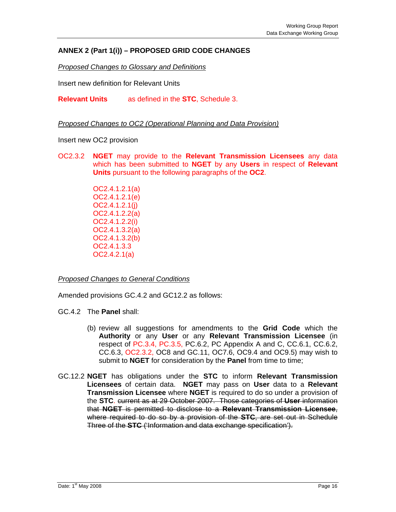## **ANNEX 2 (Part 1(i)) – PROPOSED GRID CODE CHANGES**

*Proposed Changes to Glossary and Definitions*

Insert new definition for Relevant Units

**Relevant Units** as defined in the **STC**, Schedule 3.

*Proposed Changes to OC2 (Operational Planning and Data Provision)*

Insert new OC2 provision

OC2.3.2 **NGET** may provide to the **Relevant Transmission Licensees** any data which has been submitted to **NGET** by any **Users** in respect of **Relevant Units** pursuant to the following paragraphs of the **OC2**.

> OC2.4.1.2.1(a) OC2.4.1.2.1(e) OC2.4.1.2.1(j) OC2.4.1.2.2(a) OC2.4.1.2.2(i) OC2.4.1.3.2(a) OC2.4.1.3.2(b) OC2.4.1.3.3 OC2.4.2.1(a)

*Proposed Changes to General Conditions*

Amended provisions GC.4.2 and GC12.2 as follows:

GC.4.2 The **Panel** shall:

- (b) review all suggestions for amendments to the **Grid Code** which the **Authority** or any **User** or any **Relevant Transmission Licensee** (in respect of PC.3.4, PC.3.5, PC.6.2, PC Appendix A and C, CC.6.1, CC.6.2, CC.6.3, OC2.3.2, OC8 and GC.11, OC7.6, OC9.4 and OC9.5) may wish to submit to **NGET** for consideration by the **Panel** from time to time;
- GC.12.2 **NGET** has obligations under the **STC** to inform **Relevant Transmission Licensees** of certain data. **NGET** may pass on **User** data to a **Relevant Transmission Licensee** where **NGET** is required to do so under a provision of the **STC**. current as at 29 October 2007. Those categories of **User** information that **NGET** is permitted to disclose to a **Relevant Transmission Licensee**, where required to do so by a provision of the **STC**, are set out in Schedule Three of the **STC** ('Information and data exchange specification').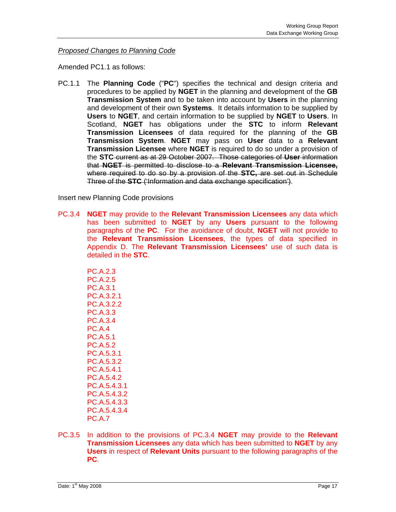*Proposed Changes to Planning Code*

Amended PC1.1 as follows:

PC.1.1 The **Planning Code** ("**PC**") specifies the technical and design criteria and procedures to be applied by **NGET** in the planning and development of the **GB Transmission System** and to be taken into account by **Users** in the planning and development of their own **Systems**. It details information to be supplied by **Users** to **NGET**, and certain information to be supplied by **NGET** to **Users**. In Scotland, **NGET** has obligations under the **STC** to inform **Relevant Transmission Licensees** of data required for the planning of the **GB Transmission System**. **NGET** may pass on **User** data to a **Relevant Transmission Licensee** where **NGET** is required to do so under a provision of the **STC** current as at 29 October 2007. Those categories of **User** information that **NGET** is permitted to disclose to a **Relevant Transmission Licensee,**  where required to do so by a provision of the **STC,** are set out in Schedule Three of the **STC** ('Information and data exchange specification').

Insert new Planning Code provisions

PC.3.4 **NGET** may provide to the **Relevant Transmission Licensees** any data which has been submitted to **NGET** by any **Users** pursuant to the following paragraphs of the **PC**. For the avoidance of doubt, **NGET** will not provide to the **Relevant Transmission Licensees**, the types of data specified in Appendix D. The **Relevant Transmission Licensees'** use of such data is detailed in the **STC**.

> PC.A.2.3 PC.A.2.5 PC.A.3.1 PC.A.3.2.1 PC.A.3.2.2 PC.A.3.3 PC.A.3.4 PC.A.4 PC.A.5.1 PC.A.5.2 PC.A.5.3.1 PC.A.5.3.2 PC.A.5.4.1 PC.A.5.4.2 PC.A.5.4.3.1 PC.A.5.4.3.2 PC.A.5.4.3.3 PC.A.5.4.3.4 PC.A.7

PC.3.5 In addition to the provisions of PC.3.4 **NGET** may provide to the **Relevant Transmission Licensees** any data which has been submitted to **NGET** by any **Users** in respect of **Relevant Units** pursuant to the following paragraphs of the **PC**.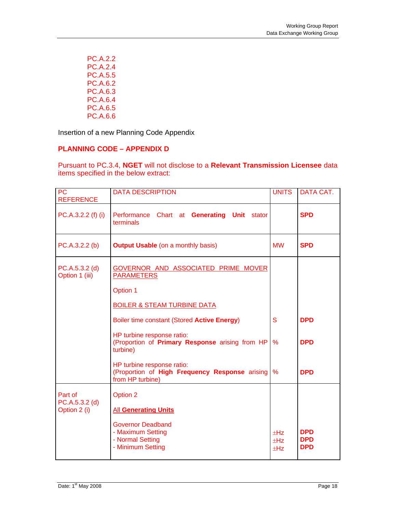PC.A.2.2 PC.A.2.4 PC.A.5.5 PC.A.6.2 PC.A.6.3 PC.A.6.4 PC.A.6.5 PC.A.6.6

Insertion of a new Planning Code Appendix

# **PLANNING CODE – APPENDIX D**

Pursuant to PC.3.4, **NGET** will not disclose to a **Relevant Transmission Licensee** data items specified in the below extract:

| <b>PC</b><br><b>REFERENCE</b>               | <b>DATA DESCRIPTION</b>                                                                                                           | <b>UNITS</b>           | DATA CAT.                              |
|---------------------------------------------|-----------------------------------------------------------------------------------------------------------------------------------|------------------------|----------------------------------------|
| $PC.A.3.2.2(f)$ (i)                         | Performance Chart at Generating Unit stator<br>terminals                                                                          |                        | <b>SPD</b>                             |
| PC.A.3.2.2 (b)                              | <b>Output Usable</b> (on a monthly basis)                                                                                         | <b>MW</b>              | <b>SPD</b>                             |
| $PC.A.5.3.2$ (d)<br>Option 1 (iii)          | GOVERNOR AND ASSOCIATED PRIME MOVER<br><b>PARAMETERS</b><br><b>Option 1</b><br><b>BOILER &amp; STEAM TURBINE DATA</b>             |                        |                                        |
|                                             | Boiler time constant (Stored Active Energy)                                                                                       | S                      | <b>DPD</b>                             |
|                                             | HP turbine response ratio:<br>(Proportion of Primary Response arising from HP<br>turbine)                                         | $\frac{9}{6}$          | <b>DPD</b>                             |
|                                             | HP turbine response ratio:<br>(Proportion of High Frequency Response arising<br>from HP turbine)                                  | $\%$                   | <b>DPD</b>                             |
| Part of<br>$PC.A.5.3.2$ (d)<br>Option 2 (i) | Option 2<br><b>All Generating Units</b><br><b>Governor Deadband</b><br>- Maximum Setting<br>- Normal Setting<br>- Minimum Setting | ±Hz<br>$\pm Hz$<br>±Hz | <b>DPD</b><br><b>DPD</b><br><b>DPD</b> |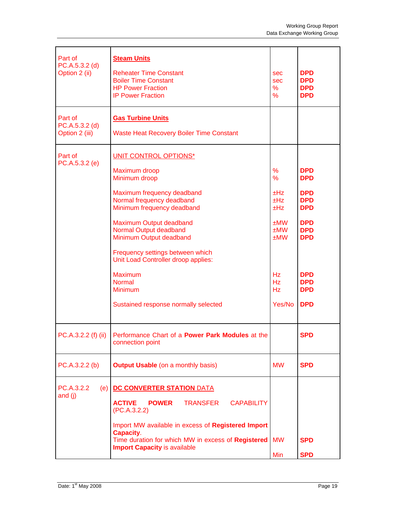| Part of<br>PC.A.5.3.2 (d)<br>Option 2 (ii)    | <b>Steam Units</b><br><b>Reheater Time Constant</b><br><b>Boiler Time Constant</b><br><b>HP Power Fraction</b><br><b>IP Power Fraction</b>                                                                                                                                                                                                                                                               | sec<br><b>sec</b><br>%<br>$\frac{9}{6}$                                                                                   | <b>DPD</b><br><b>DPD</b><br><b>DPD</b><br><b>DPD</b>                                                                                                                 |
|-----------------------------------------------|----------------------------------------------------------------------------------------------------------------------------------------------------------------------------------------------------------------------------------------------------------------------------------------------------------------------------------------------------------------------------------------------------------|---------------------------------------------------------------------------------------------------------------------------|----------------------------------------------------------------------------------------------------------------------------------------------------------------------|
| Part of<br>$PC.A.5.3.2$ (d)<br>Option 2 (iii) | <b>Gas Turbine Units</b><br><b>Waste Heat Recovery Boiler Time Constant</b>                                                                                                                                                                                                                                                                                                                              |                                                                                                                           |                                                                                                                                                                      |
| Part of<br>PC.A.5.3.2 (e)                     | UNIT CONTROL OPTIONS*<br>Maximum droop<br>Minimum droop<br>Maximum frequency deadband<br>Normal frequency deadband<br>Minimum frequency deadband<br>Maximum Output deadband<br>Normal Output deadband<br>Minimum Output deadband<br>Frequency settings between which<br>Unit Load Controller droop applies:<br><b>Maximum</b><br><b>Normal</b><br><b>Minimum</b><br>Sustained response normally selected | $\frac{9}{6}$<br>$\frac{9}{6}$<br>±Hz<br>±Hz<br>±Hz<br>±MW<br>±MW<br>±MW<br><b>Hz</b><br><b>Hz</b><br><b>Hz</b><br>Yes/No | <b>DPD</b><br><b>DPD</b><br><b>DPD</b><br><b>DPD</b><br><b>DPD</b><br><b>DPD</b><br><b>DPD</b><br><b>DPD</b><br><b>DPD</b><br><b>DPD</b><br><b>DPD</b><br><b>DPD</b> |
|                                               | PC.A.3.2.2 (f) (ii) Performance Chart of a Power Park Modules at the<br>connection point                                                                                                                                                                                                                                                                                                                 |                                                                                                                           | <b>SPD</b>                                                                                                                                                           |
| PC.A.3.2.2 (b)                                | <b>Output Usable</b> (on a monthly basis)                                                                                                                                                                                                                                                                                                                                                                | <b>MW</b>                                                                                                                 | <b>SPD</b>                                                                                                                                                           |
| PC.A.3.2.2<br>(e)<br>and $(i)$                | <b>DC CONVERTER STATION DATA</b><br><b>ACTIVE</b><br><b>TRANSFER</b><br><b>CAPABILITY</b><br><b>POWER</b><br>(PC.A.3.2.2)<br>Import MW available in excess of Registered Import<br>Capacity.<br>Time duration for which MW in excess of Registered<br><b>Import Capacity is available</b>                                                                                                                | <b>MW</b><br>Min                                                                                                          | <b>SPD</b><br><b>SPD</b>                                                                                                                                             |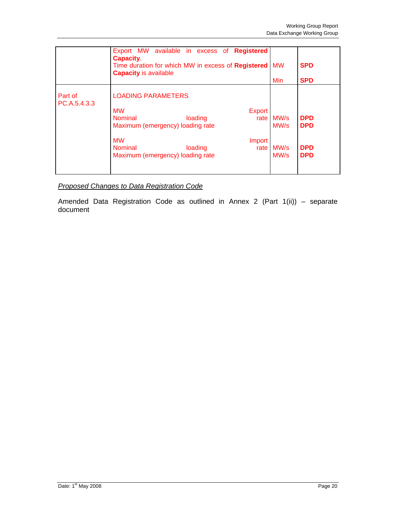|                         | Export MW available in excess of<br><b>Registered</b><br><b>Capacity.</b><br>Time duration for which MW in excess of Registered<br><b>Capacity is available</b>                                                           | <b>MW</b>                    | <b>SPD</b>                                           |
|-------------------------|---------------------------------------------------------------------------------------------------------------------------------------------------------------------------------------------------------------------------|------------------------------|------------------------------------------------------|
|                         |                                                                                                                                                                                                                           | Min                          | <b>SPD</b>                                           |
| Part of<br>PC.A.5.4.3.3 | <b>LOADING PARAMETERS</b><br><b>MW</b><br>Export<br><b>Nominal</b><br>loading<br>rate<br>Maximum (emergency) loading rate<br><b>MW</b><br>Import<br><b>Nominal</b><br>loading<br>rate<br>Maximum (emergency) loading rate | MW/s<br>MW/s<br>MW/s<br>MW/s | <b>DPD</b><br><b>DPD</b><br><b>DPD</b><br><b>DPD</b> |

*Proposed Changes to Data Registration Code*

Amended Data Registration Code as outlined in Annex 2 (Part 1(ii)) – separate document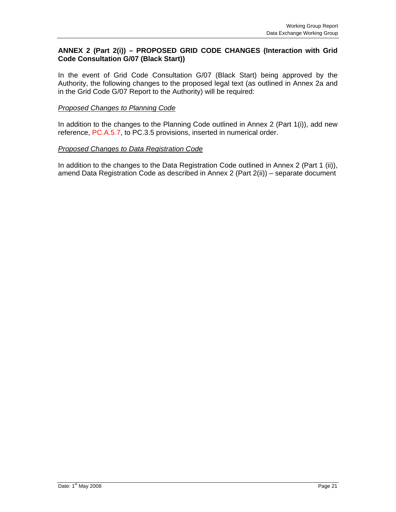### **ANNEX 2 (Part 2(i)) – PROPOSED GRID CODE CHANGES (Interaction with Grid Code Consultation G/07 (Black Start))**

In the event of Grid Code Consultation G/07 (Black Start) being approved by the Authority, the following changes to the proposed legal text (as outlined in Annex 2a and in the Grid Code G/07 Report to the Authority) will be required:

#### *Proposed Changes to Planning Code*

In addition to the changes to the Planning Code outlined in Annex 2 (Part 1(i)), add new reference, PC.A.5.7, to PC.3.5 provisions, inserted in numerical order.

#### *Proposed Changes to Data Registration Code*

In addition to the changes to the Data Registration Code outlined in Annex 2 (Part 1 (ii)), amend Data Registration Code as described in Annex 2 (Part 2(ii)) – separate document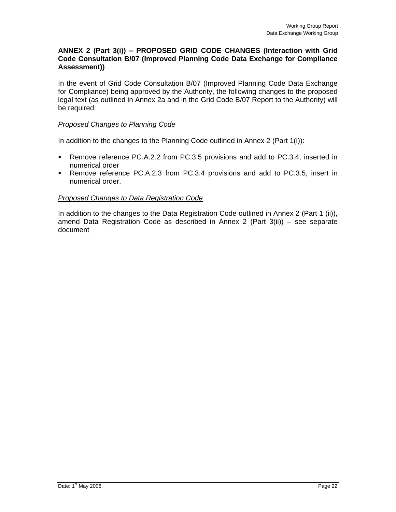#### **ANNEX 2 (Part 3(i)) – PROPOSED GRID CODE CHANGES (Interaction with Grid Code Consultation B/07 (Improved Planning Code Data Exchange for Compliance Assessment))**

In the event of Grid Code Consultation B/07 (Improved Planning Code Data Exchange for Compliance) being approved by the Authority, the following changes to the proposed legal text (as outlined in Annex 2a and in the Grid Code B/07 Report to the Authority) will be required:

### *Proposed Changes to Planning Code*

In addition to the changes to the Planning Code outlined in Annex 2 (Part 1(i)):

- Remove reference PC.A.2.2 from PC.3.5 provisions and add to PC.3.4, inserted in numerical order
- Remove reference PC.A.2.3 from PC.3.4 provisions and add to PC.3.5, insert in numerical order.

#### *Proposed Changes to Data Registration Code*

In addition to the changes to the Data Registration Code outlined in Annex 2 (Part 1 (ii)), amend Data Registration Code as described in Annex 2 (Part 3(ii)) – see separate document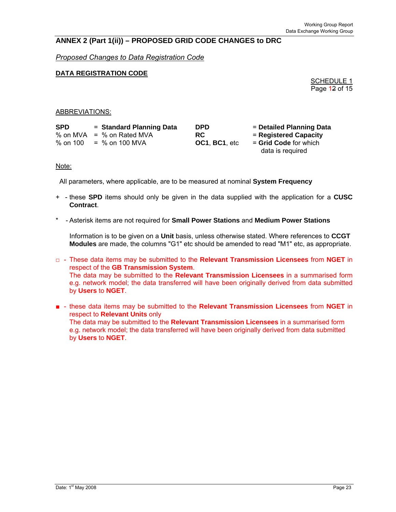### **ANNEX 2 (Part 1(ii)) – PROPOSED GRID CODE CHANGES to DRC**

*Proposed Changes to Data Registration Code*

#### **DATA REGISTRATION CODE**

SCHEDULE 1 Page 12 of 15

#### ABBREVIATIONS:

| <b>SPD</b> | = Standard Planning Data    | <b>DPD</b>            | = Detailed Planning Data |
|------------|-----------------------------|-----------------------|--------------------------|
|            | % on MVA $=$ % on Rated MVA | RC.                   | = Registered Capacity    |
| % on 100   | = % on 100 MVA              | <b>OC1, BC1, etc.</b> | $=$ Grid Code for which  |
|            |                             |                       | data is required         |

#### Note:

All parameters, where applicable, are to be measured at nominal **System Frequency**

- + these **SPD** items should only be given in the data supplied with the application for a **CUSC Contract**.
- \* Asterisk items are not required for **Small Power Stations** and **Medium Power Stations**

Information is to be given on a **Unit** basis, unless otherwise stated. Where references to **CCGT Modules** are made, the columns "G1" etc should be amended to read "M1" etc, as appropriate.

- □ These data items may be submitted to the **Relevant Transmission Licensees** from **NGET** in respect of the **GB Transmission System**. The data may be submitted to the **Relevant Transmission Licensees** in a summarised form e.g. network model; the data transferred will have been originally derived from data submitted by **Users** to **NGET**.
- - these data items may be submitted to the **Relevant Transmission Licensees** from **NGET** in respect to **Relevant Units** only The data may be submitted to the **Relevant Transmission Licensees** in a summarised form e.g. network model; the data transferred will have been originally derived from data submitted by **Users** to **NGET**.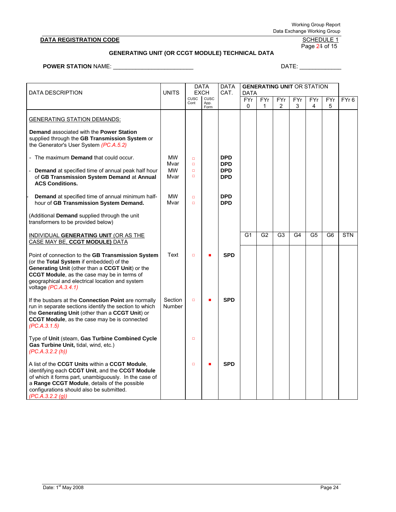#### **DATA REGISTRATION CODE**

# SCHEDULE 1<br>Page 24 of 15

#### **GENERATING UNIT (OR CCGT MODULE) TECHNICAL DATA**

**POWER STATION** NAME: \_\_\_\_\_\_\_\_\_\_\_\_\_\_\_\_\_\_\_\_\_\_\_\_\_ DATE: \_\_\_\_\_\_\_\_\_\_\_\_\_

| <b>DATA DESCRIPTION</b>                                                                                                                                                                                                                                                    |                   | <b>DATA</b><br><b>EXCH</b> |                      | <b>DATA</b><br>CAT.      |                | <b>GENERATING UNIT OR STATION</b><br><b>DATA</b> |                |                |                |                |                  |  |
|----------------------------------------------------------------------------------------------------------------------------------------------------------------------------------------------------------------------------------------------------------------------------|-------------------|----------------------------|----------------------|--------------------------|----------------|--------------------------------------------------|----------------|----------------|----------------|----------------|------------------|--|
|                                                                                                                                                                                                                                                                            |                   | CUSC<br>Cont               | CUSC<br>App.<br>Form |                          | FYr<br>0       | FYr<br>1                                         | FYr<br>2       | FYr<br>3       | FYr<br>4       | FYr<br>5       | FYr <sub>6</sub> |  |
| <b>GENERATING STATION DEMANDS:</b>                                                                                                                                                                                                                                         |                   |                            |                      |                          |                |                                                  |                |                |                |                |                  |  |
| Demand associated with the Power Station<br>supplied through the GB Transmission System or<br>the Generator's User System (PC.A.5.2)                                                                                                                                       |                   |                            |                      |                          |                |                                                  |                |                |                |                |                  |  |
| - The maximum <b>Demand</b> that could occur.                                                                                                                                                                                                                              | МW<br>Mvar        | $\Box$<br>$\Box$           |                      | <b>DPD</b><br><b>DPD</b> |                |                                                  |                |                |                |                |                  |  |
| <b>Demand</b> at specified time of annual peak half hour<br>of GB Transmission System Demand at Annual<br><b>ACS Conditions.</b>                                                                                                                                           | <b>MW</b><br>Mvar | $\Box$<br>$\Box$           |                      | <b>DPD</b><br><b>DPD</b> |                |                                                  |                |                |                |                |                  |  |
| Demand at specified time of annual minimum half-<br>hour of GB Transmission System Demand.                                                                                                                                                                                 | <b>MW</b><br>Mvar | $\Box$<br>$\Box$           |                      | <b>DPD</b><br><b>DPD</b> |                |                                                  |                |                |                |                |                  |  |
| (Additional Demand supplied through the unit<br>transformers to be provided below)                                                                                                                                                                                         |                   |                            |                      |                          |                |                                                  |                |                |                |                |                  |  |
| INDIVIDUAL GENERATING UNIT (OR AS THE<br>CASE MAY BE, CCGT MODULE) DATA                                                                                                                                                                                                    |                   |                            |                      |                          | G <sub>1</sub> | G <sub>2</sub>                                   | G <sub>3</sub> | G <sub>4</sub> | G <sub>5</sub> | G <sub>6</sub> | <b>STN</b>       |  |
| Point of connection to the GB Transmission System<br>(or the Total System if embedded) of the<br>Generating Unit (other than a CCGT Unit) or the<br>CCGT Module, as the case may be in terms of<br>geographical and electrical location and system<br>voltage (PC.A.3.4.1) | Text              | $\Box$                     | a,                   | <b>SPD</b>               |                |                                                  |                |                |                |                |                  |  |
| If the busbars at the <b>Connection Point</b> are normally<br>run in separate sections identify the section to which<br>the Generating Unit (other than a CCGT Unit) or<br>CCGT Module, as the case may be is connected<br>(PC.A.3.1.5)                                    | Section<br>Number | $\Box$                     | ٠                    | <b>SPD</b>               |                |                                                  |                |                |                |                |                  |  |
| Type of Unit (steam, Gas Turbine Combined Cycle<br>Gas Turbine Unit, tidal, wind, etc.)<br>(PC.A.3.2.2(h))                                                                                                                                                                 |                   | $\Box$                     |                      |                          |                |                                                  |                |                |                |                |                  |  |
| A list of the CCGT Units within a CCGT Module,<br>identifying each CCGT Unit, and the CCGT Module<br>of which it forms part, unambiguously. In the case of<br>a Range CCGT Module, details of the possible<br>configurations should also be submitted.<br>(PC.A.3.2.2(g))  |                   | $\Box$                     |                      | <b>SPD</b>               |                |                                                  |                |                |                |                |                  |  |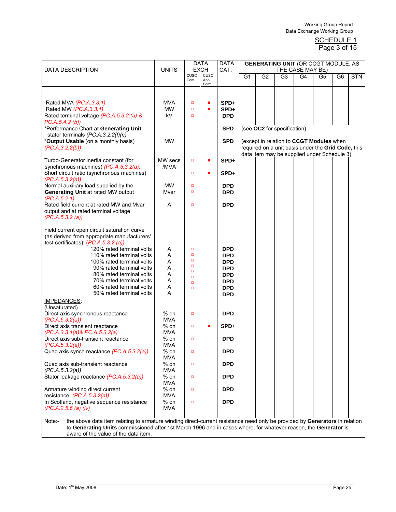| <b>DATA DESCRIPTION</b>                                                                                                              | <b>DATA</b><br><b>UNITS</b><br><b>EXCH</b> |                  |                      | <b>DATA</b><br>CAT.      | <b>GENERATING UNIT (OR CCGT MODULE, AS</b><br>THE CASE MAY BE) |                             |                |                                                    |    |                |            |  |
|--------------------------------------------------------------------------------------------------------------------------------------|--------------------------------------------|------------------|----------------------|--------------------------|----------------------------------------------------------------|-----------------------------|----------------|----------------------------------------------------|----|----------------|------------|--|
|                                                                                                                                      |                                            | CUSC<br>Cont     | CUSC<br>App.<br>Form |                          | G <sub>1</sub>                                                 | G <sub>2</sub>              | G <sub>3</sub> | G4                                                 | G5 | G <sub>6</sub> | <b>STN</b> |  |
|                                                                                                                                      |                                            |                  |                      |                          |                                                                |                             |                |                                                    |    |                |            |  |
| Rated MVA (PC.A.3.3.1)<br>Rated MW (PC.A.3.3.1)                                                                                      | <b>MVA</b><br><b>MW</b>                    | $\Box$<br>$\Box$ | Ē,<br>п              | SPD+<br>SPD+             |                                                                |                             |                |                                                    |    |                |            |  |
| Rated terminal voltage (PC.A.5.3.2.(a) &                                                                                             | kV                                         | $\Box$           |                      | <b>DPD</b>               |                                                                |                             |                |                                                    |    |                |            |  |
| PC.A.5.4.2(b)<br>*Performance Chart at Generating Unit                                                                               |                                            |                  |                      | <b>SPD</b>               |                                                                | (see OC2 for specification) |                |                                                    |    |                |            |  |
| stator terminals $(PC.A.3.2.2(f)(i))$<br>*Output Usable (on a monthly basis)                                                         | <b>MW</b>                                  |                  |                      | <b>SPD</b>               |                                                                |                             |                | (except in relation to CCGT Modules when           |    |                |            |  |
| (PC.A.3.2.2(b))                                                                                                                      |                                            |                  |                      |                          |                                                                |                             |                | required on a unit basis under the Grid Code, this |    |                |            |  |
| Turbo-Generator inertia constant (for                                                                                                | MW secs                                    | $\Box$           | П                    | SPD+                     |                                                                |                             |                | data item may be supplied under Schedule 3)        |    |                |            |  |
| synchronous machines) (PC.A.5.3.2(a))<br>Short circuit ratio (synchronous machines)                                                  | /MVA                                       | $\Box$           | $\blacksquare$       | SPD+                     |                                                                |                             |                |                                                    |    |                |            |  |
| (PC.A.5.3.2(a))                                                                                                                      |                                            |                  |                      |                          |                                                                |                             |                |                                                    |    |                |            |  |
| Normal auxiliary load supplied by the<br><b>Generating Unit at rated MW output</b>                                                   | <b>MW</b><br>Mvar                          | $\Box$<br>$\Box$ |                      | <b>DPD</b><br><b>DPD</b> |                                                                |                             |                |                                                    |    |                |            |  |
| (PC.A.5.2.1)<br>Rated field current at rated MW and Mvar                                                                             | A                                          | $\Box$           |                      | <b>DPD</b>               |                                                                |                             |                |                                                    |    |                |            |  |
| output and at rated terminal voltage<br>(PC.A.5.3.2(a))                                                                              |                                            |                  |                      |                          |                                                                |                             |                |                                                    |    |                |            |  |
| Field current open circuit saturation curve<br>(as derived from appropriate manufacturers'                                           |                                            |                  |                      |                          |                                                                |                             |                |                                                    |    |                |            |  |
| test certificates): $(PC.A.5.3.2(a))$                                                                                                |                                            |                  |                      |                          |                                                                |                             |                |                                                    |    |                |            |  |
| 120% rated terminal volts<br>110% rated terminal volts                                                                               | Α<br>A                                     | $\Box$<br>$\Box$ |                      | <b>DPD</b><br><b>DPD</b> |                                                                |                             |                |                                                    |    |                |            |  |
| 100% rated terminal volts                                                                                                            | A                                          | $\Box$           |                      | <b>DPD</b>               |                                                                |                             |                |                                                    |    |                |            |  |
| 90% rated terminal volts                                                                                                             | A                                          | $\Box$<br>$\Box$ |                      | <b>DPD</b>               |                                                                |                             |                |                                                    |    |                |            |  |
| 80% rated terminal volts                                                                                                             | Α                                          | $\Box$           |                      | <b>DPD</b>               |                                                                |                             |                |                                                    |    |                |            |  |
| 70% rated terminal volts                                                                                                             | Α                                          | $\Box$           |                      | <b>DPD</b>               |                                                                |                             |                |                                                    |    |                |            |  |
| 60% rated terminal volts<br>50% rated terminal volts                                                                                 | A<br>A                                     | $\Box$           |                      | <b>DPD</b><br><b>DPD</b> |                                                                |                             |                |                                                    |    |                |            |  |
| <b>IMPEDANCES:</b><br>(Unsaturated)                                                                                                  |                                            |                  |                      |                          |                                                                |                             |                |                                                    |    |                |            |  |
| Direct axis synchronous reactance                                                                                                    | $%$ on                                     | $\Box$           |                      | <b>DPD</b>               |                                                                |                             |                |                                                    |    |                |            |  |
| (PC.A.5.3.2(a))<br>Direct axis transient reactance                                                                                   | <b>MVA</b><br>$%$ on                       | $\Box$           | Ē,                   | SPD+                     |                                                                |                             |                |                                                    |    |                |            |  |
| (PC.A.3.3.1(a) & PC.A.5.3.2(a)                                                                                                       | <b>MVA</b>                                 |                  |                      |                          |                                                                |                             |                |                                                    |    |                |            |  |
| Direct axis sub-transient reactance<br>(PC.A.5.3.2(a))                                                                               | $%$ on<br><b>MVA</b>                       | $\Box$           |                      | <b>DPD</b>               |                                                                |                             |                |                                                    |    |                |            |  |
| Quad axis synch reactance (PC.A.5.3.2(a))                                                                                            | $%$ on                                     | $\Box$           |                      | <b>DPD</b>               |                                                                |                             |                |                                                    |    |                |            |  |
| Quad axis sub-transient reactance                                                                                                    | MVA<br>$%$ on                              | $\Box$           |                      | <b>DPD</b>               |                                                                |                             |                |                                                    |    |                |            |  |
| (PC.A.5.3.2(a))                                                                                                                      | <b>MVA</b>                                 |                  |                      |                          |                                                                |                             |                |                                                    |    |                |            |  |
| Stator leakage reactance (PC.A.5.3.2(a))                                                                                             | $%$ on<br>MVA                              | $\Box$           |                      | <b>DPD</b>               |                                                                |                             |                |                                                    |    |                |            |  |
| Armature winding direct current                                                                                                      | $%$ on                                     | $\Box$           |                      | <b>DPD</b>               |                                                                |                             |                |                                                    |    |                |            |  |
| resistance (PC.A.5.3.2(a))                                                                                                           | <b>MVA</b>                                 |                  |                      |                          |                                                                |                             |                |                                                    |    |                |            |  |
| In Scotland, negative sequence resistance<br>(PC.A.2.5.6 (a) (iv))                                                                   | $%$ on<br>MVA                              | $\Box$           |                      | <b>DPD</b>               |                                                                |                             |                |                                                    |    |                |            |  |
| the above data item relating to armature winding direct-current resistance need only be provided by Generators in relation<br>Note:- |                                            |                  |                      |                          |                                                                |                             |                |                                                    |    |                |            |  |
| to Generating Units commissioned after 1st March 1996 and in cases where, for whatever reason, the Generator is                      |                                            |                  |                      |                          |                                                                |                             |                |                                                    |    |                |            |  |
| aware of the value of the data item.                                                                                                 |                                            |                  |                      |                          |                                                                |                             |                |                                                    |    |                |            |  |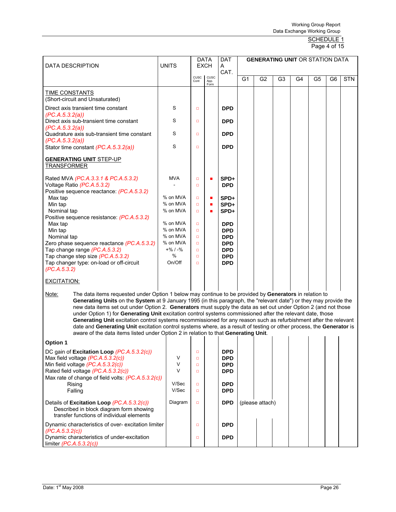#### SCHEDULE 1 Page 4 of 15

| <b>DATA DESCRIPTION</b>                                                                                                            | <b>UNITS</b>                                                                                                                                                                                                                                                                                                                                                                                                                                                                                                                                                                                                                                                                                              | <b>DATA</b><br><b>EXCH</b> |                      | <b>DAT</b><br>A          | <b>GENERATING UNIT OR STATION DATA</b> |                 |                |    |    |    |            |
|------------------------------------------------------------------------------------------------------------------------------------|-----------------------------------------------------------------------------------------------------------------------------------------------------------------------------------------------------------------------------------------------------------------------------------------------------------------------------------------------------------------------------------------------------------------------------------------------------------------------------------------------------------------------------------------------------------------------------------------------------------------------------------------------------------------------------------------------------------|----------------------------|----------------------|--------------------------|----------------------------------------|-----------------|----------------|----|----|----|------------|
|                                                                                                                                    |                                                                                                                                                                                                                                                                                                                                                                                                                                                                                                                                                                                                                                                                                                           | <b>CUSC</b><br>Cont        | CUSC<br>App.<br>Form | CAT.                     | G1                                     | G <sub>2</sub>  | G <sub>3</sub> | G4 | G5 | G6 | <b>STN</b> |
| <b>TIME CONSTANTS</b><br>(Short-circuit and Unsaturated)                                                                           |                                                                                                                                                                                                                                                                                                                                                                                                                                                                                                                                                                                                                                                                                                           |                            |                      |                          |                                        |                 |                |    |    |    |            |
| Direct axis transient time constant<br>(PC.A.5.3.2(a))                                                                             | S                                                                                                                                                                                                                                                                                                                                                                                                                                                                                                                                                                                                                                                                                                         | $\Box$                     |                      | <b>DPD</b>               |                                        |                 |                |    |    |    |            |
| Direct axis sub-transient time constant<br>(PC.A.5.3.2(a))                                                                         | S                                                                                                                                                                                                                                                                                                                                                                                                                                                                                                                                                                                                                                                                                                         | $\Box$                     |                      | <b>DPD</b>               |                                        |                 |                |    |    |    |            |
| Quadrature axis sub-transient time constant<br>(PC.A.5.3.2(a))                                                                     | S                                                                                                                                                                                                                                                                                                                                                                                                                                                                                                                                                                                                                                                                                                         | $\Box$                     |                      | <b>DPD</b>               |                                        |                 |                |    |    |    |            |
| Stator time constant (PC.A.5.3.2(a))                                                                                               | S                                                                                                                                                                                                                                                                                                                                                                                                                                                                                                                                                                                                                                                                                                         | $\Box$                     |                      | <b>DPD</b>               |                                        |                 |                |    |    |    |            |
| <b>GENERATING UNIT STEP-UP</b><br><b>TRANSFORMER</b>                                                                               |                                                                                                                                                                                                                                                                                                                                                                                                                                                                                                                                                                                                                                                                                                           |                            |                      |                          |                                        |                 |                |    |    |    |            |
| Rated MVA (PC.A.3.3.1 & PC.A.5.3.2)<br>Voltage Ratio (PC.A.5.3.2)                                                                  | <b>MVA</b>                                                                                                                                                                                                                                                                                                                                                                                                                                                                                                                                                                                                                                                                                                | $\Box$<br>$\Box$           |                      | SPD+<br><b>DPD</b>       |                                        |                 |                |    |    |    |            |
| Positive sequence reactance: (PC.A.5.3.2)<br>Max tap                                                                               | % on MVA                                                                                                                                                                                                                                                                                                                                                                                                                                                                                                                                                                                                                                                                                                  | $\Box$                     |                      | SPD+                     |                                        |                 |                |    |    |    |            |
| Min tap<br>Nominal tap                                                                                                             | % on MVA<br>% on MVA                                                                                                                                                                                                                                                                                                                                                                                                                                                                                                                                                                                                                                                                                      | $\Box$<br>$\Box$           |                      | SPD+<br>SPD+             |                                        |                 |                |    |    |    |            |
| Positive sequence resistance: (PC.A.5.3.2)                                                                                         | % on MVA                                                                                                                                                                                                                                                                                                                                                                                                                                                                                                                                                                                                                                                                                                  |                            |                      |                          |                                        |                 |                |    |    |    |            |
| Max tap<br>Min tap                                                                                                                 | % on MVA                                                                                                                                                                                                                                                                                                                                                                                                                                                                                                                                                                                                                                                                                                  | $\Box$<br>$\Box$           |                      | <b>DPD</b><br><b>DPD</b> |                                        |                 |                |    |    |    |            |
| Nominal tap                                                                                                                        | % on MVA                                                                                                                                                                                                                                                                                                                                                                                                                                                                                                                                                                                                                                                                                                  | $\Box$                     |                      | <b>DPD</b>               |                                        |                 |                |    |    |    |            |
| Zero phase sequence reactance (PC.A.5.3.2)                                                                                         | % on MVA                                                                                                                                                                                                                                                                                                                                                                                                                                                                                                                                                                                                                                                                                                  | $\Box$                     |                      | <b>DPD</b>               |                                        |                 |                |    |    |    |            |
| Tap change range (PC.A.5.3.2)                                                                                                      | $+$ % / -%                                                                                                                                                                                                                                                                                                                                                                                                                                                                                                                                                                                                                                                                                                | $\Box$                     |                      | <b>DPD</b>               |                                        |                 |                |    |    |    |            |
| Tap change step size (PC.A.5.3.2)                                                                                                  | %                                                                                                                                                                                                                                                                                                                                                                                                                                                                                                                                                                                                                                                                                                         | $\Box$                     |                      | <b>DPD</b>               |                                        |                 |                |    |    |    |            |
| Tap changer type: on-load or off-circuit<br>(PC.A.5.3.2)                                                                           | On/Off                                                                                                                                                                                                                                                                                                                                                                                                                                                                                                                                                                                                                                                                                                    | $\Box$                     |                      | <b>DPD</b>               |                                        |                 |                |    |    |    |            |
| <b>EXCITATION:</b>                                                                                                                 |                                                                                                                                                                                                                                                                                                                                                                                                                                                                                                                                                                                                                                                                                                           |                            |                      |                          |                                        |                 |                |    |    |    |            |
| Note:<br>aware of the data items listed under Option 2 in relation to that Generating Unit.                                        | The data items requested under Option 1 below may continue to be provided by Generators in relation to<br>Generating Units on the System at 9 January 1995 (in this paragraph, the "relevant date") or they may provide the<br>new data items set out under Option 2. Generators must supply the data as set out under Option 2 (and not those<br>under Option 1) for Generating Unit excitation control systems commissioned after the relevant date, those<br>Generating Unit excitation control systems recommissioned for any reason such as refurbishment after the relevant<br>date and Generating Unit excitation control systems where, as a result of testing or other process, the Generator is |                            |                      |                          |                                        |                 |                |    |    |    |            |
| <b>Option 1</b>                                                                                                                    |                                                                                                                                                                                                                                                                                                                                                                                                                                                                                                                                                                                                                                                                                                           |                            |                      |                          |                                        |                 |                |    |    |    |            |
| DC gain of Excitation Loop (PC.A.5.3.2(c))                                                                                         |                                                                                                                                                                                                                                                                                                                                                                                                                                                                                                                                                                                                                                                                                                           | $\Box$                     |                      | <b>DPD</b>               |                                        |                 |                |    |    |    |            |
| Max field voltage (PC.A.5.3.2(c))                                                                                                  | V                                                                                                                                                                                                                                                                                                                                                                                                                                                                                                                                                                                                                                                                                                         | $\Box$                     |                      | <b>DPD</b>               |                                        |                 |                |    |    |    |            |
| Min field voltage (PC.A.5.3.2(c))                                                                                                  | V                                                                                                                                                                                                                                                                                                                                                                                                                                                                                                                                                                                                                                                                                                         | $\Box$                     |                      | <b>DPD</b>               |                                        |                 |                |    |    |    |            |
| Rated field voltage (PC.A.5.3.2(c))                                                                                                | $\vee$                                                                                                                                                                                                                                                                                                                                                                                                                                                                                                                                                                                                                                                                                                    | $\Box$                     |                      | <b>DPD</b>               |                                        |                 |                |    |    |    |            |
| Max rate of change of field volts: (PC.A.5.3.2(c))                                                                                 |                                                                                                                                                                                                                                                                                                                                                                                                                                                                                                                                                                                                                                                                                                           |                            |                      |                          |                                        |                 |                |    |    |    |            |
| Rising<br>Falling                                                                                                                  | V/Sec<br>V/Sec                                                                                                                                                                                                                                                                                                                                                                                                                                                                                                                                                                                                                                                                                            | $\Box$<br>$\Box$           |                      | <b>DPD</b><br><b>DPD</b> |                                        |                 |                |    |    |    |            |
| Details of Excitation Loop (PC.A.5.3.2(c))<br>Described in block diagram form showing<br>transfer functions of individual elements | Diagram                                                                                                                                                                                                                                                                                                                                                                                                                                                                                                                                                                                                                                                                                                   | $\Box$                     |                      | <b>DPD</b>               |                                        | (please attach) |                |    |    |    |            |
| Dynamic characteristics of over- excitation limiter                                                                                |                                                                                                                                                                                                                                                                                                                                                                                                                                                                                                                                                                                                                                                                                                           | $\Box$                     |                      | <b>DPD</b>               |                                        |                 |                |    |    |    |            |
| (PC.A.5.3.2(c))<br>Dynamic characteristics of under-excitation<br>limiter $(PC.A.5.3.2(c))$                                        |                                                                                                                                                                                                                                                                                                                                                                                                                                                                                                                                                                                                                                                                                                           | $\Box$                     |                      | <b>DPD</b>               |                                        |                 |                |    |    |    |            |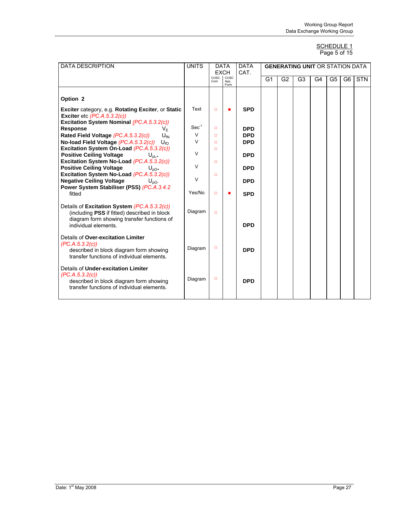#### SCHEDULE 1 Page 5 of 15

| <b>DATA DESCRIPTION</b>                                                                                                                                            | <b>UNITS</b>     | <b>DATA</b><br><b>EXCH</b> |                      | <b>DATA</b><br>CAT.      |                |                | <b>GENERATING UNIT OR STATION DATA</b> |    |                |                |            |  |  |  |
|--------------------------------------------------------------------------------------------------------------------------------------------------------------------|------------------|----------------------------|----------------------|--------------------------|----------------|----------------|----------------------------------------|----|----------------|----------------|------------|--|--|--|
|                                                                                                                                                                    |                  | CUSC<br>Cont               | CUSC<br>App.<br>Form |                          | G <sub>1</sub> | G <sub>2</sub> | G <sub>3</sub>                         | G4 | G <sub>5</sub> | G <sub>6</sub> | <b>STN</b> |  |  |  |
| Option <sub>2</sub>                                                                                                                                                |                  |                            |                      |                          |                |                |                                        |    |                |                |            |  |  |  |
| Exciter category, e.g. Rotating Exciter, or Static<br>Exciter etc $(PC.A.5.3.2(c))$                                                                                | Text             | $\Box$                     | п                    | <b>SPD</b>               |                |                |                                        |    |                |                |            |  |  |  |
| Excitation System Nominal (PC.A.5.3.2(c))<br><b>Response</b><br>V⊧                                                                                                 | $Sec-1$          | $\Box$                     |                      | <b>DPD</b>               |                |                |                                        |    |                |                |            |  |  |  |
| Rated Field Voltage (PC.A.5.3.2(c))<br>$U_{fN}$<br>No-load Field Voltage (PC.A.5.3.2(c))<br>$U_{f\Omega}$<br>Excitation System On-Load (PC.A.5.3.2(c))             | $\vee$<br>$\vee$ | $\Box$<br>$\Box$<br>$\Box$ |                      | <b>DPD</b><br><b>DPD</b> |                |                |                                        |    |                |                |            |  |  |  |
| <b>Positive Ceiling Voltage</b><br>$U_{\text{pl+}}$                                                                                                                | $\vee$           |                            |                      | <b>DPD</b>               |                |                |                                        |    |                |                |            |  |  |  |
| Excitation System No-Load (PC.A.5.3.2(c))<br><b>Positive Ceiling Voltage</b><br>$U_{pQ+}$                                                                          | $\vee$           | $\Box$                     |                      | <b>DPD</b>               |                |                |                                        |    |                |                |            |  |  |  |
| Excitation System No-Load (PC.A.5.3.2(c))<br><b>Negative Ceiling Voltage</b><br>$U_{nO}$<br>Power System Stabiliser (PSS) (PC.A.3.4.2)                             | $\vee$           | $\Box$                     |                      | <b>DPD</b>               |                |                |                                        |    |                |                |            |  |  |  |
| fitted                                                                                                                                                             | Yes/No           | $\Box$                     |                      | <b>SPD</b>               |                |                |                                        |    |                |                |            |  |  |  |
| Details of Excitation System (PC.A.5.3.2(c))<br>(including PSS if fitted) described in block<br>diagram form showing transfer functions of<br>individual elements. | Diagram          | $\Box$                     |                      | <b>DPD</b>               |                |                |                                        |    |                |                |            |  |  |  |
| Details of Over-excitation Limiter<br>(PC.A.5.3.2(c))<br>described in block diagram form showing<br>transfer functions of individual elements.                     | Diagram          | $\Box$                     |                      | <b>DPD</b>               |                |                |                                        |    |                |                |            |  |  |  |
| Details of Under-excitation Limiter<br>(PC.A.5.3.2(c))<br>described in block diagram form showing<br>transfer functions of individual elements.                    | Diagram          | $\Box$                     |                      | <b>DPD</b>               |                |                |                                        |    |                |                |            |  |  |  |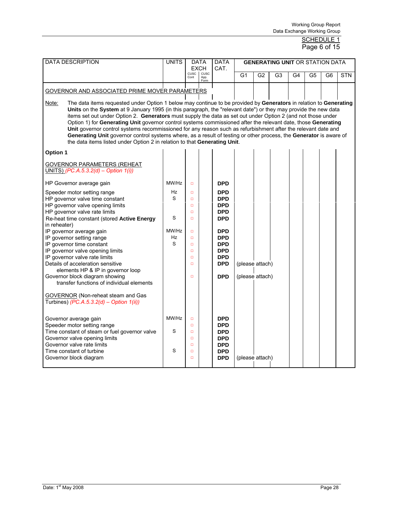#### <u>SCHEDULE 1</u> **Page 6 of 15**

| <b>DATA DESCRIPTION</b>                                                                                                                                                                                                                                                                                                                                                                                                                                                                                                                                                                                                                                                                                                                                                                                        | <b>UNITS</b><br><b>DATA</b><br><b>EXCH</b> |                                                                                                                      |                      | <b>DATA</b><br>CAT.                                                                                                                                                  | <b>GENERATING UNIT OR STATION DATA</b> |                |    |    |                |                |            |  |  |
|----------------------------------------------------------------------------------------------------------------------------------------------------------------------------------------------------------------------------------------------------------------------------------------------------------------------------------------------------------------------------------------------------------------------------------------------------------------------------------------------------------------------------------------------------------------------------------------------------------------------------------------------------------------------------------------------------------------------------------------------------------------------------------------------------------------|--------------------------------------------|----------------------------------------------------------------------------------------------------------------------|----------------------|----------------------------------------------------------------------------------------------------------------------------------------------------------------------|----------------------------------------|----------------|----|----|----------------|----------------|------------|--|--|
|                                                                                                                                                                                                                                                                                                                                                                                                                                                                                                                                                                                                                                                                                                                                                                                                                |                                            | cusc  <br>Cont                                                                                                       | cusc<br>App.<br>Form |                                                                                                                                                                      | G <sub>1</sub>                         | G <sub>2</sub> | G3 | G4 | G <sub>5</sub> | G <sub>6</sub> | <b>STN</b> |  |  |
| <b>GOVERNOR AND ASSOCIATED PRIME MOVER PARAMETERS</b>                                                                                                                                                                                                                                                                                                                                                                                                                                                                                                                                                                                                                                                                                                                                                          |                                            |                                                                                                                      |                      |                                                                                                                                                                      |                                        |                |    |    |                |                |            |  |  |
| The data items requested under Option 1 below may continue to be provided by Generators in relation to Generating<br>Note:<br>Units on the System at 9 January 1995 (in this paragraph, the "relevant date") or they may provide the new data<br>items set out under Option 2. Generators must supply the data as set out under Option 2 (and not those under<br>Option 1) for Generating Unit governor control systems commissioned after the relevant date, those Generating<br>Unit governor control systems recommissioned for any reason such as refurbishment after the relevant date and<br>Generating Unit governor control systems where, as a result of testing or other process, the Generator is aware of<br>the data items listed under Option 2 in relation to that Generating Unit.<br>Option 1 |                                            |                                                                                                                      |                      |                                                                                                                                                                      |                                        |                |    |    |                |                |            |  |  |
|                                                                                                                                                                                                                                                                                                                                                                                                                                                                                                                                                                                                                                                                                                                                                                                                                |                                            |                                                                                                                      |                      |                                                                                                                                                                      |                                        |                |    |    |                |                |            |  |  |
| <b>GOVERNOR PARAMETERS (REHEAT</b><br>UNITS) (PC.A.5.3.2(d) – Option $1(i)$ )                                                                                                                                                                                                                                                                                                                                                                                                                                                                                                                                                                                                                                                                                                                                  |                                            |                                                                                                                      |                      |                                                                                                                                                                      |                                        |                |    |    |                |                |            |  |  |
| HP Governor average gain                                                                                                                                                                                                                                                                                                                                                                                                                                                                                                                                                                                                                                                                                                                                                                                       | MW/Hz                                      | $\Box$                                                                                                               |                      | <b>DPD</b>                                                                                                                                                           |                                        |                |    |    |                |                |            |  |  |
| Speeder motor setting range<br>HP governor valve time constant<br>HP governor valve opening limits<br>HP governor valve rate limits<br>Re-heat time constant (stored Active Energy<br>in reheater)<br>IP governor average gain<br>IP governor setting range<br>IP governor time constant<br>IP governor valve opening limits<br>IP governor valve rate limits<br>Details of acceleration sensitive<br>elements HP & IP in governor loop<br>Governor block diagram showing<br>transfer functions of individual elements<br><b>GOVERNOR</b> (Non-reheat steam and Gas<br>Turbines) (PC.A.5.3.2(d) - Option $1(ii)$ )                                                                                                                                                                                             | Hz<br>S<br>S<br>MW/Hz<br>Hz<br>S           | $\Box$<br>$\Box$<br>$\Box$<br>$\Box$<br>$\Box$<br>$\Box$<br>$\Box$<br>$\Box$<br>$\Box$<br>$\Box$<br>$\Box$<br>$\Box$ |                      | <b>DPD</b><br><b>DPD</b><br><b>DPD</b><br><b>DPD</b><br><b>DPD</b><br><b>DPD</b><br><b>DPD</b><br><b>DPD</b><br><b>DPD</b><br><b>DPD</b><br><b>DPD</b><br><b>DPD</b> | (please attach)<br>(please attach)     |                |    |    |                |                |            |  |  |
| Governor average gain<br>Speeder motor setting range<br>Time constant of steam or fuel governor valve<br>Governor valve opening limits<br>Governor valve rate limits<br>Time constant of turbine<br>Governor block diagram                                                                                                                                                                                                                                                                                                                                                                                                                                                                                                                                                                                     | MW/Hz<br>S<br>S                            | $\Box$<br>$\Box$<br>$\Box$<br>$\Box$<br>$\Box$<br>$\Box$<br>$\Box$                                                   |                      | <b>DPD</b><br><b>DPD</b><br><b>DPD</b><br><b>DPD</b><br><b>DPD</b><br><b>DPD</b><br><b>DPD</b>                                                                       | (please attach)                        |                |    |    |                |                |            |  |  |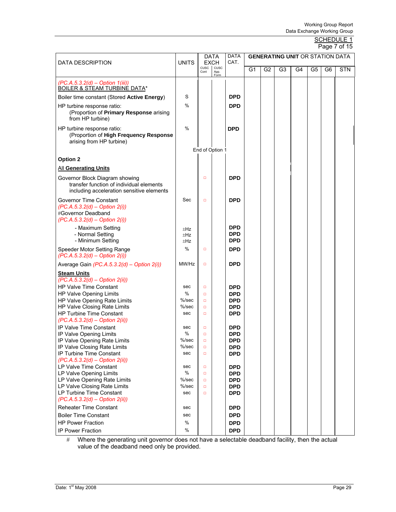#### SCHEDULE 1 Page 7 of 15

| DATA DESCRIPTION                                                                                                          | <b>UNITS</b>      |                     | <b>DATA</b><br><b>EXCH</b> | <b>DATA</b><br>CAT.                    |    |                |    |    |    |    | <b>GENERATING UNIT OR STATION DATA</b> |  |  |
|---------------------------------------------------------------------------------------------------------------------------|-------------------|---------------------|----------------------------|----------------------------------------|----|----------------|----|----|----|----|----------------------------------------|--|--|
|                                                                                                                           |                   | <b>CUSC</b><br>Cont | cusc<br>App.<br>Form       |                                        | G1 | G <sub>2</sub> | G3 | G4 | G5 | G6 | <b>STN</b>                             |  |  |
| $(PC.A.5.3.2(d) - Option 1(iii))$                                                                                         |                   |                     |                            |                                        |    |                |    |    |    |    |                                        |  |  |
| <b>BOILER &amp; STEAM TURBINE DATA*</b><br>Boiler time constant (Stored Active Energy)                                    | S                 |                     |                            | <b>DPD</b>                             |    |                |    |    |    |    |                                        |  |  |
| HP turbine response ratio:<br>(Proportion of Primary Response arising<br>from HP turbine)                                 | $\%$              |                     |                            | <b>DPD</b>                             |    |                |    |    |    |    |                                        |  |  |
| HP turbine response ratio:<br>(Proportion of High Frequency Response<br>arising from HP turbine)                          | $\%$              |                     |                            | <b>DPD</b>                             |    |                |    |    |    |    |                                        |  |  |
|                                                                                                                           |                   |                     | End of Option 1            |                                        |    |                |    |    |    |    |                                        |  |  |
| Option 2                                                                                                                  |                   |                     |                            |                                        |    |                |    |    |    |    |                                        |  |  |
| <b>All Generating Units</b>                                                                                               |                   |                     |                            |                                        |    |                |    |    |    |    |                                        |  |  |
| Governor Block Diagram showing<br>transfer function of individual elements<br>including acceleration sensitive elements   |                   | $\Box$              |                            | <b>DPD</b>                             |    |                |    |    |    |    |                                        |  |  |
| <b>Governor Time Constant</b><br>$(PC.A.5.3.2(d) - Option 2(i))$<br>#Governor Deadband<br>$(PC.A.5.3.2(d) - Option 2(i))$ | Sec               | $\Box$              |                            | <b>DPD</b>                             |    |                |    |    |    |    |                                        |  |  |
| - Maximum Setting<br>- Normal Setting<br>- Minimum Setting                                                                | ±Hz<br>±Hz<br>±Hz |                     |                            | <b>DPD</b><br><b>DPD</b><br><b>DPD</b> |    |                |    |    |    |    |                                        |  |  |
| Speeder Motor Setting Range<br>$(PC.A.5.3.2(d) - Option 2(i))$                                                            | $\%$              | $\Box$              |                            | <b>DPD</b>                             |    |                |    |    |    |    |                                        |  |  |
| Average Gain $(PC.A.5.3.2(d) - Option 2(i))$                                                                              | MW/Hz             | $\Box$              |                            | <b>DPD</b>                             |    |                |    |    |    |    |                                        |  |  |
| <b>Steam Units</b>                                                                                                        |                   |                     |                            |                                        |    |                |    |    |    |    |                                        |  |  |
| (PC.A.5.3.2(d) - Option 2(ii))                                                                                            |                   |                     |                            |                                        |    |                |    |    |    |    |                                        |  |  |
| <b>HP Valve Time Constant</b><br>HP Valve Opening Limits                                                                  | sec<br>$\%$       | $\Box$<br>$\Box$    |                            | <b>DPD</b><br><b>DPD</b>               |    |                |    |    |    |    |                                        |  |  |
| HP Valve Opening Rate Limits                                                                                              | $%$ /sec          | $\Box$              |                            | <b>DPD</b>                             |    |                |    |    |    |    |                                        |  |  |
| HP Valve Closing Rate Limits                                                                                              | %/sec             | $\Box$              |                            | <b>DPD</b>                             |    |                |    |    |    |    |                                        |  |  |
| <b>HP Turbine Time Constant</b>                                                                                           | sec               | $\Box$              |                            | <b>DPD</b>                             |    |                |    |    |    |    |                                        |  |  |
| $(PC.A.5.3.2(d) - Option 2(ii))$                                                                                          |                   |                     |                            |                                        |    |                |    |    |    |    |                                        |  |  |
| IP Valve Time Constant                                                                                                    | sec<br>%          | $\Box$<br>$\Box$    |                            | <b>DPD</b><br><b>DPD</b>               |    |                |    |    |    |    |                                        |  |  |
| IP Valve Opening Limits<br>IP Valve Opening Rate Limits                                                                   | $%$ /sec          | □                   |                            | <b>DPD</b>                             |    |                |    |    |    |    |                                        |  |  |
| IP Valve Closing Rate Limits                                                                                              | %/sec             | $\Box$              |                            | <b>DPD</b>                             |    |                |    |    |    |    |                                        |  |  |
| IP Turbine Time Constant                                                                                                  | sec               | $\Box$              |                            | <b>DPD</b>                             |    |                |    |    |    |    |                                        |  |  |
| $(PC.A.5.3.2(d) - Option 2(ii))$                                                                                          |                   |                     |                            |                                        |    |                |    |    |    |    |                                        |  |  |
| LP Valve Time Constant                                                                                                    | sec               | $\Box$              |                            | <b>DPD</b>                             |    |                |    |    |    |    |                                        |  |  |
| LP Valve Opening Limits<br>LP Valve Opening Rate Limits                                                                   | $\%$<br>%/sec     | $\Box$<br>$\Box$    |                            | <b>DPD</b><br><b>DPD</b>               |    |                |    |    |    |    |                                        |  |  |
| LP Valve Closing Rate Limits                                                                                              | %/sec             | $\Box$              |                            | <b>DPD</b>                             |    |                |    |    |    |    |                                        |  |  |
| LP Turbine Time Constant                                                                                                  | sec               | $\Box$              |                            | <b>DPD</b>                             |    |                |    |    |    |    |                                        |  |  |
| $(PC.A.5.3.2(d) - Option 2(ii))$                                                                                          |                   |                     |                            |                                        |    |                |    |    |    |    |                                        |  |  |
| <b>Reheater Time Constant</b>                                                                                             | sec               |                     |                            | <b>DPD</b>                             |    |                |    |    |    |    |                                        |  |  |
| <b>Boiler Time Constant</b>                                                                                               | sec               |                     |                            | <b>DPD</b>                             |    |                |    |    |    |    |                                        |  |  |
| <b>HP Power Fraction</b>                                                                                                  | %                 |                     |                            | <b>DPD</b>                             |    |                |    |    |    |    |                                        |  |  |
| <b>IP Power Fraction</b>                                                                                                  | %                 |                     |                            | <b>DPD</b>                             |    |                |    |    |    |    |                                        |  |  |

# Where the generating unit governor does not have a selectable deadband facility, then the actual value of the deadband need only be provided.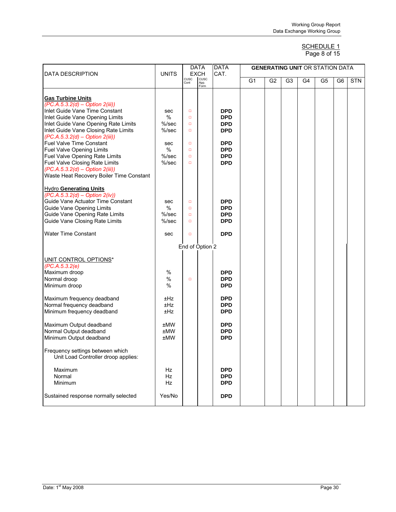#### SCHEDULE 1 Page 8 of 15

| <b>DATA DESCRIPTION</b>                                                     | <b>UNITS</b> |                 | <b>DATA</b><br><b>EXCH</b> | <b>DATA</b><br>CAT. |                |                |    |                | <b>GENERATING UNIT OR STATION DATA</b> |                |            |
|-----------------------------------------------------------------------------|--------------|-----------------|----------------------------|---------------------|----------------|----------------|----|----------------|----------------------------------------|----------------|------------|
|                                                                             |              | CUSC<br>Cont    | cusc<br>App.<br>Form       |                     | G <sub>1</sub> | G <sub>2</sub> | G3 | G <sub>4</sub> | G <sub>5</sub>                         | G <sub>6</sub> | <b>STN</b> |
|                                                                             |              |                 |                            |                     |                |                |    |                |                                        |                |            |
| <b>Gas Turbine Units</b><br>$(PC.A.5.3.2(d) - Option 2(iii))$               |              |                 |                            |                     |                |                |    |                |                                        |                |            |
| Inlet Guide Vane Time Constant                                              | sec          | $\Box$          |                            | <b>DPD</b>          |                |                |    |                |                                        |                |            |
| Inlet Guide Vane Opening Limits                                             | $\%$         | $\Box$          |                            | <b>DPD</b>          |                |                |    |                |                                        |                |            |
| Inlet Guide Vane Opening Rate Limits                                        | $%$ /sec     | $\Box$          |                            | <b>DPD</b>          |                |                |    |                |                                        |                |            |
| Inlet Guide Vane Closing Rate Limits                                        | $%$ /sec     | $\Box$          |                            | <b>DPD</b>          |                |                |    |                |                                        |                |            |
| $(PC.A.5.3.2(d) - Option 2(iii))$                                           |              |                 |                            |                     |                |                |    |                |                                        |                |            |
| Fuel Valve Time Constant                                                    | sec          | $\Box$          |                            | <b>DPD</b>          |                |                |    |                |                                        |                |            |
| <b>Fuel Valve Opening Limits</b>                                            | $\%$         | $\Box$          |                            | <b>DPD</b>          |                |                |    |                |                                        |                |            |
| Fuel Valve Opening Rate Limits                                              | $%$ /sec     | $\Box$          |                            | <b>DPD</b>          |                |                |    |                |                                        |                |            |
| Fuel Valve Closing Rate Limits                                              | $%$ /sec     | $\Box$          |                            | <b>DPD</b>          |                |                |    |                |                                        |                |            |
| (PC.A.5.3.2(d) - Option 2(iii))<br>Waste Heat Recovery Boiler Time Constant |              |                 |                            |                     |                |                |    |                |                                        |                |            |
|                                                                             |              |                 |                            |                     |                |                |    |                |                                        |                |            |
| <b>Hydro Generating Units</b>                                               |              |                 |                            |                     |                |                |    |                |                                        |                |            |
| $(PC.A.5.3.2(d) - Option 2(iv))$                                            |              |                 |                            |                     |                |                |    |                |                                        |                |            |
| Guide Vane Actuator Time Constant                                           | sec          | $\Box$          |                            | <b>DPD</b>          |                |                |    |                |                                        |                |            |
| <b>Guide Vane Opening Limits</b>                                            | $\%$         | $\Box$          |                            | <b>DPD</b>          |                |                |    |                |                                        |                |            |
| Guide Vane Opening Rate Limits                                              | $%$ /sec     | $\Box$          |                            | <b>DPD</b>          |                |                |    |                |                                        |                |            |
| <b>Guide Vane Closing Rate Limits</b>                                       | $%$ /sec     | $\Box$          |                            | <b>DPD</b>          |                |                |    |                |                                        |                |            |
| <b>Water Time Constant</b>                                                  | sec          | $\Box$          |                            | <b>DPD</b>          |                |                |    |                |                                        |                |            |
|                                                                             |              |                 |                            |                     |                |                |    |                |                                        |                |            |
|                                                                             |              | End of Option 2 |                            |                     |                |                |    |                |                                        |                |            |
| UNIT CONTROL OPTIONS*                                                       |              |                 |                            |                     |                |                |    |                |                                        |                |            |
| (PC.A.5.3.2(e)                                                              |              |                 |                            |                     |                |                |    |                |                                        |                |            |
| Maximum droop                                                               | $\%$         |                 |                            | <b>DPD</b>          |                |                |    |                |                                        |                |            |
| Normal droop                                                                | $\%$         | $\Box$          |                            | <b>DPD</b>          |                |                |    |                |                                        |                |            |
| Minimum droop                                                               | %            |                 |                            | <b>DPD</b>          |                |                |    |                |                                        |                |            |
| Maximum frequency deadband                                                  | ±Hz          |                 |                            | <b>DPD</b>          |                |                |    |                |                                        |                |            |
| Normal frequency deadband                                                   | ±Hz          |                 |                            | <b>DPD</b>          |                |                |    |                |                                        |                |            |
| Minimum frequency deadband                                                  | ±Hz          |                 |                            | <b>DPD</b>          |                |                |    |                |                                        |                |            |
|                                                                             |              |                 |                            |                     |                |                |    |                |                                        |                |            |
| Maximum Output deadband                                                     | <b>±MW</b>   |                 |                            | <b>DPD</b>          |                |                |    |                |                                        |                |            |
| Normal Output deadband                                                      | ±MW          |                 |                            | <b>DPD</b>          |                |                |    |                |                                        |                |            |
| Minimum Output deadband                                                     | <b>±MW</b>   |                 |                            | <b>DPD</b>          |                |                |    |                |                                        |                |            |
| Frequency settings between which<br>Unit Load Controller droop applies:     |              |                 |                            |                     |                |                |    |                |                                        |                |            |
| Maximum                                                                     | Hz           |                 |                            | <b>DPD</b>          |                |                |    |                |                                        |                |            |
| Normal                                                                      | Hz           |                 |                            | <b>DPD</b>          |                |                |    |                |                                        |                |            |
| Minimum                                                                     | Hz           |                 |                            | <b>DPD</b>          |                |                |    |                |                                        |                |            |
| Sustained response normally selected                                        | Yes/No       |                 |                            | <b>DPD</b>          |                |                |    |                |                                        |                |            |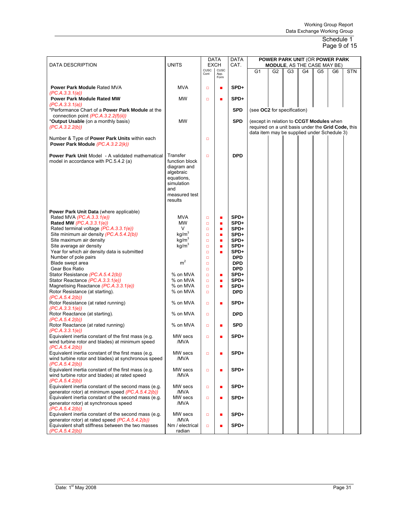#### Schedule 1 Page 9 of 15

| CUSC<br><b>CUSC</b><br>G <sub>1</sub><br><b>STN</b><br>G2<br>G3<br>G4<br>G <sub>5</sub><br>G6<br>Cont<br>App.<br>Form<br><b>MVA</b><br>SPD+<br><b>Power Park Module Rated MVA</b><br>$\Box$<br>п<br>(PC.A.3.3.1(a))<br>MW<br><b>Power Park Module Rated MW</b><br>SPD+<br>$\Box$<br>п<br>(PC.A.3.3.1(a))<br>*Performance Chart of a Power Park Module at the<br><b>SPD</b><br>(see OC2 for specification)<br>connection point (PC.A.3.2.2(f)(ii))<br><b>MW</b><br><b>SPD</b><br>*Output Usable (on a monthly basis)<br>(except in relation to CCGT Modules when<br>(PC.A.3.2.2(b))<br>required on a unit basis under the Grid Code, this<br>data item may be supplied under Schedule 3)<br>Number & Type of Power Park Units within each<br>$\Box$<br>Power Park Module (PC.A.3.2.2(k))<br><b>DPD</b><br><b>Power Park Unit Model - A validated mathematical</b><br>Transfer<br>$\Box$<br>model in accordance with PC.5.4.2 (a)<br>function block<br>diagram and<br>algebraic<br>equations,<br>simulation<br>and<br>measured test<br>results<br>Power Park Unit Data (where applicable)<br>Rated MVA (PC.A.3.3.1(e))<br><b>MVA</b><br>SPD+<br>$\Box$<br>п<br>Rated MW (PC.A.3.3.1(e))<br>MW<br>SPD+<br>$\Box$<br>٠<br>Rated terminal voltage (PC.A.3.3.1(e))<br>V<br>SPD+<br>$\Box$<br>٠<br>kg/m <sup>3</sup><br>Site minimum air density (PC.A.5.4.2(b))<br>SPD+<br>$\Box$<br>٠<br>kg/m <sup>3</sup><br>Site maximum air density<br>SPD+<br>$\Box$<br>٠<br>kg/m <sup>3</sup><br>Site average air density<br>SPD+<br>$\Box$<br>٠<br>Year for which air density data is submitted<br>SPD+<br>$\Box$<br><b>DPD</b><br>Number of pole pairs<br>$\Box$<br>m <sup>2</sup><br>Blade swept area<br><b>DPD</b><br>$\Box$<br><b>DPD</b><br>Gear Box Ratio<br>$\Box$<br>Stator Resistance (PC.A.5.4.2(b))<br>% on MVA<br>SPD+<br>$\Box$<br>п<br>Stator Reactance (PC.A.3.3.1(e))<br>% on MVA<br>SPD+<br>$\Box$<br>п<br>% on MVA<br>Magnetising Reactance (PC.A.3.3.1(e))<br>SPD+<br>$\Box$<br>Rotor Resistance (at starting).<br>% on MVA<br><b>DPD</b><br>$\Box$<br>(PC.A.5.4.2(b))<br>Rotor Resistance (at rated running)<br>% on MVA<br>SPD+<br>$\Box$<br>п<br>(PC.A.3.3.1(e))<br>% on MVA<br>Rotor Reactance (at starting).<br><b>DPD</b><br>$\Box$<br>(PC.A.5.4.2(b))<br>Rotor Reactance (at rated running)<br>% on MVA<br><b>SPD</b><br>$\Box$<br>п<br>(PC.A.3.3.1(e))<br>Equivalent inertia constant of the first mass (e.g.<br>MW secs<br>SPD+<br>$\Box$<br>wind turbine rotor and blades) at minimum speed<br>/MVA<br>(PC.A.5.4.2(b))<br>Equivalent inertia constant of the first mass (e.g.<br>MW secs<br>SPD+<br>$\Box$<br>п<br>wind turbine rotor and blades) at synchronous speed<br>/MVA<br>(PC.A.5.4.2(b))<br>Equivalent inertia constant of the first mass (e.g.<br>MW secs<br>SPD+<br>$\Box$<br>п<br>wind turbine rotor and blades) at rated speed<br>/MVA<br>(PC.A.5.4.2(b))<br>Equivalent inertia constant of the second mass (e.g.<br>MW secs<br>SPD+<br>$\Box$<br>$\blacksquare$<br>generator rotor) at minimum speed $(PC.A.5.4.2(b))$<br>/MVA<br>Equivalent inertia constant of the second mass (e.g.<br>MW secs<br>SPD+<br>$\Box$<br>п<br>generator rotor) at synchronous speed<br>/MVA | <b>DATA DESCRIPTION</b> | <b>UNITS</b> | <b>DATA</b><br><b>EXCH</b> |  | <b>DATA</b><br>CAT. |  |  | <b>POWER PARK UNIT (OR POWER PARK)</b><br><b>MODULE, AS THE CASE MAY BE)</b> |  |  |  |
|-------------------------------------------------------------------------------------------------------------------------------------------------------------------------------------------------------------------------------------------------------------------------------------------------------------------------------------------------------------------------------------------------------------------------------------------------------------------------------------------------------------------------------------------------------------------------------------------------------------------------------------------------------------------------------------------------------------------------------------------------------------------------------------------------------------------------------------------------------------------------------------------------------------------------------------------------------------------------------------------------------------------------------------------------------------------------------------------------------------------------------------------------------------------------------------------------------------------------------------------------------------------------------------------------------------------------------------------------------------------------------------------------------------------------------------------------------------------------------------------------------------------------------------------------------------------------------------------------------------------------------------------------------------------------------------------------------------------------------------------------------------------------------------------------------------------------------------------------------------------------------------------------------------------------------------------------------------------------------------------------------------------------------------------------------------------------------------------------------------------------------------------------------------------------------------------------------------------------------------------------------------------------------------------------------------------------------------------------------------------------------------------------------------------------------------------------------------------------------------------------------------------------------------------------------------------------------------------------------------------------------------------------------------------------------------------------------------------------------------------------------------------------------------------------------------------------------------------------------------------------------------------------------------------------------------------------------------------------------------------------------------------------------------------------------------------------------------------------------------------------------------------------------------------------------------------------------|-------------------------|--------------|----------------------------|--|---------------------|--|--|------------------------------------------------------------------------------|--|--|--|
|                                                                                                                                                                                                                                                                                                                                                                                                                                                                                                                                                                                                                                                                                                                                                                                                                                                                                                                                                                                                                                                                                                                                                                                                                                                                                                                                                                                                                                                                                                                                                                                                                                                                                                                                                                                                                                                                                                                                                                                                                                                                                                                                                                                                                                                                                                                                                                                                                                                                                                                                                                                                                                                                                                                                                                                                                                                                                                                                                                                                                                                                                                                                                                                                       |                         |              |                            |  |                     |  |  |                                                                              |  |  |  |
|                                                                                                                                                                                                                                                                                                                                                                                                                                                                                                                                                                                                                                                                                                                                                                                                                                                                                                                                                                                                                                                                                                                                                                                                                                                                                                                                                                                                                                                                                                                                                                                                                                                                                                                                                                                                                                                                                                                                                                                                                                                                                                                                                                                                                                                                                                                                                                                                                                                                                                                                                                                                                                                                                                                                                                                                                                                                                                                                                                                                                                                                                                                                                                                                       |                         |              |                            |  |                     |  |  |                                                                              |  |  |  |
|                                                                                                                                                                                                                                                                                                                                                                                                                                                                                                                                                                                                                                                                                                                                                                                                                                                                                                                                                                                                                                                                                                                                                                                                                                                                                                                                                                                                                                                                                                                                                                                                                                                                                                                                                                                                                                                                                                                                                                                                                                                                                                                                                                                                                                                                                                                                                                                                                                                                                                                                                                                                                                                                                                                                                                                                                                                                                                                                                                                                                                                                                                                                                                                                       |                         |              |                            |  |                     |  |  |                                                                              |  |  |  |
|                                                                                                                                                                                                                                                                                                                                                                                                                                                                                                                                                                                                                                                                                                                                                                                                                                                                                                                                                                                                                                                                                                                                                                                                                                                                                                                                                                                                                                                                                                                                                                                                                                                                                                                                                                                                                                                                                                                                                                                                                                                                                                                                                                                                                                                                                                                                                                                                                                                                                                                                                                                                                                                                                                                                                                                                                                                                                                                                                                                                                                                                                                                                                                                                       |                         |              |                            |  |                     |  |  |                                                                              |  |  |  |
|                                                                                                                                                                                                                                                                                                                                                                                                                                                                                                                                                                                                                                                                                                                                                                                                                                                                                                                                                                                                                                                                                                                                                                                                                                                                                                                                                                                                                                                                                                                                                                                                                                                                                                                                                                                                                                                                                                                                                                                                                                                                                                                                                                                                                                                                                                                                                                                                                                                                                                                                                                                                                                                                                                                                                                                                                                                                                                                                                                                                                                                                                                                                                                                                       |                         |              |                            |  |                     |  |  |                                                                              |  |  |  |
|                                                                                                                                                                                                                                                                                                                                                                                                                                                                                                                                                                                                                                                                                                                                                                                                                                                                                                                                                                                                                                                                                                                                                                                                                                                                                                                                                                                                                                                                                                                                                                                                                                                                                                                                                                                                                                                                                                                                                                                                                                                                                                                                                                                                                                                                                                                                                                                                                                                                                                                                                                                                                                                                                                                                                                                                                                                                                                                                                                                                                                                                                                                                                                                                       |                         |              |                            |  |                     |  |  |                                                                              |  |  |  |
|                                                                                                                                                                                                                                                                                                                                                                                                                                                                                                                                                                                                                                                                                                                                                                                                                                                                                                                                                                                                                                                                                                                                                                                                                                                                                                                                                                                                                                                                                                                                                                                                                                                                                                                                                                                                                                                                                                                                                                                                                                                                                                                                                                                                                                                                                                                                                                                                                                                                                                                                                                                                                                                                                                                                                                                                                                                                                                                                                                                                                                                                                                                                                                                                       |                         |              |                            |  |                     |  |  |                                                                              |  |  |  |
|                                                                                                                                                                                                                                                                                                                                                                                                                                                                                                                                                                                                                                                                                                                                                                                                                                                                                                                                                                                                                                                                                                                                                                                                                                                                                                                                                                                                                                                                                                                                                                                                                                                                                                                                                                                                                                                                                                                                                                                                                                                                                                                                                                                                                                                                                                                                                                                                                                                                                                                                                                                                                                                                                                                                                                                                                                                                                                                                                                                                                                                                                                                                                                                                       |                         |              |                            |  |                     |  |  |                                                                              |  |  |  |
|                                                                                                                                                                                                                                                                                                                                                                                                                                                                                                                                                                                                                                                                                                                                                                                                                                                                                                                                                                                                                                                                                                                                                                                                                                                                                                                                                                                                                                                                                                                                                                                                                                                                                                                                                                                                                                                                                                                                                                                                                                                                                                                                                                                                                                                                                                                                                                                                                                                                                                                                                                                                                                                                                                                                                                                                                                                                                                                                                                                                                                                                                                                                                                                                       |                         |              |                            |  |                     |  |  |                                                                              |  |  |  |
|                                                                                                                                                                                                                                                                                                                                                                                                                                                                                                                                                                                                                                                                                                                                                                                                                                                                                                                                                                                                                                                                                                                                                                                                                                                                                                                                                                                                                                                                                                                                                                                                                                                                                                                                                                                                                                                                                                                                                                                                                                                                                                                                                                                                                                                                                                                                                                                                                                                                                                                                                                                                                                                                                                                                                                                                                                                                                                                                                                                                                                                                                                                                                                                                       |                         |              |                            |  |                     |  |  |                                                                              |  |  |  |
|                                                                                                                                                                                                                                                                                                                                                                                                                                                                                                                                                                                                                                                                                                                                                                                                                                                                                                                                                                                                                                                                                                                                                                                                                                                                                                                                                                                                                                                                                                                                                                                                                                                                                                                                                                                                                                                                                                                                                                                                                                                                                                                                                                                                                                                                                                                                                                                                                                                                                                                                                                                                                                                                                                                                                                                                                                                                                                                                                                                                                                                                                                                                                                                                       |                         |              |                            |  |                     |  |  |                                                                              |  |  |  |
|                                                                                                                                                                                                                                                                                                                                                                                                                                                                                                                                                                                                                                                                                                                                                                                                                                                                                                                                                                                                                                                                                                                                                                                                                                                                                                                                                                                                                                                                                                                                                                                                                                                                                                                                                                                                                                                                                                                                                                                                                                                                                                                                                                                                                                                                                                                                                                                                                                                                                                                                                                                                                                                                                                                                                                                                                                                                                                                                                                                                                                                                                                                                                                                                       |                         |              |                            |  |                     |  |  |                                                                              |  |  |  |
|                                                                                                                                                                                                                                                                                                                                                                                                                                                                                                                                                                                                                                                                                                                                                                                                                                                                                                                                                                                                                                                                                                                                                                                                                                                                                                                                                                                                                                                                                                                                                                                                                                                                                                                                                                                                                                                                                                                                                                                                                                                                                                                                                                                                                                                                                                                                                                                                                                                                                                                                                                                                                                                                                                                                                                                                                                                                                                                                                                                                                                                                                                                                                                                                       |                         |              |                            |  |                     |  |  |                                                                              |  |  |  |
|                                                                                                                                                                                                                                                                                                                                                                                                                                                                                                                                                                                                                                                                                                                                                                                                                                                                                                                                                                                                                                                                                                                                                                                                                                                                                                                                                                                                                                                                                                                                                                                                                                                                                                                                                                                                                                                                                                                                                                                                                                                                                                                                                                                                                                                                                                                                                                                                                                                                                                                                                                                                                                                                                                                                                                                                                                                                                                                                                                                                                                                                                                                                                                                                       |                         |              |                            |  |                     |  |  |                                                                              |  |  |  |
|                                                                                                                                                                                                                                                                                                                                                                                                                                                                                                                                                                                                                                                                                                                                                                                                                                                                                                                                                                                                                                                                                                                                                                                                                                                                                                                                                                                                                                                                                                                                                                                                                                                                                                                                                                                                                                                                                                                                                                                                                                                                                                                                                                                                                                                                                                                                                                                                                                                                                                                                                                                                                                                                                                                                                                                                                                                                                                                                                                                                                                                                                                                                                                                                       |                         |              |                            |  |                     |  |  |                                                                              |  |  |  |
|                                                                                                                                                                                                                                                                                                                                                                                                                                                                                                                                                                                                                                                                                                                                                                                                                                                                                                                                                                                                                                                                                                                                                                                                                                                                                                                                                                                                                                                                                                                                                                                                                                                                                                                                                                                                                                                                                                                                                                                                                                                                                                                                                                                                                                                                                                                                                                                                                                                                                                                                                                                                                                                                                                                                                                                                                                                                                                                                                                                                                                                                                                                                                                                                       |                         |              |                            |  |                     |  |  |                                                                              |  |  |  |
|                                                                                                                                                                                                                                                                                                                                                                                                                                                                                                                                                                                                                                                                                                                                                                                                                                                                                                                                                                                                                                                                                                                                                                                                                                                                                                                                                                                                                                                                                                                                                                                                                                                                                                                                                                                                                                                                                                                                                                                                                                                                                                                                                                                                                                                                                                                                                                                                                                                                                                                                                                                                                                                                                                                                                                                                                                                                                                                                                                                                                                                                                                                                                                                                       |                         |              |                            |  |                     |  |  |                                                                              |  |  |  |
|                                                                                                                                                                                                                                                                                                                                                                                                                                                                                                                                                                                                                                                                                                                                                                                                                                                                                                                                                                                                                                                                                                                                                                                                                                                                                                                                                                                                                                                                                                                                                                                                                                                                                                                                                                                                                                                                                                                                                                                                                                                                                                                                                                                                                                                                                                                                                                                                                                                                                                                                                                                                                                                                                                                                                                                                                                                                                                                                                                                                                                                                                                                                                                                                       |                         |              |                            |  |                     |  |  |                                                                              |  |  |  |
|                                                                                                                                                                                                                                                                                                                                                                                                                                                                                                                                                                                                                                                                                                                                                                                                                                                                                                                                                                                                                                                                                                                                                                                                                                                                                                                                                                                                                                                                                                                                                                                                                                                                                                                                                                                                                                                                                                                                                                                                                                                                                                                                                                                                                                                                                                                                                                                                                                                                                                                                                                                                                                                                                                                                                                                                                                                                                                                                                                                                                                                                                                                                                                                                       |                         |              |                            |  |                     |  |  |                                                                              |  |  |  |
|                                                                                                                                                                                                                                                                                                                                                                                                                                                                                                                                                                                                                                                                                                                                                                                                                                                                                                                                                                                                                                                                                                                                                                                                                                                                                                                                                                                                                                                                                                                                                                                                                                                                                                                                                                                                                                                                                                                                                                                                                                                                                                                                                                                                                                                                                                                                                                                                                                                                                                                                                                                                                                                                                                                                                                                                                                                                                                                                                                                                                                                                                                                                                                                                       |                         |              |                            |  |                     |  |  |                                                                              |  |  |  |
|                                                                                                                                                                                                                                                                                                                                                                                                                                                                                                                                                                                                                                                                                                                                                                                                                                                                                                                                                                                                                                                                                                                                                                                                                                                                                                                                                                                                                                                                                                                                                                                                                                                                                                                                                                                                                                                                                                                                                                                                                                                                                                                                                                                                                                                                                                                                                                                                                                                                                                                                                                                                                                                                                                                                                                                                                                                                                                                                                                                                                                                                                                                                                                                                       |                         |              |                            |  |                     |  |  |                                                                              |  |  |  |
|                                                                                                                                                                                                                                                                                                                                                                                                                                                                                                                                                                                                                                                                                                                                                                                                                                                                                                                                                                                                                                                                                                                                                                                                                                                                                                                                                                                                                                                                                                                                                                                                                                                                                                                                                                                                                                                                                                                                                                                                                                                                                                                                                                                                                                                                                                                                                                                                                                                                                                                                                                                                                                                                                                                                                                                                                                                                                                                                                                                                                                                                                                                                                                                                       |                         |              |                            |  |                     |  |  |                                                                              |  |  |  |
|                                                                                                                                                                                                                                                                                                                                                                                                                                                                                                                                                                                                                                                                                                                                                                                                                                                                                                                                                                                                                                                                                                                                                                                                                                                                                                                                                                                                                                                                                                                                                                                                                                                                                                                                                                                                                                                                                                                                                                                                                                                                                                                                                                                                                                                                                                                                                                                                                                                                                                                                                                                                                                                                                                                                                                                                                                                                                                                                                                                                                                                                                                                                                                                                       |                         |              |                            |  |                     |  |  |                                                                              |  |  |  |
|                                                                                                                                                                                                                                                                                                                                                                                                                                                                                                                                                                                                                                                                                                                                                                                                                                                                                                                                                                                                                                                                                                                                                                                                                                                                                                                                                                                                                                                                                                                                                                                                                                                                                                                                                                                                                                                                                                                                                                                                                                                                                                                                                                                                                                                                                                                                                                                                                                                                                                                                                                                                                                                                                                                                                                                                                                                                                                                                                                                                                                                                                                                                                                                                       |                         |              |                            |  |                     |  |  |                                                                              |  |  |  |
|                                                                                                                                                                                                                                                                                                                                                                                                                                                                                                                                                                                                                                                                                                                                                                                                                                                                                                                                                                                                                                                                                                                                                                                                                                                                                                                                                                                                                                                                                                                                                                                                                                                                                                                                                                                                                                                                                                                                                                                                                                                                                                                                                                                                                                                                                                                                                                                                                                                                                                                                                                                                                                                                                                                                                                                                                                                                                                                                                                                                                                                                                                                                                                                                       |                         |              |                            |  |                     |  |  |                                                                              |  |  |  |
|                                                                                                                                                                                                                                                                                                                                                                                                                                                                                                                                                                                                                                                                                                                                                                                                                                                                                                                                                                                                                                                                                                                                                                                                                                                                                                                                                                                                                                                                                                                                                                                                                                                                                                                                                                                                                                                                                                                                                                                                                                                                                                                                                                                                                                                                                                                                                                                                                                                                                                                                                                                                                                                                                                                                                                                                                                                                                                                                                                                                                                                                                                                                                                                                       |                         |              |                            |  |                     |  |  |                                                                              |  |  |  |
|                                                                                                                                                                                                                                                                                                                                                                                                                                                                                                                                                                                                                                                                                                                                                                                                                                                                                                                                                                                                                                                                                                                                                                                                                                                                                                                                                                                                                                                                                                                                                                                                                                                                                                                                                                                                                                                                                                                                                                                                                                                                                                                                                                                                                                                                                                                                                                                                                                                                                                                                                                                                                                                                                                                                                                                                                                                                                                                                                                                                                                                                                                                                                                                                       |                         |              |                            |  |                     |  |  |                                                                              |  |  |  |
|                                                                                                                                                                                                                                                                                                                                                                                                                                                                                                                                                                                                                                                                                                                                                                                                                                                                                                                                                                                                                                                                                                                                                                                                                                                                                                                                                                                                                                                                                                                                                                                                                                                                                                                                                                                                                                                                                                                                                                                                                                                                                                                                                                                                                                                                                                                                                                                                                                                                                                                                                                                                                                                                                                                                                                                                                                                                                                                                                                                                                                                                                                                                                                                                       |                         |              |                            |  |                     |  |  |                                                                              |  |  |  |
|                                                                                                                                                                                                                                                                                                                                                                                                                                                                                                                                                                                                                                                                                                                                                                                                                                                                                                                                                                                                                                                                                                                                                                                                                                                                                                                                                                                                                                                                                                                                                                                                                                                                                                                                                                                                                                                                                                                                                                                                                                                                                                                                                                                                                                                                                                                                                                                                                                                                                                                                                                                                                                                                                                                                                                                                                                                                                                                                                                                                                                                                                                                                                                                                       |                         |              |                            |  |                     |  |  |                                                                              |  |  |  |
|                                                                                                                                                                                                                                                                                                                                                                                                                                                                                                                                                                                                                                                                                                                                                                                                                                                                                                                                                                                                                                                                                                                                                                                                                                                                                                                                                                                                                                                                                                                                                                                                                                                                                                                                                                                                                                                                                                                                                                                                                                                                                                                                                                                                                                                                                                                                                                                                                                                                                                                                                                                                                                                                                                                                                                                                                                                                                                                                                                                                                                                                                                                                                                                                       |                         |              |                            |  |                     |  |  |                                                                              |  |  |  |
|                                                                                                                                                                                                                                                                                                                                                                                                                                                                                                                                                                                                                                                                                                                                                                                                                                                                                                                                                                                                                                                                                                                                                                                                                                                                                                                                                                                                                                                                                                                                                                                                                                                                                                                                                                                                                                                                                                                                                                                                                                                                                                                                                                                                                                                                                                                                                                                                                                                                                                                                                                                                                                                                                                                                                                                                                                                                                                                                                                                                                                                                                                                                                                                                       |                         |              |                            |  |                     |  |  |                                                                              |  |  |  |
|                                                                                                                                                                                                                                                                                                                                                                                                                                                                                                                                                                                                                                                                                                                                                                                                                                                                                                                                                                                                                                                                                                                                                                                                                                                                                                                                                                                                                                                                                                                                                                                                                                                                                                                                                                                                                                                                                                                                                                                                                                                                                                                                                                                                                                                                                                                                                                                                                                                                                                                                                                                                                                                                                                                                                                                                                                                                                                                                                                                                                                                                                                                                                                                                       |                         |              |                            |  |                     |  |  |                                                                              |  |  |  |
|                                                                                                                                                                                                                                                                                                                                                                                                                                                                                                                                                                                                                                                                                                                                                                                                                                                                                                                                                                                                                                                                                                                                                                                                                                                                                                                                                                                                                                                                                                                                                                                                                                                                                                                                                                                                                                                                                                                                                                                                                                                                                                                                                                                                                                                                                                                                                                                                                                                                                                                                                                                                                                                                                                                                                                                                                                                                                                                                                                                                                                                                                                                                                                                                       |                         |              |                            |  |                     |  |  |                                                                              |  |  |  |
|                                                                                                                                                                                                                                                                                                                                                                                                                                                                                                                                                                                                                                                                                                                                                                                                                                                                                                                                                                                                                                                                                                                                                                                                                                                                                                                                                                                                                                                                                                                                                                                                                                                                                                                                                                                                                                                                                                                                                                                                                                                                                                                                                                                                                                                                                                                                                                                                                                                                                                                                                                                                                                                                                                                                                                                                                                                                                                                                                                                                                                                                                                                                                                                                       |                         |              |                            |  |                     |  |  |                                                                              |  |  |  |
|                                                                                                                                                                                                                                                                                                                                                                                                                                                                                                                                                                                                                                                                                                                                                                                                                                                                                                                                                                                                                                                                                                                                                                                                                                                                                                                                                                                                                                                                                                                                                                                                                                                                                                                                                                                                                                                                                                                                                                                                                                                                                                                                                                                                                                                                                                                                                                                                                                                                                                                                                                                                                                                                                                                                                                                                                                                                                                                                                                                                                                                                                                                                                                                                       |                         |              |                            |  |                     |  |  |                                                                              |  |  |  |
| (PC.A.5.4.2(b))                                                                                                                                                                                                                                                                                                                                                                                                                                                                                                                                                                                                                                                                                                                                                                                                                                                                                                                                                                                                                                                                                                                                                                                                                                                                                                                                                                                                                                                                                                                                                                                                                                                                                                                                                                                                                                                                                                                                                                                                                                                                                                                                                                                                                                                                                                                                                                                                                                                                                                                                                                                                                                                                                                                                                                                                                                                                                                                                                                                                                                                                                                                                                                                       |                         |              |                            |  |                     |  |  |                                                                              |  |  |  |
| Equivalent inertia constant of the second mass (e.g.<br>SPD+<br>MW secs<br>$\Box$<br>٠                                                                                                                                                                                                                                                                                                                                                                                                                                                                                                                                                                                                                                                                                                                                                                                                                                                                                                                                                                                                                                                                                                                                                                                                                                                                                                                                                                                                                                                                                                                                                                                                                                                                                                                                                                                                                                                                                                                                                                                                                                                                                                                                                                                                                                                                                                                                                                                                                                                                                                                                                                                                                                                                                                                                                                                                                                                                                                                                                                                                                                                                                                                |                         |              |                            |  |                     |  |  |                                                                              |  |  |  |
| generator rotor) at rated speed (PC.A.5.4.2(b))<br>/MVA                                                                                                                                                                                                                                                                                                                                                                                                                                                                                                                                                                                                                                                                                                                                                                                                                                                                                                                                                                                                                                                                                                                                                                                                                                                                                                                                                                                                                                                                                                                                                                                                                                                                                                                                                                                                                                                                                                                                                                                                                                                                                                                                                                                                                                                                                                                                                                                                                                                                                                                                                                                                                                                                                                                                                                                                                                                                                                                                                                                                                                                                                                                                               |                         |              |                            |  |                     |  |  |                                                                              |  |  |  |
| Equivalent shaft stiffness between the two masses<br>Nm / electrical<br>SPD+<br>$\Box$<br>■<br>(PC.A.5.4.2(b))<br>radian                                                                                                                                                                                                                                                                                                                                                                                                                                                                                                                                                                                                                                                                                                                                                                                                                                                                                                                                                                                                                                                                                                                                                                                                                                                                                                                                                                                                                                                                                                                                                                                                                                                                                                                                                                                                                                                                                                                                                                                                                                                                                                                                                                                                                                                                                                                                                                                                                                                                                                                                                                                                                                                                                                                                                                                                                                                                                                                                                                                                                                                                              |                         |              |                            |  |                     |  |  |                                                                              |  |  |  |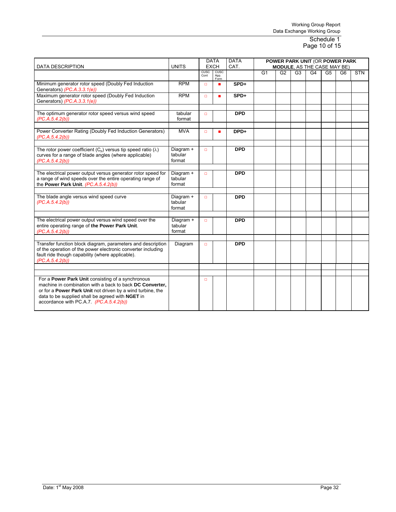#### Schedule 1 Page 10 of 15

| <b>DATA DESCRIPTION</b>                                                                                                                                                                                                                                                   | <b>UNITS</b>                   |              | <b>DATA</b><br><b>EXCH</b> | <b>DATA</b><br>CAT. | POWER PARK UNIT (OR POWER PARK<br><b>MODULE.</b> AS THE CASE MAY BE) |    |    |                |                |                |            |  |
|---------------------------------------------------------------------------------------------------------------------------------------------------------------------------------------------------------------------------------------------------------------------------|--------------------------------|--------------|----------------------------|---------------------|----------------------------------------------------------------------|----|----|----------------|----------------|----------------|------------|--|
|                                                                                                                                                                                                                                                                           |                                | CUSC<br>Cont | CUSC<br>App.<br>Form       |                     | G1                                                                   | G2 | G3 | G <sub>4</sub> | G <sub>5</sub> | G <sub>6</sub> | <b>STN</b> |  |
| Minimum generator rotor speed (Doubly Fed Induction<br>Generators) (PC.A.3.3.1(e))                                                                                                                                                                                        | <b>RPM</b>                     | $\Box$       | $\mathbf{r}$               | SPD+                |                                                                      |    |    |                |                |                |            |  |
| Maximum generator rotor speed (Doubly Fed Induction<br>Generators) (PC.A.3.3.1(e))                                                                                                                                                                                        | <b>RPM</b>                     | $\Box$       | п                          | SPD+                |                                                                      |    |    |                |                |                |            |  |
| The optimum generator rotor speed versus wind speed<br>(PC.A.5.4.2(b))                                                                                                                                                                                                    | tabular<br>format              | $\Box$       |                            | <b>DPD</b>          |                                                                      |    |    |                |                |                |            |  |
| Power Converter Rating (Doubly Fed Induction Generators)<br>(PC.A.5.4.2(b))                                                                                                                                                                                               | <b>MVA</b>                     | $\Box$       | ш                          | DPD+                |                                                                      |    |    |                |                |                |            |  |
| The rotor power coefficient ( $C_p$ ) versus tip speed ratio ( $\lambda$ )<br>curves for a range of blade angles (where applicable)<br>(PC.A.5.4.2(b))                                                                                                                    | Diagram +<br>tabular<br>format | $\Box$       |                            | <b>DPD</b>          |                                                                      |    |    |                |                |                |            |  |
| The electrical power output versus generator rotor speed for<br>a range of wind speeds over the entire operating range of<br>the Power Park Unit. (PC.A.5.4.2(b))                                                                                                         | Diagram +<br>tabular<br>format | $\Box$       |                            | <b>DPD</b>          |                                                                      |    |    |                |                |                |            |  |
| The blade angle versus wind speed curve<br>(PC.A.5.4.2(b))                                                                                                                                                                                                                | Diagram +<br>tabular<br>format | $\Box$       |                            | <b>DPD</b>          |                                                                      |    |    |                |                |                |            |  |
| The electrical power output versus wind speed over the<br>entire operating range of the Power Park Unit.<br>(PC.A.5.4.2(b))                                                                                                                                               | Diagram +<br>tabular<br>format | $\Box$       |                            | <b>DPD</b>          |                                                                      |    |    |                |                |                |            |  |
| Transfer function block diagram, parameters and description<br>of the operation of the power electronic converter including<br>fault ride though capability (where applicable).<br>(PC.A.5.4.2(b))                                                                        | Diagram                        | $\Box$       |                            | <b>DPD</b>          |                                                                      |    |    |                |                |                |            |  |
|                                                                                                                                                                                                                                                                           |                                |              |                            |                     |                                                                      |    |    |                |                |                |            |  |
| For a Power Park Unit consisting of a synchronous<br>machine in combination with a back to back DC Converter.<br>or for a Power Park Unit not driven by a wind turbine, the<br>data to be supplied shall be agreed with NGET in<br>accordance with PC.A.7 (PC.A.5.4.2(b)) |                                | $\Box$       |                            |                     |                                                                      |    |    |                |                |                |            |  |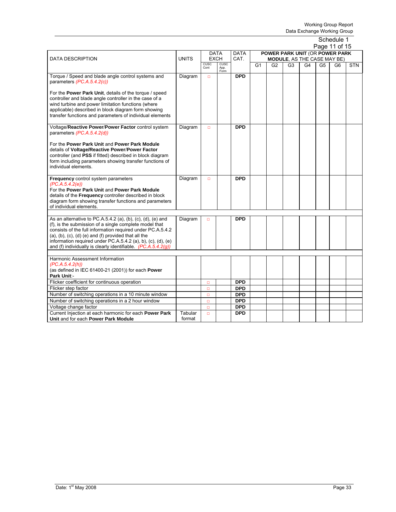|                                                                                                                                                                                                                                                                                                                                                                                               |                   |                     |                             |                          |                |                                |                                    |    |                | Schedule 1     |            |
|-----------------------------------------------------------------------------------------------------------------------------------------------------------------------------------------------------------------------------------------------------------------------------------------------------------------------------------------------------------------------------------------------|-------------------|---------------------|-----------------------------|--------------------------|----------------|--------------------------------|------------------------------------|----|----------------|----------------|------------|
|                                                                                                                                                                                                                                                                                                                                                                                               |                   |                     |                             |                          |                |                                |                                    |    |                | Page 11 of 15  |            |
|                                                                                                                                                                                                                                                                                                                                                                                               |                   |                     | <b>DATA</b>                 | <b>DATA</b>              |                | POWER PARK UNIT (OR POWER PARK |                                    |    |                |                |            |
| <b>DATA DESCRIPTION</b>                                                                                                                                                                                                                                                                                                                                                                       | <b>UNITS</b>      |                     | <b>EXCH</b>                 | CAT.                     |                |                                | <b>MODULE, AS THE CASE MAY BE)</b> |    |                |                |            |
|                                                                                                                                                                                                                                                                                                                                                                                               |                   | <b>CUSC</b><br>Cont | <b>CUSC</b><br>App.<br>Form |                          | G <sub>1</sub> | G <sub>2</sub>                 | G <sub>3</sub>                     | G4 | G <sub>5</sub> | G <sub>6</sub> | <b>STN</b> |
| Torque / Speed and blade angle control systems and<br>parameters (PC.A.5.4.2(c))                                                                                                                                                                                                                                                                                                              | Diagram           | $\Box$              |                             | <b>DPD</b>               |                |                                |                                    |    |                |                |            |
| For the Power Park Unit, details of the torque / speed<br>controller and blade angle controller in the case of a<br>wind turbine and power limitation functions (where<br>applicable) described in block diagram form showing<br>transfer functions and parameters of individual elements                                                                                                     |                   |                     |                             |                          |                |                                |                                    |    |                |                |            |
| Voltage/Reactive Power/Power Factor control system<br>parameters (PC.A.5.4.2(d))                                                                                                                                                                                                                                                                                                              | Diagram           | $\Box$              |                             | <b>DPD</b>               |                |                                |                                    |    |                |                |            |
| For the Power Park Unit and Power Park Module<br>details of Voltage/Reactive Power/Power Factor<br>controller (and PSS if fitted) described in block diagram<br>form including parameters showing transfer functions of<br>individual elements.                                                                                                                                               |                   |                     |                             |                          |                |                                |                                    |    |                |                |            |
| Frequency control system parameters<br>(PC.A.5.4.2(e))<br>For the Power Park Unit and Power Park Module<br>details of the <b>Frequency</b> controller described in block<br>diagram form showing transfer functions and parameters<br>of individual elements.                                                                                                                                 | Diagram           | $\Box$              |                             | <b>DPD</b>               |                |                                |                                    |    |                |                |            |
|                                                                                                                                                                                                                                                                                                                                                                                               |                   |                     |                             |                          |                |                                |                                    |    |                |                |            |
| As an alternative to PC.A.5.4.2 (a), (b), (c), (d), (e) and<br>(f), is the submission of a single complete model that<br>consists of the full information required under PC.A.5.4.2<br>$(a)$ , $(b)$ , $(c)$ , $(d)$ $(e)$ and $(f)$ provided that all the<br>information required under PC.A.5.4.2 (a), b), (c), (d), (e)<br>and (f) individually is clearly identifiable. $(PC.A.5.4.2(q))$ | Diagram           | $\Box$              |                             | <b>DPD</b>               |                |                                |                                    |    |                |                |            |
| Harmonic Assessment Information                                                                                                                                                                                                                                                                                                                                                               |                   |                     |                             |                          |                |                                |                                    |    |                |                |            |
| (PC.A.5.4.2(h))                                                                                                                                                                                                                                                                                                                                                                               |                   |                     |                             |                          |                |                                |                                    |    |                |                |            |
| (as defined in IEC 61400-21 (2001)) for each Power                                                                                                                                                                                                                                                                                                                                            |                   |                     |                             |                          |                |                                |                                    |    |                |                |            |
| Park Unit:-                                                                                                                                                                                                                                                                                                                                                                                   |                   |                     |                             |                          |                |                                |                                    |    |                |                |            |
| Flicker coefficient for continuous operation                                                                                                                                                                                                                                                                                                                                                  |                   | $\Box$              |                             | <b>DPD</b>               |                |                                |                                    |    |                |                |            |
| Flicker step factor                                                                                                                                                                                                                                                                                                                                                                           |                   | $\Box$              |                             | <b>DPD</b>               |                |                                |                                    |    |                |                |            |
| Number of switching operations in a 10 minute window                                                                                                                                                                                                                                                                                                                                          |                   | $\Box$              |                             | <b>DPD</b>               |                |                                |                                    |    |                |                |            |
| Number of switching operations in a 2 hour window                                                                                                                                                                                                                                                                                                                                             |                   | $\Box$              |                             | <b>DPD</b>               |                |                                |                                    |    |                |                |            |
| Voltage change factor                                                                                                                                                                                                                                                                                                                                                                         |                   | $\Box$              |                             | <b>DPD</b><br><b>DPD</b> |                |                                |                                    |    |                |                |            |
| Current Injection at each harmonic for each Power Park<br>Unit and for each Power Park Module                                                                                                                                                                                                                                                                                                 | Tabular<br>format | $\Box$              |                             |                          |                |                                |                                    |    |                |                |            |
|                                                                                                                                                                                                                                                                                                                                                                                               |                   |                     |                             |                          |                |                                |                                    |    |                |                |            |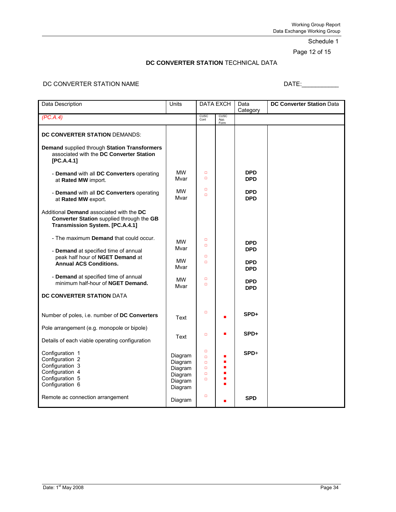Schedule 1

Page 12 of 15

#### **DC CONVERTER STATION** TECHNICAL DATA

# DC CONVERTER STATION NAME DATE:\_\_\_\_\_\_\_\_\_\_\_

| Data Description                                                                                                         | Units                         | <b>DATA EXCH</b>           |                      | Data<br>Category         | <b>DC Converter Station Data</b> |
|--------------------------------------------------------------------------------------------------------------------------|-------------------------------|----------------------------|----------------------|--------------------------|----------------------------------|
| (PC.A.4)                                                                                                                 |                               | CUSC<br>Cont               | CUSC<br>App.<br>Form |                          |                                  |
| DC CONVERTER STATION DEMANDS:                                                                                            |                               |                            |                      |                          |                                  |
| Demand supplied through Station Transformers<br>associated with the DC Converter Station<br>[PC.A.4.1]                   |                               |                            |                      |                          |                                  |
| - Demand with all DC Converters operating<br>at Rated MW import.                                                         | <b>MW</b><br>Mvar             | $\Box$<br>$\Box$           |                      | <b>DPD</b><br><b>DPD</b> |                                  |
| - Demand with all DC Converters operating<br>at Rated MW export.                                                         | <b>MW</b><br>Mvar             | $\Box$<br>$\Box$           |                      | <b>DPD</b><br><b>DPD</b> |                                  |
| Additional Demand associated with the DC<br>Converter Station supplied through the GB<br>Transmission System. [PC.A.4.1] |                               |                            |                      |                          |                                  |
| - The maximum <b>Demand</b> that could occur.                                                                            | <b>MW</b>                     | $\Box$<br>$\Box$           |                      | <b>DPD</b>               |                                  |
| - Demand at specified time of annual<br>peak half hour of NGET Demand at                                                 | Mvar                          | $\Box$                     |                      | <b>DPD</b>               |                                  |
| <b>Annual ACS Conditions.</b>                                                                                            | <b>MW</b><br>Mvar             | $\Box$                     |                      | <b>DPD</b><br><b>DPD</b> |                                  |
| - Demand at specified time of annual<br>minimum half-hour of NGET Demand.                                                | <b>MW</b><br>Mvar             | $\Box$<br>$\Box$           |                      | <b>DPD</b><br><b>DPD</b> |                                  |
| DC CONVERTER STATION DATA                                                                                                |                               |                            |                      |                          |                                  |
| Number of poles, i.e. number of DC Converters                                                                            | Text                          | $\Box$                     |                      | SPD+                     |                                  |
| Pole arrangement (e.g. monopole or bipole)                                                                               | Text                          | $\Box$                     |                      | SPD+                     |                                  |
| Details of each viable operating configuration                                                                           |                               |                            |                      |                          |                                  |
| Configuration 1<br>Configuration 2                                                                                       | Diagram<br>Diagram            | $\Box$<br>$\Box$<br>$\Box$ | п                    | $SPD+$                   |                                  |
| Configuration 3<br>Configuration 4                                                                                       | Diagram                       | $\Box$<br>$\Box$           | ■                    |                          |                                  |
| Configuration 5<br>Configuration 6                                                                                       | Diagram<br>Diagram<br>Diagram | $\Box$                     |                      |                          |                                  |
| Remote ac connection arrangement                                                                                         | Diagram                       | $\Box$                     |                      | <b>SPD</b>               |                                  |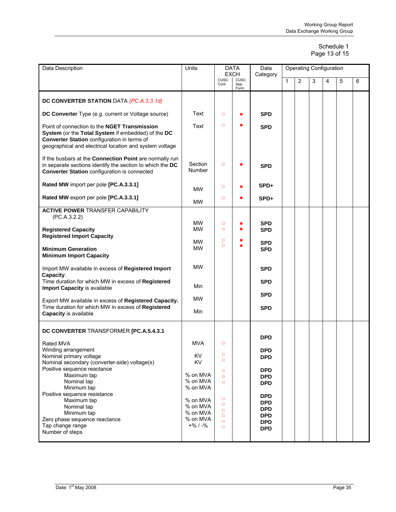#### Schedule 1 Page 13 of 15

| Data Description                                                                                                                                                                                             | Units                    | DATA<br><b>EXCH</b> |              | Data<br>Category         | <b>Operating Configuration</b> |                |   |   |   |   |  |  |
|--------------------------------------------------------------------------------------------------------------------------------------------------------------------------------------------------------------|--------------------------|---------------------|--------------|--------------------------|--------------------------------|----------------|---|---|---|---|--|--|
|                                                                                                                                                                                                              |                          | CUSC<br>Cont        | CUSC<br>App. |                          | 1                              | $\overline{2}$ | 3 | 4 | 5 | 6 |  |  |
|                                                                                                                                                                                                              |                          |                     | Form         |                          |                                |                |   |   |   |   |  |  |
| DC CONVERTER STATION DATA (PC.A.3.3.1d)                                                                                                                                                                      |                          |                     |              |                          |                                |                |   |   |   |   |  |  |
| DC Converter Type (e.g. current or Voltage source)                                                                                                                                                           | Text                     | $\Box$              |              | <b>SPD</b>               |                                |                |   |   |   |   |  |  |
| Point of connection to the NGET Transmission<br>System (or the Total System if embedded) of the DC<br>Converter Station configuration in terms of<br>geographical and electrical location and system voltage | Text                     | $\Box$              |              | <b>SPD</b>               |                                |                |   |   |   |   |  |  |
| If the busbars at the Connection Point are normally run<br>in separate sections identify the section to which the DC<br><b>Converter Station configuration is connected</b>                                  | Section<br><b>Number</b> | $\Box$              |              | <b>SPD</b>               |                                |                |   |   |   |   |  |  |
| Rated MW import per pole [PC.A.3.3.1]                                                                                                                                                                        | <b>MW</b>                | $\Box$              |              | SPD+                     |                                |                |   |   |   |   |  |  |
| Rated MW export per pole [PC.A.3.3.1]                                                                                                                                                                        | <b>MW</b>                | $\Box$              | ■            | SPD+                     |                                |                |   |   |   |   |  |  |
| <b>ACTIVE POWER TRANSFER CAPABILITY</b><br>(PC.A.3.2.2)                                                                                                                                                      |                          |                     |              |                          |                                |                |   |   |   |   |  |  |
| <b>Registered Capacity</b>                                                                                                                                                                                   | <b>MW</b><br><b>MW</b>   | $\Box$<br>$\Box$    |              | <b>SPD</b><br><b>SPD</b> |                                |                |   |   |   |   |  |  |
| <b>Registered Import Capacity</b>                                                                                                                                                                            | <b>MW</b>                | $\Box$              |              | <b>SPD</b>               |                                |                |   |   |   |   |  |  |
| <b>Minimum Generation</b><br><b>Minimum Import Capacity</b>                                                                                                                                                  | <b>MW</b>                | $\Box$              |              | <b>SPD</b>               |                                |                |   |   |   |   |  |  |
| Import MW available in excess of Registered Import<br>Capacity.                                                                                                                                              | <b>MW</b>                |                     |              | <b>SPD</b>               |                                |                |   |   |   |   |  |  |
| Time duration for which MW in excess of Registered<br>Import Capacity is available                                                                                                                           | Min                      |                     |              | <b>SPD</b>               |                                |                |   |   |   |   |  |  |
| Export MW available in excess of Registered Capacity.                                                                                                                                                        | <b>MW</b>                |                     |              | <b>SPD</b>               |                                |                |   |   |   |   |  |  |
| Time duration for which MW in excess of Registered<br><b>Capacity is available</b>                                                                                                                           | Min                      |                     |              | <b>SPD</b>               |                                |                |   |   |   |   |  |  |
| DC CONVERTER TRANSFORMER [PC.A.5.4.3.1                                                                                                                                                                       |                          |                     |              |                          |                                |                |   |   |   |   |  |  |
| Rated MVA                                                                                                                                                                                                    | <b>MVA</b>               | о                   |              | <b>DPD</b>               |                                |                |   |   |   |   |  |  |
| Winding arrangement                                                                                                                                                                                          | KV                       | о                   |              | <b>DPD</b>               |                                |                |   |   |   |   |  |  |
| Nominal primary voltage<br>Nominal secondary (converter-side) voltage(s)                                                                                                                                     | KV                       | $\Box$              |              | <b>DPD</b>               |                                |                |   |   |   |   |  |  |
| Positive sequence reactance<br>Maximum tap                                                                                                                                                                   | % on MVA                 | $\Box$<br>$\Box$    |              | <b>DPD</b><br><b>DPD</b> |                                |                |   |   |   |   |  |  |
| Nominal tap                                                                                                                                                                                                  | % on MVA                 | $\Box$              |              | <b>DPD</b>               |                                |                |   |   |   |   |  |  |
| Minimum tap<br>Positive sequence resistance                                                                                                                                                                  | % on MVA                 |                     |              | <b>DPD</b>               |                                |                |   |   |   |   |  |  |
| Maximum tap                                                                                                                                                                                                  | % on MVA                 | о<br>$\Box$         |              | <b>DPD</b>               |                                |                |   |   |   |   |  |  |
| Nominal tap<br>Minimum tap                                                                                                                                                                                   | % on MVA<br>% on MVA     | $\Box$              |              | <b>DPD</b>               |                                |                |   |   |   |   |  |  |
| Zero phase sequence reactance                                                                                                                                                                                | % on MVA                 | $\Box$<br>$\Box$    |              | <b>DPD</b><br><b>DPD</b> |                                |                |   |   |   |   |  |  |
| Tap change range<br>Number of steps                                                                                                                                                                          | $+$ % / -%               | $\Box$              |              | <b>DPD</b>               |                                |                |   |   |   |   |  |  |
|                                                                                                                                                                                                              |                          |                     |              |                          |                                |                |   |   |   |   |  |  |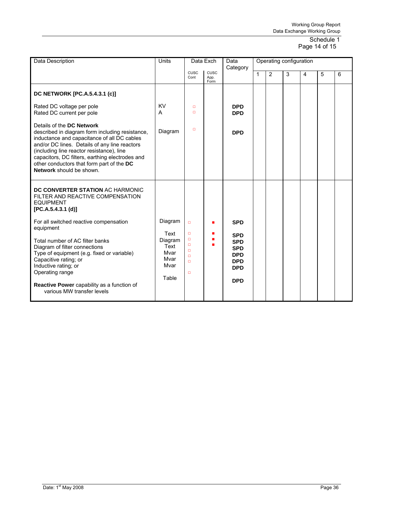#### Schedule 1 Page 14 of 15

| Data Description                                                                                                                                                                                                                                                                                                                                      | Units                                            |                                                     | Data Exch                   | Data<br>Category                                                                               |              | Operating configuration |   |                |   |   |
|-------------------------------------------------------------------------------------------------------------------------------------------------------------------------------------------------------------------------------------------------------------------------------------------------------------------------------------------------------|--------------------------------------------------|-----------------------------------------------------|-----------------------------|------------------------------------------------------------------------------------------------|--------------|-------------------------|---|----------------|---|---|
|                                                                                                                                                                                                                                                                                                                                                       |                                                  | CUSC<br>Cont                                        | <b>CUSC</b><br>App.<br>Form |                                                                                                | $\mathbf{1}$ | 2                       | 3 | $\overline{4}$ | 5 | 6 |
| DC NETWORK [PC.A.5.4.3.1 (c)]                                                                                                                                                                                                                                                                                                                         |                                                  |                                                     |                             |                                                                                                |              |                         |   |                |   |   |
| Rated DC voltage per pole<br>Rated DC current per pole                                                                                                                                                                                                                                                                                                | <b>KV</b><br>A                                   | $\Box$<br>o                                         |                             | <b>DPD</b><br><b>DPD</b>                                                                       |              |                         |   |                |   |   |
| Details of the DC Network<br>described in diagram form including resistance,<br>inductance and capacitance of all DC cables<br>and/or DC lines. Details of any line reactors<br>(including line reactor resistance), line<br>capacitors, DC filters, earthing electrodes and<br>other conductors that form part of the DC<br>Network should be shown. | Diagram                                          | $\Box$                                              |                             | <b>DPD</b>                                                                                     |              |                         |   |                |   |   |
| DC CONVERTER STATION AC HARMONIC<br>FILTER AND REACTIVE COMPENSATION<br><b>EQUIPMENT</b><br>[PC.A.5.4.3.1 (d)]                                                                                                                                                                                                                                        |                                                  |                                                     |                             |                                                                                                |              |                         |   |                |   |   |
| For all switched reactive compensation<br>equipment                                                                                                                                                                                                                                                                                                   | Diagram<br>Text                                  | $\Box$<br>$\Box$                                    |                             | <b>SPD</b>                                                                                     |              |                         |   |                |   |   |
| Total number of AC filter banks<br>Diagram of filter connections<br>Type of equipment (e.g. fixed or variable)<br>Capacitive rating; or<br>Inductive rating; or<br>Operating range<br>Reactive Power capability as a function of                                                                                                                      | Diagram<br>Text<br>Mvar<br>Mvar<br>Mvar<br>Table | $\Box$<br>$\Box$<br>$\Box$<br>o<br>$\Box$<br>$\Box$ |                             | <b>SPD</b><br><b>SPD</b><br><b>SPD</b><br><b>DPD</b><br><b>DPD</b><br><b>DPD</b><br><b>DPD</b> |              |                         |   |                |   |   |
| various MW transfer levels                                                                                                                                                                                                                                                                                                                            |                                                  |                                                     |                             |                                                                                                |              |                         |   |                |   |   |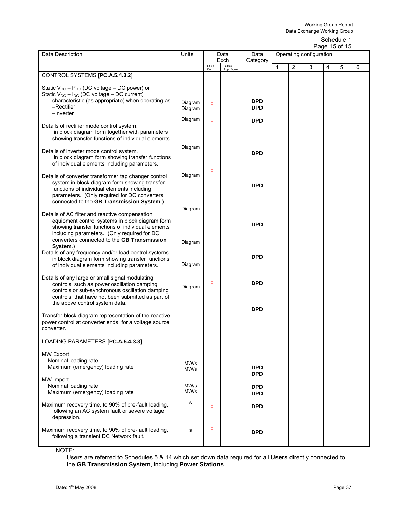|                                                                                                                                                                                                                                                  |                    |                  |              |                          |              |   |                         |   | Page 15 or 15 |   |
|--------------------------------------------------------------------------------------------------------------------------------------------------------------------------------------------------------------------------------------------------|--------------------|------------------|--------------|--------------------------|--------------|---|-------------------------|---|---------------|---|
| Data Description                                                                                                                                                                                                                                 | Units              |                  | Data         | Data                     |              |   | Operating configuration |   |               |   |
|                                                                                                                                                                                                                                                  |                    | CUSC             | Exch<br>CUSC | Category                 | $\mathbf{1}$ | 2 | 3                       | 4 | 5             | 6 |
|                                                                                                                                                                                                                                                  |                    | Cont             | App. Form    |                          |              |   |                         |   |               |   |
| CONTROL SYSTEMS [PC.A.5.4.3.2]                                                                                                                                                                                                                   |                    |                  |              |                          |              |   |                         |   |               |   |
| Static $V_{DC} - P_{DC}$ (DC voltage – DC power) or<br>Static $V_{DC} - I_{DC}$ (DC voltage – DC current)<br>characteristic (as appropriate) when operating as<br>$-$ Rectifier                                                                  | Diagram<br>Diagram | $\Box$           |              | <b>DPD</b><br><b>DPD</b> |              |   |                         |   |               |   |
| $-I$ nverter                                                                                                                                                                                                                                     |                    | $\Box$           |              |                          |              |   |                         |   |               |   |
| Details of rectifier mode control system,<br>in block diagram form together with parameters<br>showing transfer functions of individual elements.                                                                                                | Diagram            | $\Box$           |              | <b>DPD</b>               |              |   |                         |   |               |   |
|                                                                                                                                                                                                                                                  | Diagram            | $\Box$           |              |                          |              |   |                         |   |               |   |
| Details of inverter mode control system,<br>in block diagram form showing transfer functions<br>of individual elements including parameters.                                                                                                     |                    | $\Box$           |              | <b>DPD</b>               |              |   |                         |   |               |   |
| Details of converter transformer tap changer control<br>system in block diagram form showing transfer<br>functions of individual elements including<br>parameters. (Only required for DC converters<br>connected to the GB Transmission System.) | Diagram            |                  |              | <b>DPD</b>               |              |   |                         |   |               |   |
| Details of AC filter and reactive compensation<br>equipment control systems in block diagram form<br>showing transfer functions of individual elements<br>including parameters. (Only required for DC                                            | Diagram            | $\Box$           |              | <b>DPD</b>               |              |   |                         |   |               |   |
| converters connected to the GB Transmission<br>System.)<br>Details of any frequency and/or load control systems<br>in block diagram form showing transfer functions                                                                              | Diagram            | $\Box$<br>$\Box$ |              | <b>DPD</b>               |              |   |                         |   |               |   |
| of individual elements including parameters.                                                                                                                                                                                                     | Diagram            |                  |              |                          |              |   |                         |   |               |   |
| Details of any large or small signal modulating<br>controls, such as power oscillation damping<br>controls or sub-synchronous oscillation damping<br>controls, that have not been submitted as part of<br>the above control system data.         | Diagram            | $\Box$           |              | <b>DPD</b>               |              |   |                         |   |               |   |
|                                                                                                                                                                                                                                                  |                    | $\Box$           |              | <b>DPD</b>               |              |   |                         |   |               |   |
| Transfer block diagram representation of the reactive<br>power control at converter ends for a voltage source<br>converter.                                                                                                                      |                    |                  |              |                          |              |   |                         |   |               |   |
| LOADING PARAMETERS [PC.A.5.4.3.3]                                                                                                                                                                                                                |                    |                  |              |                          |              |   |                         |   |               |   |
| <b>MW Export</b><br>Nominal loading rate<br>Maximum (emergency) loading rate                                                                                                                                                                     | MW/s<br>MW/s       |                  |              | <b>DPD</b><br><b>DPD</b> |              |   |                         |   |               |   |
| MW Import<br>Nominal loading rate<br>Maximum (emergency) loading rate                                                                                                                                                                            | MW/s<br>MW/s       |                  |              | DPD.<br><b>DPD</b>       |              |   |                         |   |               |   |
| Maximum recovery time, to 90% of pre-fault loading,<br>following an AC system fault or severe voltage<br>depression.                                                                                                                             | s                  | $\Box$           |              | <b>DPD</b>               |              |   |                         |   |               |   |
| Maximum recovery time, to 90% of pre-fault loading,<br>following a transient DC Network fault.                                                                                                                                                   | s                  | $\Box$           |              | <b>DPD</b>               |              |   |                         |   |               |   |

NOTE:

Users are referred to Schedules 5 & 14 which set down data required for all **Users** directly connected to the **GB Transmission System**, including **Power Stations**.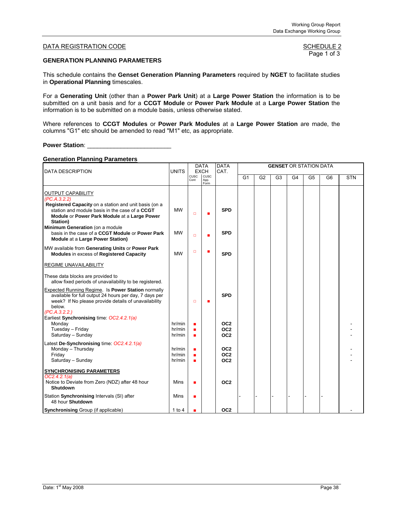#### **GENERATION PLANNING PARAMETERS**

This schedule contains the **Genset Generation Planning Parameters** required by **NGET** to facilitate studies in **Operational Planning** timescales.

For a **Generating Unit** (other than a **Power Park Unit**) at a **Large Power Station** the information is to be submitted on a unit basis and for a **CCGT Module** or **Power Park Module** at a **Large Power Station** the information is to be submitted on a module basis, unless otherwise stated.

Where references to **CCGT Modules** or **Power Park Modules** at a **Large Power Station** are made, the columns "G1" etc should be amended to read "M1" etc, as appropriate.

#### **Power Station**: \_\_\_\_\_\_\_\_\_\_\_\_\_\_\_\_\_\_\_\_\_\_\_\_\_

#### **Generation Planning Parameters**

| <b>DATA DESCRIPTION</b>                                                                                                                                                                                                                                                                                                                    | <b>UNITS</b>               |                     | <b>DATA</b><br><b>EXCH</b> | <b>DATA</b><br>CAT.                                   |                |                |                |                | <b>GENSET OR STATION DATA</b> |                |            |
|--------------------------------------------------------------------------------------------------------------------------------------------------------------------------------------------------------------------------------------------------------------------------------------------------------------------------------------------|----------------------------|---------------------|----------------------------|-------------------------------------------------------|----------------|----------------|----------------|----------------|-------------------------------|----------------|------------|
|                                                                                                                                                                                                                                                                                                                                            |                            | <b>CUSC</b><br>Cont | CUSC<br>App.<br>Form       |                                                       | G <sub>1</sub> | G <sub>2</sub> | G <sub>3</sub> | G <sub>4</sub> | G <sub>5</sub>                | G <sub>6</sub> | <b>STN</b> |
| <b>OUTPUT CAPABILITY</b><br>(PC.A.3.2.2)<br>Registered Capacity on a station and unit basis (on a<br>station and module basis in the case of a CCGT<br>Module or Power Park Module at a Large Power<br>Station)<br>Minimum Generation (on a module<br>basis in the case of a CCGT Module or Power Park<br>Module at a Large Power Station) | <b>MW</b><br><b>MW</b>     | $\Box$<br>$\Box$    | п                          | <b>SPD</b><br><b>SPD</b>                              |                |                |                |                |                               |                |            |
| MW available from Generating Units or Power Park<br>Modules in excess of Registered Capacity                                                                                                                                                                                                                                               | <b>MW</b>                  | $\Box$              | г                          | <b>SPD</b>                                            |                |                |                |                |                               |                |            |
| REGIME UNAVAILABILITY                                                                                                                                                                                                                                                                                                                      |                            |                     |                            |                                                       |                |                |                |                |                               |                |            |
| These data blocks are provided to<br>allow fixed periods of unavailability to be registered.                                                                                                                                                                                                                                               |                            |                     |                            |                                                       |                |                |                |                |                               |                |            |
| Expected Running Regime. Is Power Station normally<br>available for full output 24 hours per day, 7 days per<br>week? If No please provide details of unavailability<br>below.<br>(PC.A.3.2.2.)<br>Earliest Synchronising time: OC2.4.2.1(a)                                                                                               |                            | $\Box$              | п                          | <b>SPD</b>                                            |                |                |                |                |                               |                |            |
| Monday<br>Tuesday - Friday<br>Saturday - Sunday                                                                                                                                                                                                                                                                                            | hr/min<br>hr/min<br>hr/min | п<br>п              |                            | OC <sub>2</sub><br>OC <sub>2</sub><br>OC <sub>2</sub> |                |                |                |                |                               |                |            |
| Latest De-Synchronising time: OC2.4.2.1(a)<br>Monday - Thursday<br>Friday<br>Saturday - Sunday                                                                                                                                                                                                                                             | hr/min<br>hr/min<br>hr/min | п                   |                            | OC <sub>2</sub><br>OC <sub>2</sub><br>OC <sub>2</sub> |                |                |                |                |                               |                |            |
| <b>SYNCHRONISING PARAMETERS</b><br>OC2.4.2.1(a)<br>Notice to Deviate from Zero (NDZ) after 48 hour<br>Shutdown                                                                                                                                                                                                                             | Mins                       | п                   |                            | OC <sub>2</sub>                                       |                |                |                |                |                               |                |            |
| Station Synchronising Intervals (SI) after<br>48 hour Shutdown                                                                                                                                                                                                                                                                             | Mins                       | П                   |                            |                                                       |                |                |                |                |                               |                |            |
| <b>Synchronising Group (if applicable)</b>                                                                                                                                                                                                                                                                                                 | $1$ to $4$                 |                     |                            | OC <sub>2</sub>                                       |                |                |                |                |                               |                |            |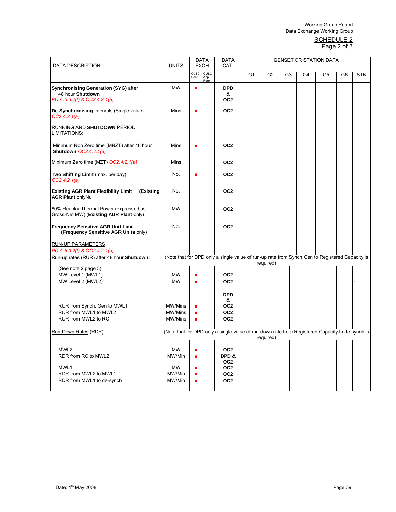#### <u>SCHEDULE 2</u> Page 2 of 3

| <b>DATA DESCRIPTION</b>                                                                         | <b>UNITS</b>           |                     | <b>DATA</b><br><b>EXCH</b> | <b>DATA</b><br>CAT.                                                                             |                |                |                |    | <b>GENSET OR STATION DATA</b> |    |            |
|-------------------------------------------------------------------------------------------------|------------------------|---------------------|----------------------------|-------------------------------------------------------------------------------------------------|----------------|----------------|----------------|----|-------------------------------|----|------------|
|                                                                                                 |                        | CUSC<br>Cont        | cusc<br>App.<br>Form       |                                                                                                 | G <sub>1</sub> | G <sub>2</sub> | G <sub>3</sub> | G4 | G <sub>5</sub>                | G6 | <b>STN</b> |
| <b>Synchronising Generation (SYG) after</b><br>48 hour Shutdown<br>PC.A.5.3.2(f) & OC2.4.2.1(a) | <b>MW</b>              | ٠                   |                            | <b>DPD</b><br>&<br>OC <sub>2</sub>                                                              |                |                |                |    |                               |    |            |
| De-Synchronising Intervals (Single value)<br>OC2.4.2.1(a)                                       | <b>Mins</b>            | ٠                   |                            | OC <sub>2</sub>                                                                                 |                |                |                |    |                               |    |            |
| RUNNING AND SHUTDOWN PERIOD<br><b>LIMITATIONS:</b>                                              |                        |                     |                            |                                                                                                 |                |                |                |    |                               |    |            |
| Minimum Non Zero time (MNZT) after 48 hour<br>Shutdown OC2.4.2.1(a)                             | <b>Mins</b>            | п                   |                            | OC <sub>2</sub>                                                                                 |                |                |                |    |                               |    |            |
| Minimum Zero time (MZT) OC2.4.2.1(a)                                                            | Mins                   |                     |                            | OC <sub>2</sub>                                                                                 |                |                |                |    |                               |    |            |
| Two Shifting Limit (max. per day)<br>OC2.4.2.1(a)                                               | No.                    | п                   |                            | OC <sub>2</sub>                                                                                 |                |                |                |    |                               |    |            |
| <b>Existing AGR Plant Flexibility Limit</b><br>(Existing<br><b>AGR Plant onlyNu</b>             | No.                    |                     |                            | OC <sub>2</sub>                                                                                 |                |                |                |    |                               |    |            |
| 80% Reactor Thermal Power (expressed as<br>Gross-Net MW) (Existing AGR Plant only)              | <b>MW</b>              |                     |                            | OC <sub>2</sub>                                                                                 |                |                |                |    |                               |    |            |
| <b>Frequency Sensitive AGR Unit Limit</b><br>(Frequency Sensitive AGR Units only)               | No.                    |                     |                            | OC <sub>2</sub>                                                                                 |                |                |                |    |                               |    |            |
| <b>RUN-UP PARAMETERS</b>                                                                        |                        |                     |                            |                                                                                                 |                |                |                |    |                               |    |            |
| PC.A.5.3.2(f) & OC2.4.2.1(a)<br>Run-up rates (RUR) after 48 hour Shutdown:                      |                        |                     |                            | (Note that for DPD only a single value of run-up rate from Synch Gen to Registered Capacity is  |                | required)      |                |    |                               |    |            |
| (See note 2 page 3)                                                                             |                        |                     |                            |                                                                                                 |                |                |                |    |                               |    |            |
| MW Level 1 (MWL1)<br>MW Level 2 (MWL2)                                                          | <b>MW</b><br><b>MW</b> | п                   |                            | OC <sub>2</sub><br>OC <sub>2</sub>                                                              |                |                |                |    |                               |    |            |
|                                                                                                 |                        |                     |                            |                                                                                                 |                |                |                |    |                               |    |            |
|                                                                                                 |                        |                     |                            | <b>DPD</b><br>&                                                                                 |                |                |                |    |                               |    |            |
| RUR from Synch. Gen to MWL1                                                                     | MW/Mins                | $\blacksquare$      |                            | OC <sub>2</sub><br>OC <sub>2</sub>                                                              |                |                |                |    |                               |    |            |
| RUR from MWL1 to MWL2<br>RUR from MWL2 to RC                                                    | MW/Mins<br>MW/Mins     | ٠<br>п              |                            | OC <sub>2</sub>                                                                                 |                |                |                |    |                               |    |            |
| Run-Down Rates (RDR):                                                                           |                        |                     |                            | (Note that for DPD only a single value of run-down rate from Registered Capacity to de-synch is |                | required)      |                |    |                               |    |            |
|                                                                                                 |                        |                     |                            |                                                                                                 |                |                |                |    |                               |    |            |
| MWL2<br>RDR from RC to MWL2                                                                     | <b>MW</b><br>MW/Min    | п<br>$\blacksquare$ |                            | OC <sub>2</sub><br>DPD &                                                                        |                |                |                |    |                               |    |            |
| MWL1                                                                                            | <b>MW</b>              |                     |                            | OC <sub>2</sub>                                                                                 |                |                |                |    |                               |    |            |
| RDR from MWL2 to MWL1                                                                           | MW/Min                 | п<br>п              |                            | OC <sub>2</sub><br>OC <sub>2</sub>                                                              |                |                |                |    |                               |    |            |
| RDR from MWL1 to de-synch                                                                       | MW/Min                 | п                   |                            | OC <sub>2</sub>                                                                                 |                |                |                |    |                               |    |            |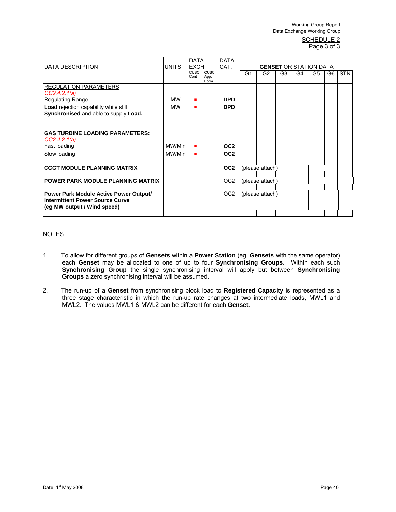# Page 3 of 3

|                                               |              | <b>DATA</b>         |                     | <b>DATA</b>     |                |                               |                |    |    |    |            |
|-----------------------------------------------|--------------|---------------------|---------------------|-----------------|----------------|-------------------------------|----------------|----|----|----|------------|
| DATA DESCRIPTION                              | <b>UNITS</b> | <b>EXCH</b>         |                     | CAT.            |                | <b>GENSET OR STATION DATA</b> |                |    |    |    |            |
|                                               |              | <b>CUSC</b><br>Cont | <b>CUSC</b><br>App. |                 | G <sub>1</sub> | G <sub>2</sub>                | G <sub>3</sub> | G4 | G5 | G6 | <b>STN</b> |
|                                               |              |                     | Form                |                 |                |                               |                |    |    |    |            |
| <b>REGULATION PARAMETERS</b><br>OC2.4.2.1(a)  |              |                     |                     |                 |                |                               |                |    |    |    |            |
| <b>Regulating Range</b>                       | МW           | п                   |                     | <b>DPD</b>      |                |                               |                |    |    |    |            |
| Load rejection capability while still         | MW           |                     |                     | <b>DPD</b>      |                |                               |                |    |    |    |            |
| Synchronised and able to supply Load.         |              |                     |                     |                 |                |                               |                |    |    |    |            |
|                                               |              |                     |                     |                 |                |                               |                |    |    |    |            |
|                                               |              |                     |                     |                 |                |                               |                |    |    |    |            |
| <b>GAS TURBINE LOADING PARAMETERS:</b>        |              |                     |                     |                 |                |                               |                |    |    |    |            |
| OC2.4.2.1(a)                                  |              |                     |                     |                 |                |                               |                |    |    |    |            |
| Fast loading                                  | MW/Min       |                     |                     | OC <sub>2</sub> |                |                               |                |    |    |    |            |
| Slow loading                                  | MW/Min       |                     |                     | OC <sub>2</sub> |                |                               |                |    |    |    |            |
|                                               |              |                     |                     |                 |                |                               |                |    |    |    |            |
| <b>CCGT MODULE PLANNING MATRIX</b>            |              |                     |                     | OC <sub>2</sub> |                | (please attach)               |                |    |    |    |            |
| POWER PARK MODULE PLANNING MATRIX             |              |                     |                     | OC <sub>2</sub> |                | (please attach)               |                |    |    |    |            |
|                                               |              |                     |                     |                 |                |                               |                |    |    |    |            |
| <b>Power Park Module Active Power Output/</b> |              |                     |                     | OC <sub>2</sub> |                | (please attach)               |                |    |    |    |            |
| <b>Intermittent Power Source Curve</b>        |              |                     |                     |                 |                |                               |                |    |    |    |            |
| (eg MW output / Wind speed)                   |              |                     |                     |                 |                |                               |                |    |    |    |            |
|                                               |              |                     |                     |                 |                |                               |                |    |    |    |            |

# NOTES:

- 1. To allow for different groups of **Gensets** within a **Power Station** (eg. **Gensets** with the same operator) each **Genset** may be allocated to one of up to four **Synchronising Groups**. Within each such **Synchronising Group** the single synchronising interval will apply but between **Synchronising Groups** a zero synchronising interval will be assumed.
- 2. The run-up of a **Genset** from synchronising block load to **Registered Capacity** is represented as a three stage characteristic in which the run-up rate changes at two intermediate loads, MWL1 and MWL2. The values MWL1 & MWL2 can be different for each **Genset**.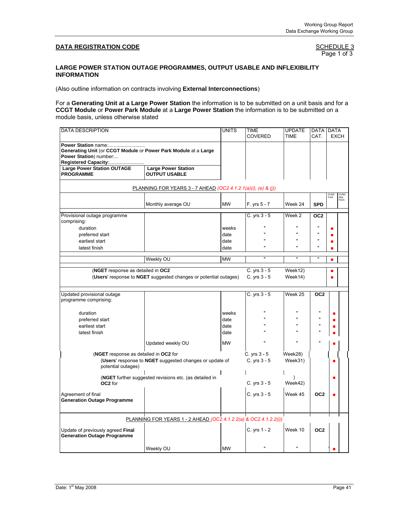Page 1 of 3

### **LARGE POWER STATION OUTAGE PROGRAMMES, OUTPUT USABLE AND INFLEXIBILITY INFORMATION**

(Also outline information on contracts involving **External Interconnections**)

For a **Generating Unit at a Large Power Station** the information is to be submitted on a unit basis and for a **CCGT Module** or **Power Park Module** at a **Large Power Station** the information is to be submitted on a module basis, unless otherwise stated

| <b>DATA DESCRIPTION</b>                                                                                                                 |                                                                  | <b>UNITS</b>                               | TIME<br><b>COVERED</b>         | <b>UPDATE</b><br><b>TIME</b> | <b>DATA</b><br>CAT.                                              | <b>DATA</b><br><b>EXCH</b> |              |
|-----------------------------------------------------------------------------------------------------------------------------------------|------------------------------------------------------------------|--------------------------------------------|--------------------------------|------------------------------|------------------------------------------------------------------|----------------------------|--------------|
| Power Station name:<br>Generating Unit (or CCGT Module or Power Park Module at a Large<br>Power Station) number:<br>Registered Capacity |                                                                  |                                            |                                |                              |                                                                  |                            |              |
| <b>Large Power Station OUTAGE</b><br><b>PROGRAMME</b>                                                                                   | <b>Large Power Station</b><br><b>OUTPUT USABLE</b>               |                                            |                                |                              |                                                                  |                            |              |
|                                                                                                                                         | PLANNING FOR YEARS 3 - 7 AHEAD (OC2.4.1.2.1(a)(i), (e) & (j))    |                                            |                                |                              |                                                                  |                            |              |
|                                                                                                                                         | Monthly average OU                                               | <b>MW</b>                                  | F. yrs 5 - 7                   | Week 24                      | <b>SPD</b>                                                       | cuso<br>Cont               | App.<br>Form |
| Provisional outage programme<br>comprising:                                                                                             |                                                                  |                                            | $C. yrs 3 - 5$                 | Week <sub>2</sub>            | OC <sub>2</sub>                                                  |                            |              |
| duration<br>preferred start<br>earliest start<br>latest finish                                                                          |                                                                  | weeks<br>date<br>date<br>date              | $\mathbf{u}$                   | $\mathbf{u}$                 | $\blacksquare$<br>$\blacksquare$<br>$\mathbf{u}$<br>$\mathbf{u}$ |                            |              |
|                                                                                                                                         | Weekly OU                                                        | <b>MW</b>                                  | $\overline{\mathbf{u}}$        | $\overline{\phantom{a}}$     | $\mathbf{u}$                                                     | п                          |              |
| (NGET response as detailed in OC2                                                                                                       | (Users' response to NGET suggested changes or potential outages) |                                            | C. yrs 3 - 5<br>C. yrs 3 - 5   | Week12)<br>Week14)           |                                                                  | п                          |              |
| Updated provisional outage<br>programme comprising:                                                                                     |                                                                  |                                            | C. yrs $3 - 5$                 | $\overline{\text{Week}}$ 25  | OC <sub>2</sub>                                                  |                            |              |
| duration<br>preferred start<br>earliest start<br>latest finish                                                                          | Updated weekly OU                                                | weeks<br>date<br>date<br>date<br><b>MW</b> | $\mathbf{u}$                   |                              |                                                                  |                            |              |
| (NGET response as detailed in OC2 for<br>potential outages)                                                                             | (Users' response to NGET suggested changes or update of          |                                            | C. yrs $3 - 5$<br>C. yrs 3 - 5 | Week28)<br>Week31)           |                                                                  |                            |              |
| OC <sub>2</sub> for                                                                                                                     | (NGET further suggested revisions etc. (as detailed in           |                                            | C. yrs $3 - 5$                 | Week42)                      |                                                                  |                            |              |
| Agreement of final<br><b>Generation Outage Programme</b>                                                                                |                                                                  |                                            | C. yrs 3 - 5                   | Week 45                      | OC <sub>2</sub>                                                  |                            |              |
|                                                                                                                                         | PLANNING FOR YEARS 1 - 2 AHEAD (OC2.4.1.2.2(a) & OC2.4.1.2.2(i)) |                                            |                                |                              |                                                                  |                            |              |
| Update of previously agreed Final<br><b>Generation Outage Programme</b>                                                                 |                                                                  |                                            | C. yrs 1 - 2                   | Week 10                      | OC <sub>2</sub>                                                  |                            |              |
|                                                                                                                                         | Weekly OU                                                        | <b>MW</b>                                  | $\mathbf{u}$                   |                              |                                                                  |                            |              |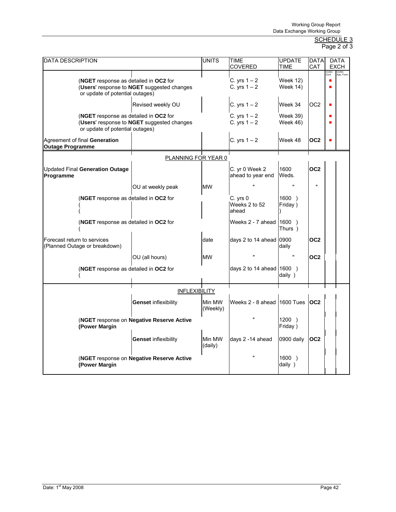# SCHEDULE 3

| Page 2 of 3 |  |  |  |
|-------------|--|--|--|
|-------------|--|--|--|

| <b>DATA DESCRIPTION</b>                                                  |                                            | UNITS              | TIME<br>COVERED                     | <b>UPDATE</b><br><b>TIME</b>       | <b>DATA</b><br><b>CAT</b> |              | DATA<br><b>EXCH</b> |
|--------------------------------------------------------------------------|--------------------------------------------|--------------------|-------------------------------------|------------------------------------|---------------------------|--------------|---------------------|
| (NGET response as detailed in OC2 for<br>or update of potential outages) | (Users' response to NGET suggested changes |                    | C. yrs $1-2$<br>C. yrs $1 - 2$      | <b>Week 12)</b><br><b>Week 14)</b> |                           | CUSC<br>Cont | CUSC<br>App. Form   |
|                                                                          | Revised weekly OU                          |                    | C. yrs $1 - 2$                      | Week 34                            | OC <sub>2</sub>           | п            |                     |
| (NGET response as detailed in OC2 for<br>or update of potential outages) | (Users' response to NGET suggested changes |                    | C. yrs $1 - 2$<br>C. yrs $1 - 2$    | <b>Week 39)</b><br>Week 46)        |                           |              |                     |
| Agreement of final Generation<br><b>Outage Programme</b>                 |                                            |                    | C. yrs $1 - 2$                      | Week 48                            | OC <sub>2</sub>           |              |                     |
|                                                                          | PLANNING FOR YEAR 0                        |                    |                                     |                                    |                           |              |                     |
| <b>Updated Final Generation Outage</b><br>Programme                      |                                            |                    | C. yr 0 Week 2<br>ahead to year end | 1600<br>Weds.                      | OC <sub>2</sub>           |              |                     |
|                                                                          | OU at weekly peak                          | <b>MW</b>          |                                     | $\mathbf{u}$                       | $\mathbf{u}$              |              |                     |
| (NGET response as detailed in OC2 for                                    |                                            |                    | C. yrs 0<br>Weeks 2 to 52<br>ahead  | 1600)<br>Friday)                   |                           |              |                     |
| (NGET response as detailed in OC2 for                                    |                                            |                    | Weeks 2 - 7 ahead (1600)            | Thurs )                            |                           |              |                     |
| Forecast return to services<br>(Planned Outage or breakdown)             |                                            | date               | days 2 to 14 ahead 0900             | daily                              | OC <sub>2</sub>           |              |                     |
|                                                                          | OU (all hours)                             | <b>MW</b>          |                                     |                                    | OC <sub>2</sub>           |              |                     |
| (NGET response as detailed in OC2 for                                    |                                            |                    | days 2 to 14 ahead $1600$ )         | daily)                             |                           |              |                     |
|                                                                          | <b>INFLEXIBILITY</b>                       |                    |                                     |                                    |                           |              |                     |
|                                                                          | <b>Genset inflexibility</b>                | Min MW<br>(Weekly) | Weeks 2 - 8 ahead 1600 Tues         |                                    | OC <sub>2</sub>           |              |                     |
| (Power Margin                                                            | (NGET response on Negative Reserve Active  |                    | $\mathbf{u}$                        | 1200)<br>Friday)                   |                           |              |                     |
|                                                                          | <b>Genset inflexibility</b>                | Min MW<br>(daily)  | days 2 -14 ahead                    | 0900 daily                         | OC <sub>2</sub>           |              |                     |
| (Power Margin                                                            | (NGET response on Negative Reserve Active  |                    | $\mathbf{u}$                        | 1600)<br>daily)                    |                           |              |                     |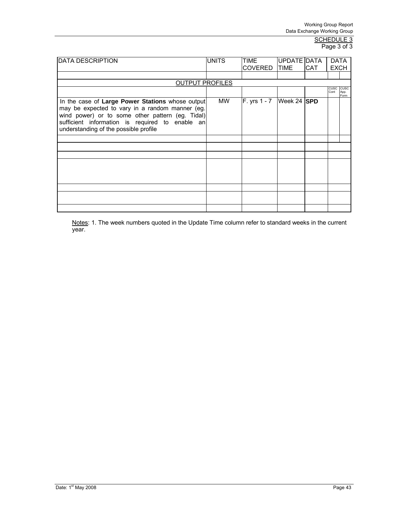#### <u>SCHEDULE 3</u> Page 3 of 3

| <b>DATA DESCRIPTION</b>                                                                                                                                                                                                                             | <b>UNITS</b> | TIME<br><b>COVERED</b> | UPDATE DATA<br><b>ITIME</b> | <b>CAT</b> | <b>DATA</b><br><b>EXCH</b> |                      |
|-----------------------------------------------------------------------------------------------------------------------------------------------------------------------------------------------------------------------------------------------------|--------------|------------------------|-----------------------------|------------|----------------------------|----------------------|
|                                                                                                                                                                                                                                                     |              |                        |                             |            |                            |                      |
| <b>OUTPUT PROFILES</b>                                                                                                                                                                                                                              |              |                        |                             |            |                            |                      |
|                                                                                                                                                                                                                                                     |              |                        |                             |            | CUSC<br>Cont               | CUSC<br>App.<br>Form |
| In the case of Large Power Stations whose output<br>may be expected to vary in a random manner (eg.<br>wind power) or to some other pattern (eg. Tidal)<br>sufficient information is required to enable an<br>understanding of the possible profile | <b>MW</b>    | F. yrs 1 - 7           | Week 24 SPD                 |            |                            |                      |
|                                                                                                                                                                                                                                                     |              |                        |                             |            |                            |                      |
|                                                                                                                                                                                                                                                     |              |                        |                             |            |                            |                      |
|                                                                                                                                                                                                                                                     |              |                        |                             |            |                            |                      |
|                                                                                                                                                                                                                                                     |              |                        |                             |            |                            |                      |
|                                                                                                                                                                                                                                                     |              |                        |                             |            |                            |                      |
|                                                                                                                                                                                                                                                     |              |                        |                             |            |                            |                      |
|                                                                                                                                                                                                                                                     |              |                        |                             |            |                            |                      |

Notes: 1. The week numbers quoted in the Update Time column refer to standard weeks in the current year.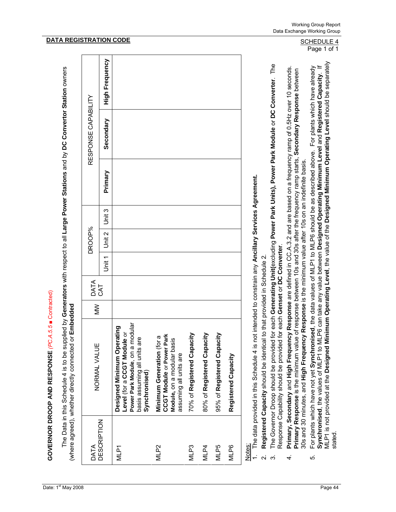The Data in this Schedule 4 is to be supplied by Generators with respect to all Large Power Stations and by DC Convertor Station owners The Data in this Schedule 4 is to be supplied by **Generators** with respect to all **Large Power Stations** and by **DC Convertor Station** owners (where agreed), whether directly connected or Embedded (where agreed), whether directly connected or **Embedded**

| DATA               | NORMAL VALUE                                                                                                                                  | $\geq$ | DATA |     | DROOP% |        |         | RESPONSE CAPABILITY |                       |
|--------------------|-----------------------------------------------------------------------------------------------------------------------------------------------|--------|------|-----|--------|--------|---------|---------------------|-----------------------|
| <b>DESCRIPTION</b> |                                                                                                                                               |        | CAT  | ーミー | Unit 2 | Unit 3 | Primary | Secondary           | <b>High Frequency</b> |
| MLP1               | Power Park Module, on a modular<br>Designed Minimum Operating<br>Level (for a CCGT Module or<br>basis assuming all units are<br>Synchronised) |        |      |     |        |        |         |                     |                       |
| MLP2               | <b>CCGT Module or Power Park</b><br>Minimum Generation (for a<br>Module, on a modular basis<br>assuming all units are                         |        |      |     |        |        |         |                     |                       |
| MLP3               | 70% of Registered Capacity                                                                                                                    |        |      |     |        |        |         |                     |                       |
| MLP4               | 80% of Registered Capacity                                                                                                                    |        |      |     |        |        |         |                     |                       |
| MLP5               | 95% of Registered Capacity                                                                                                                    |        |      |     |        |        |         |                     |                       |
| MLP6               | Registered Capacity                                                                                                                           |        |      |     |        |        |         |                     |                       |
| Notes:             | 1. The data provided in this Schedule 4 is not intended to constrain any Ancillary Services Agreement.                                        |        |      |     |        |        |         |                     |                       |

- 2. **Registered Capacity** should be identical to that provided in Schedule 2. Registered Capacity should be identical to that provided in Schedule 2.
- 3. The Governor Droop should be provided for each **Generating Unit(**excluding **Power Park Units), Power Park Module** or **DC Converter**. The The Governor Droop should be provided for each Generating Unit(excluding Power Park Units), Power Park Module or DC Converter. The Response Capability should be provided for each **Genset** or **DC Converter**. Response Capability should be provided for each Genset or DC Converter ပြ ယ
- 4. **Primary, Secondary** and **High Frequency Response** are defined in CC.A.3.2 and are based on a frequency ramp of 0.5Hz over 10 seconds. Primary, Secondary and High Frequency Response are defined in CC.A.3.2 and are based on a frequency ramp of 0.5Hz over 10 seconds. **Primary Response** is the minimum value of response between 10s and 30s after the frequency ramp starts, **Secondary Response** between Primary Response is the minimum value of response between 10s and 30s after the frequency ramp starts, Secondary Response between 30s and 30 minutes, and **High Frequency Response** is the minimum value after 10s on an indefinite basis. 30s and 30 minutes, and High Frequency Response is the minimum value after 10s on an indefinite basis.  $\vec{r}$
- MLP1 is not provided at the **Designed Minimum Operating Level**, the value of the **Designed Minimum Operating Level** should be separately Synchronised, the values of MLP1 to MLP6 can take any value between Designed Operating Minimum Level and Registered Capacity. If<br>MLP1 is not provided at the Designed Minimum Operating Level, the value of the Designed Minim 5. For plants which have not yet **Synchronised**, the data values of MLP1 to MLP6 should be as described above. For plants which have already **Synchronised**, the values of MLP1 to MLP6 can take any value between **Designed Operating Minimum Level** and **Registered Capacity**. If For plants which have not yet Synchronised, the data values of MLP1 to MLP6 should be as described above. For plants which have already stated ທ່

# **DATA REGISTRATION CODE** SCHEDULE 4

Page 1 of 1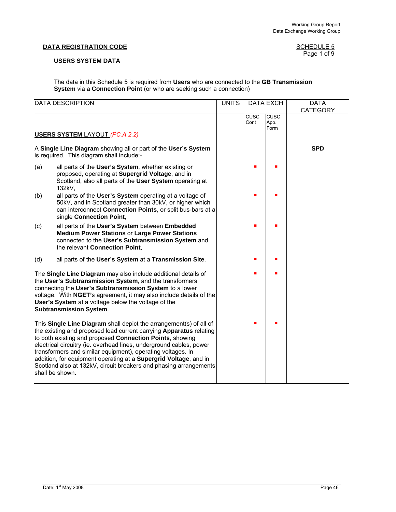# **DATA REGISTRATION CODE**

# SCHEDULE 5<br>Page 1 of 9

# **USERS SYSTEM DATA**

The data in this Schedule 5 is required from **Users** who are connected to the **GB Transmission System** via a **Connection Point** (or who are seeking such a connection)

|     | <b>DATA DESCRIPTION</b>                                                                                                                                                                                                                                                                                                                                                                                                                                                                                | <b>UNITS</b> |              | <b>DATA EXCH</b>            | <b>DATA</b><br><b>CATEGORY</b> |
|-----|--------------------------------------------------------------------------------------------------------------------------------------------------------------------------------------------------------------------------------------------------------------------------------------------------------------------------------------------------------------------------------------------------------------------------------------------------------------------------------------------------------|--------------|--------------|-----------------------------|--------------------------------|
|     | <b>USERS SYSTEM LAYOUT (PC.A.2.2)</b>                                                                                                                                                                                                                                                                                                                                                                                                                                                                  |              | CUSC<br>Cont | <b>CUSC</b><br>App.<br>Form |                                |
|     | A Single Line Diagram showing all or part of the User's System<br>is required. This diagram shall include:-                                                                                                                                                                                                                                                                                                                                                                                            |              |              |                             | <b>SPD</b>                     |
| (a) | all parts of the User's System, whether existing or<br>proposed, operating at Supergrid Voltage, and in<br>Scotland, also all parts of the User System operating at<br>132kV,                                                                                                                                                                                                                                                                                                                          |              |              |                             |                                |
| (b) | all parts of the User's System operating at a voltage of<br>50kV, and in Scotland greater than 30kV, or higher which<br>can interconnect Connection Points, or split bus-bars at a<br>single Connection Point,                                                                                                                                                                                                                                                                                         |              |              |                             |                                |
| (c) | all parts of the User's System between Embedded<br><b>Medium Power Stations or Large Power Stations</b><br>connected to the User's Subtransmission System and<br>the relevant Connection Point,                                                                                                                                                                                                                                                                                                        |              |              |                             |                                |
| (d) | all parts of the User's System at a Transmission Site.                                                                                                                                                                                                                                                                                                                                                                                                                                                 |              |              |                             |                                |
|     | The Single Line Diagram may also include additional details of<br>the User's Subtransmission System, and the transformers<br>connecting the User's Subtransmission System to a lower<br>voltage. With NGET's agreement, it may also include details of the<br>User's System at a voltage below the voltage of the<br><b>Subtransmission System.</b>                                                                                                                                                    |              |              |                             |                                |
|     | This Single Line Diagram shall depict the arrangement(s) of all of<br>the existing and proposed load current carrying Apparatus relating<br>to both existing and proposed Connection Points, showing<br>electrical circuitry (ie. overhead lines, underground cables, power<br>transformers and similar equipment), operating voltages. In<br>addition, for equipment operating at a Supergrid Voltage, and in<br>Scotland also at 132kV, circuit breakers and phasing arrangements<br>shall be shown. |              |              |                             |                                |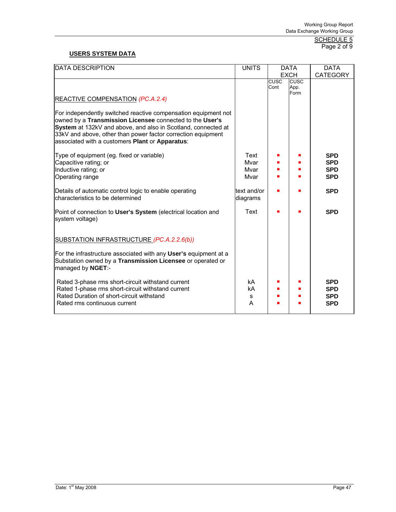#### <u>SCHEDULE 5</u> Page 2 of 9

# **USERS SYSTEM DATA**

| DATA DESCRIPTION                                                                                                                                                                                                                                                                                               | <b>UNITS</b>                 |                     | <b>DATA</b>                 | <b>DATA</b>                                          |
|----------------------------------------------------------------------------------------------------------------------------------------------------------------------------------------------------------------------------------------------------------------------------------------------------------------|------------------------------|---------------------|-----------------------------|------------------------------------------------------|
|                                                                                                                                                                                                                                                                                                                |                              |                     | <b>EXCH</b>                 | <b>CATEGORY</b>                                      |
| REACTIVE COMPENSATION (PC.A.2.4)                                                                                                                                                                                                                                                                               |                              | <b>CUSC</b><br>Cont | <b>CUSC</b><br>App.<br>Form |                                                      |
| For independently switched reactive compensation equipment not<br>owned by a Transmission Licensee connected to the User's<br>System at 132kV and above, and also in Scotland, connected at<br>33kV and above, other than power factor correction equipment<br>associated with a customers Plant or Apparatus: |                              |                     |                             |                                                      |
| Type of equipment (eg. fixed or variable)<br>Capacitive rating; or<br>Inductive rating; or<br><b>Operating range</b>                                                                                                                                                                                           | Text<br>Mvar<br>Mvar<br>Mvar |                     |                             | <b>SPD</b><br><b>SPD</b><br><b>SPD</b><br><b>SPD</b> |
| Details of automatic control logic to enable operating<br>characteristics to be determined                                                                                                                                                                                                                     | text and/or<br>diagrams      |                     |                             | <b>SPD</b>                                           |
| Point of connection to User's System (electrical location and<br>system voltage)                                                                                                                                                                                                                               | Text                         |                     |                             | <b>SPD</b>                                           |
| SUBSTATION INFRASTRUCTURE (PC.A.2.2.6(b))                                                                                                                                                                                                                                                                      |                              |                     |                             |                                                      |
| For the infrastructure associated with any User's equipment at a<br>Substation owned by a Transmission Licensee or operated or<br>managed by NGET:-                                                                                                                                                            |                              |                     |                             |                                                      |
| Rated 3-phase rms short-circuit withstand current<br>Rated 1-phase rms short-circuit withstand current<br>Rated Duration of short-circuit withstand<br>Rated rms continuous current                                                                                                                            | kA<br>kA<br>s<br>A           |                     |                             | <b>SPD</b><br><b>SPD</b><br><b>SPD</b><br><b>SPD</b> |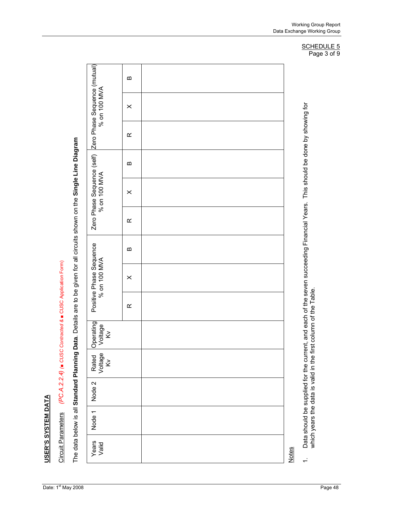USER'S SYSTEM DATA **USER'S SYSTEM DATA**

(PC.A.2.2.4) (a CUSC Contracted & a CUSC Application Form) Circuit Parameters *(PC.A.2.2.4) (*■ *CUSC Contracted &* ■ CUSC Application Form) **Circuit Parameters**  The data below is all Standard Planning Data. Details are to be given for all circuits shown on the Single Line Diagram The data below is all **Standard Planning Data**. Details are to be given for all circuits shown on the **Single Line Diagram**

| Years<br>Valid | Node 1 | Node 2 | Rated<br>Voltage<br>$\leq$ | Operating<br>Voltage<br>$\tilde{\le}$                                                                                                                                                            |           | Positive Phase Sequence<br>% on 100 MVA |   |           | Zero Phase Sequence (self) Zero Phase Sequence (mutual)<br>% on 100 MVA<br>% on 100 MVA |          |           | % on 100 MVA |          |
|----------------|--------|--------|----------------------------|--------------------------------------------------------------------------------------------------------------------------------------------------------------------------------------------------|-----------|-----------------------------------------|---|-----------|-----------------------------------------------------------------------------------------|----------|-----------|--------------|----------|
|                |        |        |                            |                                                                                                                                                                                                  | $\propto$ | $\times$                                | ∞ | $\propto$ | $\times$                                                                                | $\bf{m}$ | $\propto$ | $\times$     | $\bf{m}$ |
|                |        |        |                            |                                                                                                                                                                                                  |           |                                         |   |           |                                                                                         |          |           |              |          |
| <b>Notes</b>   |        |        |                            |                                                                                                                                                                                                  |           |                                         |   |           |                                                                                         |          |           |              |          |
| $\div$         |        |        |                            | Data should be supplied for the current, and each of the seven succeeding Financial Years. This should be done by showing for<br>which years the data is valid in the first column of the Table. |           |                                         |   |           |                                                                                         |          |           |              |          |

Page 3 of 9

Working Group Report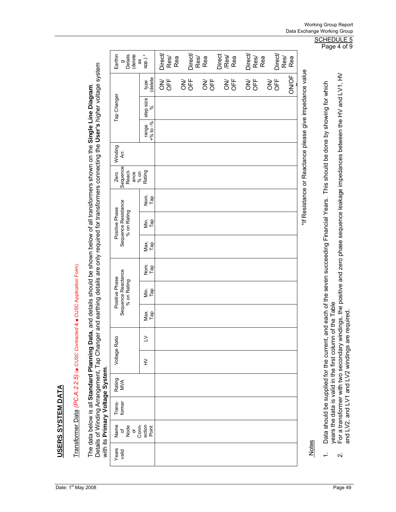**USERS SYSTEM DATA USERS SYSTEM DATA**

Transformer Data (PC.A.2.2.5) (■ CUSC Contracted & ■ CUSC Application Form) Transformer Data *(PC.A.2.2.5)* (■ *CUSC Contracted &* ■ CUSC Application Form) The data below is all **Standard Planning Data**, and details should be shown below of all transformers shown on the **Single Line Diagram**.<br>Details of Winding Arrangement, Tap Changer and earthing details are only required f Details of Winding Arrangement, Tap Changer and earthing details are only required for transformers connecting the **User's** higher voltage system The data below is all **Standard Planning Data**, and details should be shown below of all transformers shown on the **Single Line Diagram**. with its **Primary Voltage System**.

|                                 |                                                      |                             |                        |                  |             |                |            |                |     |                  |             |                                                         |                                                                                            | Page 4 of 9                                                                                                                       |
|---------------------------------|------------------------------------------------------|-----------------------------|------------------------|------------------|-------------|----------------|------------|----------------|-----|------------------|-------------|---------------------------------------------------------|--------------------------------------------------------------------------------------------|-----------------------------------------------------------------------------------------------------------------------------------|
|                                 | Earthin<br>delete<br>Details<br>æ<br>o               | app.)*                      | Direct/<br>Res/<br>Rea | Direct/          | Res/<br>Rea | Direct<br>/Res | Rea        | Direct<br>Res/ | Rea | Direct/          | Res/<br>Rea |                                                         |                                                                                            |                                                                                                                                   |
|                                 |                                                      | delete<br>type              | UFF<br>ŠΘ              | <b>UFF</b><br>ŠΘ | 55          | š              | <b>UFF</b> | OFF<br>ŠΘ      |     | <b>UFF</b><br>ŠΘ | ON/OF       |                                                         |                                                                                            |                                                                                                                                   |
|                                 | Tap Changer                                          | step size                   |                        |                  |             |                |            |                |     |                  |             |                                                         |                                                                                            |                                                                                                                                   |
|                                 |                                                      | $+96$ to $-96$<br>range     |                        |                  |             |                |            |                |     |                  |             |                                                         |                                                                                            |                                                                                                                                   |
|                                 | Winding<br>Ąτ.                                       |                             |                        |                  |             |                |            |                |     |                  |             |                                                         |                                                                                            |                                                                                                                                   |
|                                 | Sequence<br>React-<br>$%$ on<br>ance<br>Zero         | Rating                      |                        |                  |             |                |            |                |     |                  |             | *If Resistance or Reactance please give impedance value | and each of the seven succeeding Financial Years. This should be done by showing for which | For a transformer with two secondary windings, the positive and zero phase sequence leakage impedances between the HV and LV1, HV |
|                                 |                                                      | Nom.<br>Tap                 |                        |                  |             |                |            |                |     |                  |             |                                                         |                                                                                            |                                                                                                                                   |
|                                 | Sequence Resistance<br>Positive Phase<br>% on Rating | $\sum_{T}$ ap               |                        |                  |             |                |            |                |     |                  |             |                                                         |                                                                                            |                                                                                                                                   |
|                                 |                                                      | Мах.<br>Тар                 |                        |                  |             |                |            |                |     |                  |             |                                                         |                                                                                            |                                                                                                                                   |
|                                 |                                                      | Nom.<br>Tap                 |                        |                  |             |                |            |                |     |                  |             |                                                         |                                                                                            |                                                                                                                                   |
|                                 | Sequence Reactance<br>Positive Phase<br>% on Rating  | $\sum_{T} \frac{a}{\alpha}$ |                        |                  |             |                |            |                |     |                  |             |                                                         |                                                                                            |                                                                                                                                   |
|                                 |                                                      | Мах.<br>Тар                 |                        |                  |             |                |            |                |     |                  |             |                                                         |                                                                                            | of the Table                                                                                                                      |
|                                 | Voltage Ratio                                        | $\geq$                      |                        |                  |             |                |            |                |     |                  |             |                                                         |                                                                                            |                                                                                                                                   |
|                                 |                                                      | ≩                           |                        |                  |             |                |            |                |     |                  |             |                                                         |                                                                                            |                                                                                                                                   |
|                                 | Rating<br>MVA                                        |                             |                        |                  |             |                |            |                |     |                  |             |                                                         |                                                                                            |                                                                                                                                   |
|                                 | Trans-<br>former                                     |                             |                        |                  |             |                |            |                |     |                  |             |                                                         |                                                                                            |                                                                                                                                   |
| win its Primary voltage System. | Name<br>Conn-<br>Node<br>ð<br>ð                      | ection<br>Point             |                        |                  |             |                |            |                |     |                  |             |                                                         | Data should be supplied for the current,                                                   | and LV2, and LV1 and LV2 windings are required.<br>years the data is valid in the first column                                    |
|                                 | Years<br>valid                                       |                             |                        |                  |             |                |            |                |     |                  |             | <b>Notes</b>                                            |                                                                                            | $\overline{\mathbf{v}}$                                                                                                           |
|                                 |                                                      |                             |                        |                  |             |                |            |                |     |                  |             |                                                         |                                                                                            |                                                                                                                                   |

# Working Group Report Data Exchange Working Group

SCHEDULE 5 age  $4$  of  $9$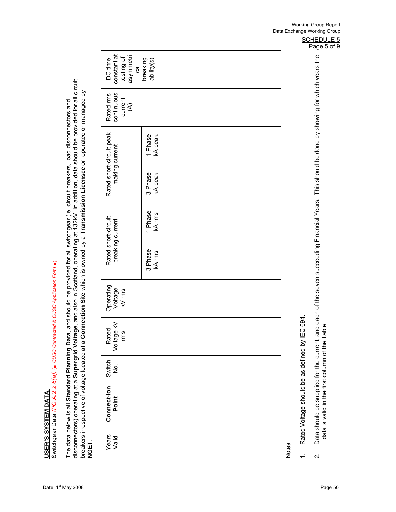**USER'S SYSTEM DATA**

USER'S SYSTEM DATA<br>Switchgear Data *(PC.A.2.2.6(a)) (*∎ CUSC Contracted & CUSC Application Form ∎) Switchgear Data *(PC.A.2.2.6(a))* (■ *CUSC Contracted & CUSC Application Form* ■)

The data below is all **Standard Planning Data**, and should be provided for all switchgear (ie. circuit breakers, load disconnectors and<br>disconnectors) operating at a **Supergrid Voltage**, and also in Scotland, operating at disconnectors) operating at a **Supergrid Voltage**, and also in Scotland, operating at 132kV. In addition, data should be provided for all circuit breakers irrespective of voltage located at a Connection Site which is owned by a Transmission Licensee or operated or managed by<br>NGET. breakers irrespective of voltage located at a **Connection Site** which is owned by a **Transmission Licensee** or operated or managed by The data below is all **Standard Planning Data**, and should be provided for all switchgear (ie. circuit breakers, load disconnectors and

|                                                               |                               |  |  |              |                                                | <u>CHEDULE 5</u><br>Page 5 of 9<br><b>SCHEDU</b>                                                 |
|---------------------------------------------------------------|-------------------------------|--|--|--------------|------------------------------------------------|--------------------------------------------------------------------------------------------------|
| constant at<br>asymmetri<br>testing of<br>DC time             | cal<br>breaking<br>ability(s) |  |  |              |                                                |                                                                                                  |
| continuous<br>Rated rms<br>current<br>$\widehat{\mathcal{E}}$ |                               |  |  |              |                                                | each of the seven succeeding Financial Years. This should be done by showing for which years the |
| Rated short-circuit peak<br>making current                    | 1 Phase<br>KA peak            |  |  |              |                                                |                                                                                                  |
|                                                               | 3 Phase<br>kA peak            |  |  |              |                                                |                                                                                                  |
| Rated short-circuit<br>breaking current                       | 1 Phase<br>kA rms             |  |  |              |                                                |                                                                                                  |
|                                                               | 3 Phase<br>kA rms             |  |  |              |                                                |                                                                                                  |
| Operating<br>Voltage<br>$kV$ rms                              |                               |  |  |              |                                                |                                                                                                  |
| Voltage kV<br>Rated<br>rms                                    |                               |  |  |              |                                                |                                                                                                  |
| Switch<br>$\dot{\mathsf{z}}$                                  |                               |  |  |              |                                                |                                                                                                  |
| Connect-ion<br>Point                                          |                               |  |  |              | Rated Voltage should be as defined by IEC 694. | data is valid in the first column of the Table<br>Data should be supplied for the current, and   |
| Years<br>Valid                                                |                               |  |  | <b>Notes</b> | $\div$                                         | $\overline{\mathbf{v}}$                                                                          |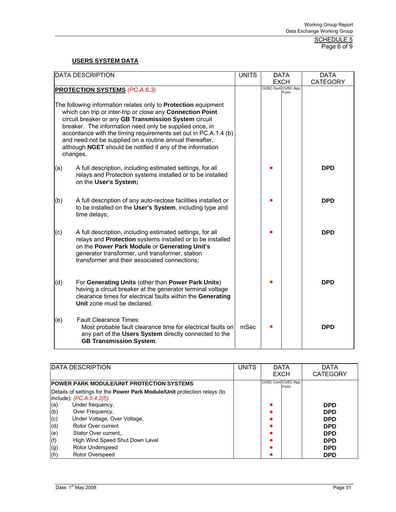SCHEDULE 5 Page 6 of 9

# **USERS SYSTEM DATA**

| <b>DATA DESCRIPTION</b>                                                                                                                                                                                                                                                                                                    | <b>UNITS</b> | <b>DATA</b>                 | <b>DATA</b>     |
|----------------------------------------------------------------------------------------------------------------------------------------------------------------------------------------------------------------------------------------------------------------------------------------------------------------------------|--------------|-----------------------------|-----------------|
|                                                                                                                                                                                                                                                                                                                            |              | <b>EXCH</b>                 | <b>CATEGORY</b> |
| <b>PROTECTION SYSTEMS (PC.A.6.3)</b>                                                                                                                                                                                                                                                                                       |              | CUSC Cont CUSC App.<br>Form |                 |
| The following information relates only to <b>Protection</b> equipment<br>which can trip or inter-trip or close any Connection Point<br>circuit breaker or any GB Transmission System circuit<br>breaker. The information need only be supplied once, in<br>accordance with the timing requirements set out in PC.A.1.4 (b) |              |                             |                 |
| and need not be supplied on a routine annual thereafter,<br>although NGET should be notified if any of the information<br>changes.                                                                                                                                                                                         |              |                             |                 |
| A full description, including estimated settings, for all<br>(a)<br>relays and Protection systems installed or to be installed<br>on the User's System;                                                                                                                                                                    |              |                             | <b>DPD</b>      |
| A full description of any auto-reclose facilities installed or<br>(b)<br>to be installed on the User's System, including type and<br>time delays;                                                                                                                                                                          |              |                             | <b>DPD</b>      |
| A full description, including estimated settings, for all<br>(c)<br>relays and Protection systems installed or to be installed<br>on the Power Park Module or Generating Unit's<br>generator transformer, unit transformer, station<br>transformer and their associated connections;                                       |              |                             | <b>DPD</b>      |
| For Generating Units (other than Power Park Units)<br>(d)<br>having a circuit breaker at the generator terminal voltage<br>clearance times for electrical faults within the Generating<br>Unit zone must be declared.                                                                                                      |              |                             | <b>DPD</b>      |
| <b>Fault Clearance Times:</b><br>(e)<br>Most probable fault clearance time for electrical faults on<br>any part of the Users System directly connected to the<br><b>GB Transmission System.</b>                                                                                                                            | mSec         |                             | <b>DPD</b>      |

| <b>DATA DESCRIPTION</b>                                                         | <b>UNITS</b> | <b>DATA</b>                 | DATA            |
|---------------------------------------------------------------------------------|--------------|-----------------------------|-----------------|
|                                                                                 |              | <b>EXCH</b>                 | <b>CATEGORY</b> |
| <b>IPOWER PARK MODULE/UNIT PROTECTION SYSTEMS</b>                               |              | CUSC Cont CUSC App.<br>Form |                 |
| Details of settings for the <b>Power Park Module/Unit</b> protection relays (to |              |                             |                 |
| include): $(PC.A.5.4.2(f))$                                                     |              |                             |                 |
| Under frequency,<br>(a)                                                         |              |                             | <b>DPD</b>      |
| (b)<br>Over Frequency,                                                          |              |                             | <b>DPD</b>      |
| Under Voltage, Over Voltage,<br>(c)                                             |              |                             | <b>DPD</b>      |
| (d)<br>Rotor Over current                                                       |              |                             | <b>DPD</b>      |
| (e)<br>Stator Over current                                                      |              |                             | <b>DPD</b>      |
| (f)<br>High Wind Speed Shut Down Level                                          |              |                             | <b>DPD</b>      |
| Rotor Underspeed<br>(g)                                                         |              |                             | <b>DPD</b>      |
| (h)<br>Rotor Overspeed                                                          |              |                             | <b>DPD</b>      |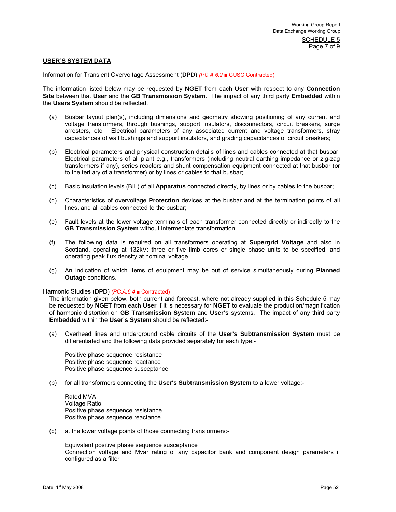Page 7 of 9

#### **USER'S SYSTEM DATA**

#### Information for Transient Overvoltage Assessment (**DPD**) *(PC.A.6.2* ■ CUSC Contracted)

The information listed below may be requested by **NGET** from each **User** with respect to any **Connection Site** between that **User** and the **GB Transmission System**. The impact of any third party **Embedded** within the **Users System** should be reflected.

- (a) Busbar layout plan(s), including dimensions and geometry showing positioning of any current and voltage transformers, through bushings, support insulators, disconnectors, circuit breakers, surge arresters, etc. Electrical parameters of any associated current and voltage transformers, stray capacitances of wall bushings and support insulators, and grading capacitances of circuit breakers;
- (b) Electrical parameters and physical construction details of lines and cables connected at that busbar. Electrical parameters of all plant e.g., transformers (including neutral earthing impedance or zig-zag transformers if any), series reactors and shunt compensation equipment connected at that busbar (or to the tertiary of a transformer) or by lines or cables to that busbar;
- (c) Basic insulation levels (BIL) of all **Apparatus** connected directly, by lines or by cables to the busbar;
- (d) Characteristics of overvoltage **Protection** devices at the busbar and at the termination points of all lines, and all cables connected to the busbar;
- (e) Fault levels at the lower voltage terminals of each transformer connected directly or indirectly to the **GB Transmission System** without intermediate transformation;
- (f) The following data is required on all transformers operating at **Supergrid Voltage** and also in Scotland, operating at 132kV: three or five limb cores or single phase units to be specified, and operating peak flux density at nominal voltage.
- (g) An indication of which items of equipment may be out of service simultaneously during **Planned Outage** conditions.

#### Harmonic Studies (**DPD**) *(PC.A.6.4* ■ Contracted)

The information given below, both current and forecast, where not already supplied in this Schedule 5 may be requested by **NGET** from each **User** if it is necessary for **NGET** to evaluate the production/magnification of harmonic distortion on **GB Transmission System** and **User's** systems. The impact of any third party **Embedded** within the **User's System** should be reflected:-

 (a) Overhead lines and underground cable circuits of the **User's Subtransmission System** must be differentiated and the following data provided separately for each type:-

Positive phase sequence resistance Positive phase sequence reactance Positive phase sequence susceptance

(b) for all transformers connecting the **User's Subtransmission System** to a lower voltage:-

Rated MVA Voltage Ratio Positive phase sequence resistance Positive phase sequence reactance

(c) at the lower voltage points of those connecting transformers:-

Equivalent positive phase sequence susceptance Connection voltage and Mvar rating of any capacitor bank and component design parameters if configured as a filter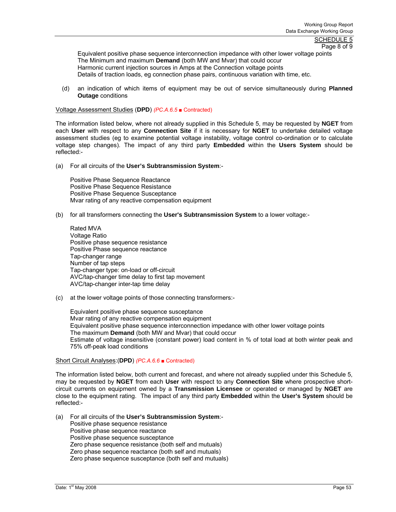Equivalent positive phase sequence interconnection impedance with other lower voltage points The Minimum and maximum **Demand** (both MW and Mvar) that could occur Harmonic current injection sources in Amps at the Connection voltage points Details of traction loads, eg connection phase pairs, continuous variation with time, etc.

 (d) an indication of which items of equipment may be out of service simultaneously during **Planned Outage** conditions

Voltage Assessment Studies (**DPD**) *(PC.A.6.5* ■ Contracted)

The information listed below, where not already supplied in this Schedule 5, may be requested by **NGET** from each **User** with respect to any **Connection Site** if it is necessary for **NGET** to undertake detailed voltage assessment studies (eg to examine potential voltage instability, voltage control co-ordination or to calculate voltage step changes). The impact of any third party **Embedded** within the **Users System** should be reflected:-

(a) For all circuits of the **User's Subtransmission System**:-

Positive Phase Sequence Reactance Positive Phase Sequence Resistance Positive Phase Sequence Susceptance Mvar rating of any reactive compensation equipment

(b) for all transformers connecting the **User's Subtransmission System** to a lower voltage:-

Rated MVA Voltage Ratio Positive phase sequence resistance Positive Phase sequence reactance Tap-changer range Number of tap steps Tap-changer type: on-load or off-circuit AVC/tap-changer time delay to first tap movement AVC/tap-changer inter-tap time delay

(c) at the lower voltage points of those connecting transformers:-

Equivalent positive phase sequence susceptance Mvar rating of any reactive compensation equipment Equivalent positive phase sequence interconnection impedance with other lower voltage points The maximum **Demand** (both MW and Mvar) that could occur Estimate of voltage insensitive (constant power) load content in % of total load at both winter peak and 75% off-peak load conditions

#### Short Circuit Analyses:(**DPD**) *(PC.A.6.6* ■ Contracted)

The information listed below, both current and forecast, and where not already supplied under this Schedule 5, may be requested by **NGET** from each **User** with respect to any **Connection Site** where prospective shortcircuit currents on equipment owned by a **Transmission Licensee** or operated or managed by **NGET** are close to the equipment rating. The impact of any third party **Embedded** within the **User's System** should be reflected:-

(a) For all circuits of the **User's Subtransmission System**:- Positive phase sequence resistance Positive phase sequence reactance Positive phase sequence susceptance Zero phase sequence resistance (both self and mutuals) Zero phase sequence reactance (both self and mutuals) Zero phase sequence susceptance (both self and mutuals)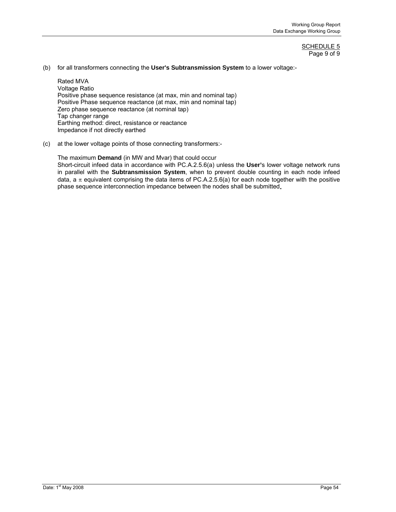#### SCHEDULE 5 Page 9 of 9

(b) for all transformers connecting the **User's Subtransmission System** to a lower voltage:-

Rated MVA Voltage Ratio Positive phase sequence resistance (at max, min and nominal tap) Positive Phase sequence reactance (at max, min and nominal tap) Zero phase sequence reactance (at nominal tap) Tap changer range Earthing method: direct, resistance or reactance Impedance if not directly earthed

(c) at the lower voltage points of those connecting transformers:-

The maximum **Demand** (in MW and Mvar) that could occur Short-circuit infeed data in accordance with PC.A.2.5.6(a) unless the **User'**s lower voltage network runs in parallel with the **Subtransmission System**, when to prevent double counting in each node infeed data, a  $\pi$  equivalent comprising the data items of PC.A.2.5.6(a) for each node together with the positive phase sequence interconnection impedance between the nodes shall be submitted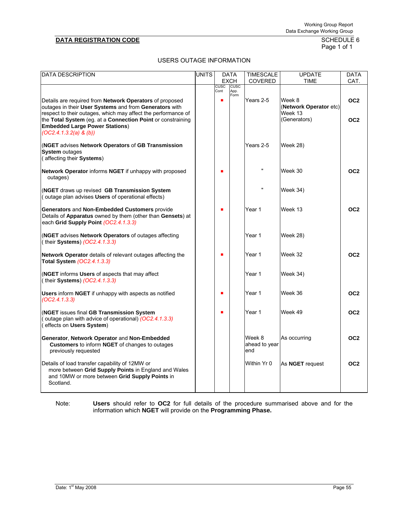# Page 1 of 1

# USERS OUTAGE INFORMATION

| DATA DESCRIPTION                                                                                                                                                                          |  |             | <b>DATA</b>                | <b>TIMESCALE</b>               | <b>UPDATE</b>                               | <b>DATA</b>     |
|-------------------------------------------------------------------------------------------------------------------------------------------------------------------------------------------|--|-------------|----------------------------|--------------------------------|---------------------------------------------|-----------------|
|                                                                                                                                                                                           |  | <b>CUSC</b> | <b>EXCH</b><br><b>CUSC</b> | <b>COVERED</b>                 | <b>TIME</b>                                 | CAT.            |
|                                                                                                                                                                                           |  | Cont        | App.                       |                                |                                             |                 |
| Details are required from <b>Network Operators</b> of proposed<br>outages in their User Systems and from Generators with<br>respect to their outages, which may affect the performance of |  | п           | Form                       | Years 2-5                      | Week 8<br>(Network Operator etc)<br>Week 13 | OC <sub>2</sub> |
| the Total System (eg. at a Connection Point or constraining<br><b>Embedded Large Power Stations)</b><br>$(OC2.4.1.3.2(a) \& (b))$                                                         |  |             |                            |                                | (Generators)                                | OC <sub>2</sub> |
| (NGET advises Network Operators of GB Transmission<br><b>System outages</b><br>(affecting their Systems)                                                                                  |  |             |                            | Years 2-5                      | Week 28)                                    |                 |
| Network Operator informs NGET if unhappy with proposed<br>outages)                                                                                                                        |  | п           |                            | $\mathbf{u}$                   | Week 30                                     | OC <sub>2</sub> |
| (NGET draws up revised GB Transmission System<br>(outage plan advises Users of operational effects)                                                                                       |  |             |                            | $\mathbf{u}$                   | <b>Week 34)</b>                             |                 |
| Generators and Non-Embedded Customers provide<br>Details of Apparatus owned by them (other than Gensets) at<br>each Grid Supply Point (OC2.4.1.3.3)                                       |  | п           |                            | Year 1                         | Week 13                                     | OC <sub>2</sub> |
| (NGET advises Network Operators of outages affecting<br>(their Systems) (OC2.4.1.3.3)                                                                                                     |  |             |                            | Year 1                         | <b>Week 28)</b>                             |                 |
| Network Operator details of relevant outages affecting the<br>Total System (OC2.4.1.3.3)                                                                                                  |  | п           |                            | Year 1                         | Week 32                                     | OC <sub>2</sub> |
| (NGET informs Users of aspects that may affect<br>(their Systems) (OC2.4.1.3.3)                                                                                                           |  |             |                            | Year 1                         | <b>Week 34)</b>                             |                 |
| Users inform NGET if unhappy with aspects as notified<br>(OC2.4.1.3.3)                                                                                                                    |  | п           |                            | Year 1                         | Week 36                                     | OC <sub>2</sub> |
| (NGET issues final GB Transmission System<br>outage plan with advice of operational) (OC2.4.1.3.3)<br>(effects on Users System)                                                           |  | п           |                            | Year 1                         | Week 49                                     | OC <sub>2</sub> |
| Generator, Network Operator and Non-Embedded<br>Customers to inform NGET of changes to outages<br>previously requested                                                                    |  |             |                            | Week 8<br>ahead to year<br>end | As occurring                                | OC <sub>2</sub> |
| Details of load transfer capability of 12MW or<br>more between Grid Supply Points in England and Wales<br>and 10MW or more between Grid Supply Points in<br>Scotland.                     |  |             |                            | Within Yr 0                    | As <b>NGET</b> request                      | OC <sub>2</sub> |

Note: **Users** should refer to **OC2** for full details of the procedure summarised above and for the information which **NGET** will provide on the **Programming Phase.**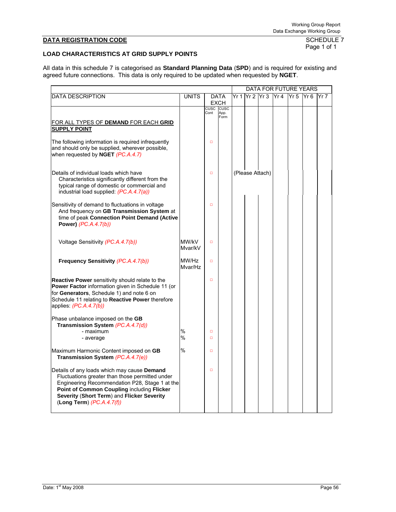Page 1 of 1

# **LOAD CHARACTERISTICS AT GRID SUPPLY POINTS**

All data in this schedule 7 is categorised as **Standard Planning Data** (**SPD**) and is required for existing and agreed future connections. This data is only required to be updated when requested by **NGET**.

|                                                                                                                                                                                                                                                                             |                  |                     | DATA FOR FUTURE YEARS       |      |                 |  |     |                 |                 |       |
|-----------------------------------------------------------------------------------------------------------------------------------------------------------------------------------------------------------------------------------------------------------------------------|------------------|---------------------|-----------------------------|------|-----------------|--|-----|-----------------|-----------------|-------|
| <b>DATA DESCRIPTION</b>                                                                                                                                                                                                                                                     | <b>UNITS</b>     |                     | <b>DATA</b><br><b>EXCH</b>  | Yr 1 | Yr 2 Yr 3       |  | Yr4 | Yr <sub>5</sub> | Yr <sub>6</sub> | lYr 7 |
| FOR ALL TYPES OF <b>DEMAND</b> FOR EACH <b>GRID</b><br><b>SUPPLY POINT</b>                                                                                                                                                                                                  |                  | <b>CUSC</b><br>Cont | <b>CUSC</b><br>App.<br>Form |      |                 |  |     |                 |                 |       |
| The following information is required infrequently<br>and should only be supplied, wherever possible,<br>when requested by NGET (PC.A.4.7)                                                                                                                                  |                  | $\Box$              |                             |      |                 |  |     |                 |                 |       |
| Details of individual loads which have<br>Characteristics significantly different from the<br>typical range of domestic or commercial and<br>industrial load supplied: (PC.A.4.7(a))                                                                                        |                  | $\Box$              |                             |      | (Please Attach) |  |     |                 |                 |       |
| Sensitivity of demand to fluctuations in voltage<br>And frequency on GB Transmission System at<br>time of peak Connection Point Demand (Active<br>Power) (PC.A.4.7(b))                                                                                                      |                  | $\Box$              |                             |      |                 |  |     |                 |                 |       |
| Voltage Sensitivity (PC.A.4.7(b))                                                                                                                                                                                                                                           | MW/kV<br>Mvar/kV | $\Box$              |                             |      |                 |  |     |                 |                 |       |
| Frequency Sensitivity (PC.A.4.7(b))                                                                                                                                                                                                                                         | MW/Hz<br>Mvar/Hz | $\Box$              |                             |      |                 |  |     |                 |                 |       |
| <b>Reactive Power</b> sensitivity should relate to the<br>Power Factor information given in Schedule 11 (or<br>for Generators, Schedule 1) and note 6 on<br>Schedule 11 relating to Reactive Power therefore<br>applies: $(PC.A.4.7(b))$                                    |                  | $\Box$              |                             |      |                 |  |     |                 |                 |       |
| Phase unbalance imposed on the GB<br>Transmission System (PC.A.4.7(d))<br>- maximum<br>- average                                                                                                                                                                            | %<br>%           | $\Box$<br>$\Box$    |                             |      |                 |  |     |                 |                 |       |
| Maximum Harmonic Content imposed on GB<br>Transmission System (PC.A.4.7(e))                                                                                                                                                                                                 | $\%$             | $\Box$              |                             |      |                 |  |     |                 |                 |       |
| Details of any loads which may cause Demand<br>Fluctuations greater than those permitted under<br>Engineering Recommendation P28, Stage 1 at the<br>Point of Common Coupling including Flicker<br>Severity (Short Term) and Flicker Severity<br>(Long Term) $(PC.A.4.7(f))$ |                  | $\Box$              |                             |      |                 |  |     |                 |                 |       |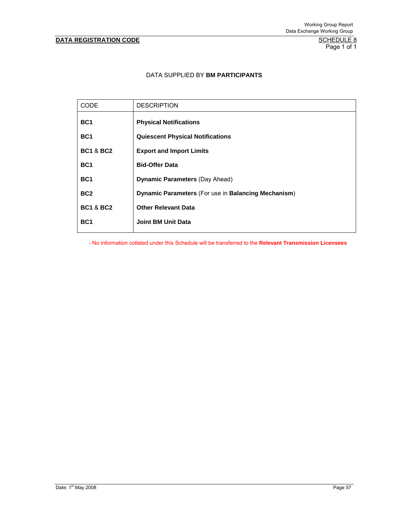# **DATA REGISTRATION CODE**

SCHEDULE 8<br>Page 1 of 1

# DATA SUPPLIED BY **BM PARTICIPANTS**

| <b>CODE</b>          | <b>DESCRIPTION</b>                                  |
|----------------------|-----------------------------------------------------|
| BC <sub>1</sub>      | <b>Physical Notifications</b>                       |
| BC <sub>1</sub>      | <b>Quiescent Physical Notifications</b>             |
| <b>BC1 &amp; BC2</b> | <b>Export and Import Limits</b>                     |
| BC <sub>1</sub>      | <b>Bid-Offer Data</b>                               |
| BC <sub>1</sub>      | <b>Dynamic Parameters (Day Ahead)</b>               |
| BC <sub>2</sub>      | Dynamic Parameters (For use in Balancing Mechanism) |
| <b>BC1 &amp; BC2</b> | <b>Other Relevant Data</b>                          |
| BC <sub>1</sub>      | <b>Joint BM Unit Data</b>                           |
|                      |                                                     |

- No information collated under this Schedule will be transferred to the **Relevant Transmission Licensees**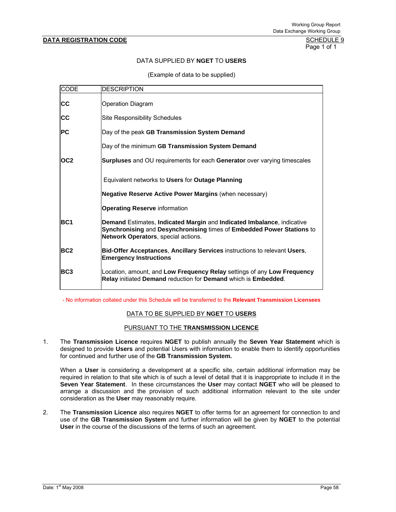Page 1 of 1

# DATA SUPPLIED BY **NGET** TO **USERS**

(Example of data to be supplied)

| <b>CODE</b>     | <b>DESCRIPTION</b>                                                                                                                                                                     |
|-----------------|----------------------------------------------------------------------------------------------------------------------------------------------------------------------------------------|
| <b>CC</b>       | <b>Operation Diagram</b>                                                                                                                                                               |
| <b>CC</b>       | <b>Site Responsibility Schedules</b>                                                                                                                                                   |
| <b>IPC</b>      | Day of the peak GB Transmission System Demand                                                                                                                                          |
|                 | Day of the minimum GB Transmission System Demand                                                                                                                                       |
| OC <sub>2</sub> | Surpluses and OU requirements for each Generator over varying timescales                                                                                                               |
|                 | Equivalent networks to Users for Outage Planning                                                                                                                                       |
|                 | Negative Reserve Active Power Margins (when necessary)                                                                                                                                 |
|                 | <b>Operating Reserve information</b>                                                                                                                                                   |
| BC <sub>1</sub> | Demand Estimates, Indicated Margin and Indicated Imbalance, indicative<br>Synchronising and Desynchronising times of Embedded Power Stations to<br>Network Operators, special actions. |
| <b>BC2</b>      | Bid-Offer Acceptances, Ancillary Services instructions to relevant Users,<br><b>Emergency Instructions</b>                                                                             |
| <b>BC3</b>      | Location, amount, and Low Frequency Relay settings of any Low Frequency<br>Relay initiated Demand reduction for Demand which is Embedded.                                              |

- No information collated under this Schedule will be transferred to the **Relevant Transmission Licensees** 

# DATA TO BE SUPPLIED BY **NGET** TO **USERS**

#### PURSUANT TO THE **TRANSMISSION LICENCE**

1. The **Transmission Licence** requires **NGET** to publish annually the **Seven Year Statement** which is designed to provide **Users** and potential Users with information to enable them to identify opportunities for continued and further use of the **GB Transmission System.**

 When a **User** is considering a development at a specific site, certain additional information may be required in relation to that site which is of such a level of detail that it is inappropriate to include it in the **Seven Year Statement**. In these circumstances the **User** may contact **NGET** who will be pleased to arrange a discussion and the provision of such additional information relevant to the site under consideration as the **User** may reasonably require.

2. The **Transmission Licence** also requires **NGET** to offer terms for an agreement for connection to and use of the **GB Transmission System** and further information will be given by **NGET** to the potential **User** in the course of the discussions of the terms of such an agreement.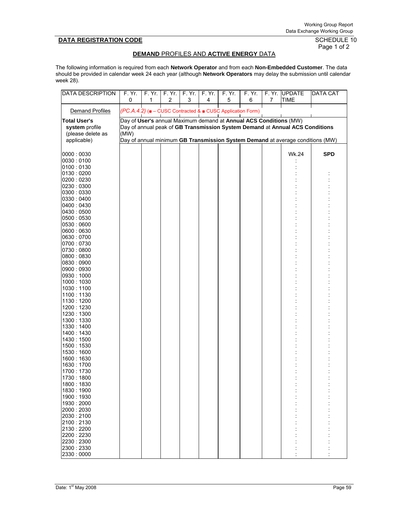# Page 1 of 2

### **DEMAND** PROFILES AND **ACTIVE ENERGY** DATA

The following information is required from each **Network Operator** and from each **Non-Embedded Customer**. The data should be provided in calendar week 24 each year (although **Network Operators** may delay the submission until calendar week 28).

| DATA DESCRIPTION    | F.Yr.<br>0 | F.Yr.<br>1 | F. Yr.<br>$\overline{c}$ | F. Yr.<br>3 | F.Yr.<br>4 | F. Yr.<br>5                                                | F. Yr.<br>6 | 7 | F. Yr. UPDATE<br><b>TIME</b>                                                   | <b>DATA CAT</b> |
|---------------------|------------|------------|--------------------------|-------------|------------|------------------------------------------------------------|-------------|---|--------------------------------------------------------------------------------|-----------------|
| Demand Profiles     |            |            |                          |             |            | (PC.A.4.2) (■ - CUSC Contracted & ■ CUSC Application Form) |             |   |                                                                                |                 |
| <b>Total User's</b> |            |            |                          |             |            |                                                            |             |   | Day of User's annual Maximum demand at Annual ACS Conditions (MW)              |                 |
| system profile      |            |            |                          |             |            |                                                            |             |   | Day of annual peak of GB Transmission System Demand at Annual ACS Conditions   |                 |
| (please delete as   | (MW)       |            |                          |             |            |                                                            |             |   |                                                                                |                 |
| applicable)         |            |            |                          |             |            |                                                            |             |   | Day of annual minimum GB Transmission System Demand at average conditions (MW) |                 |
|                     |            |            |                          |             |            |                                                            |             |   |                                                                                |                 |
|                     |            |            |                          |             |            |                                                            |             |   |                                                                                |                 |
| 0000:0030           |            |            |                          |             |            |                                                            |             |   | <b>Wk.24</b>                                                                   | <b>SPD</b>      |
| 0030:0100           |            |            |                          |             |            |                                                            |             |   |                                                                                |                 |
| 0100:0130           |            |            |                          |             |            |                                                            |             |   |                                                                                |                 |
| 0130:0200           |            |            |                          |             |            |                                                            |             |   |                                                                                |                 |
| 0200:0230           |            |            |                          |             |            |                                                            |             |   |                                                                                |                 |
| 0230:0300           |            |            |                          |             |            |                                                            |             |   |                                                                                |                 |
| 0300:0330           |            |            |                          |             |            |                                                            |             |   |                                                                                |                 |
| 0330:0400           |            |            |                          |             |            |                                                            |             |   |                                                                                |                 |
| 0400:0430           |            |            |                          |             |            |                                                            |             |   |                                                                                |                 |
| 0430:0500           |            |            |                          |             |            |                                                            |             |   |                                                                                |                 |
| 0500:0530           |            |            |                          |             |            |                                                            |             |   |                                                                                |                 |
| 0530:0600           |            |            |                          |             |            |                                                            |             |   |                                                                                |                 |
| 0600:0630           |            |            |                          |             |            |                                                            |             |   |                                                                                |                 |
| 0630:0700           |            |            |                          |             |            |                                                            |             |   |                                                                                |                 |
| 0700:0730           |            |            |                          |             |            |                                                            |             |   |                                                                                |                 |
| 0730:0800           |            |            |                          |             |            |                                                            |             |   |                                                                                |                 |
| 0800:0830           |            |            |                          |             |            |                                                            |             |   |                                                                                |                 |
| 0830:0900           |            |            |                          |             |            |                                                            |             |   |                                                                                |                 |
| 0900:0930           |            |            |                          |             |            |                                                            |             |   |                                                                                |                 |
| 0930:1000           |            |            |                          |             |            |                                                            |             |   |                                                                                |                 |
| 1000: 1030          |            |            |                          |             |            |                                                            |             |   |                                                                                |                 |
| 1030:1100           |            |            |                          |             |            |                                                            |             |   |                                                                                |                 |
| 1100:1130           |            |            |                          |             |            |                                                            |             |   |                                                                                |                 |
| 1130:1200           |            |            |                          |             |            |                                                            |             |   |                                                                                |                 |
| 1200: 1230          |            |            |                          |             |            |                                                            |             |   |                                                                                |                 |
| 1230: 1300          |            |            |                          |             |            |                                                            |             |   |                                                                                |                 |
| 1300: 1330          |            |            |                          |             |            |                                                            |             |   |                                                                                |                 |
| 1330: 1400          |            |            |                          |             |            |                                                            |             |   |                                                                                |                 |
| 1400: 1430          |            |            |                          |             |            |                                                            |             |   |                                                                                |                 |
| 1430: 1500          |            |            |                          |             |            |                                                            |             |   |                                                                                |                 |
| 1500: 1530          |            |            |                          |             |            |                                                            |             |   |                                                                                |                 |
| 1530: 1600          |            |            |                          |             |            |                                                            |             |   |                                                                                |                 |
| 1600: 1630          |            |            |                          |             |            |                                                            |             |   |                                                                                |                 |
| 1630: 1700          |            |            |                          |             |            |                                                            |             |   |                                                                                |                 |
| 1700: 1730          |            |            |                          |             |            |                                                            |             |   |                                                                                |                 |
| 1730: 1800          |            |            |                          |             |            |                                                            |             |   |                                                                                |                 |
| 1800: 1830          |            |            |                          |             |            |                                                            |             |   |                                                                                |                 |
| 1830: 1900          |            |            |                          |             |            |                                                            |             |   |                                                                                |                 |
| 1900: 1930          |            |            |                          |             |            |                                                            |             |   |                                                                                |                 |
| 1930:2000           |            |            |                          |             |            |                                                            |             |   |                                                                                |                 |
| 2000:2030           |            |            |                          |             |            |                                                            |             |   |                                                                                |                 |
| 2030:2100           |            |            |                          |             |            |                                                            |             |   |                                                                                |                 |
| 2100:2130           |            |            |                          |             |            |                                                            |             |   |                                                                                |                 |
| 2130:2200           |            |            |                          |             |            |                                                            |             |   |                                                                                |                 |
| 2200:2230           |            |            |                          |             |            |                                                            |             |   |                                                                                |                 |
| 2230:2300           |            |            |                          |             |            |                                                            |             |   |                                                                                |                 |
| 2300:2330           |            |            |                          |             |            |                                                            |             |   |                                                                                |                 |
| 2330:0000           |            |            |                          |             |            |                                                            |             |   |                                                                                |                 |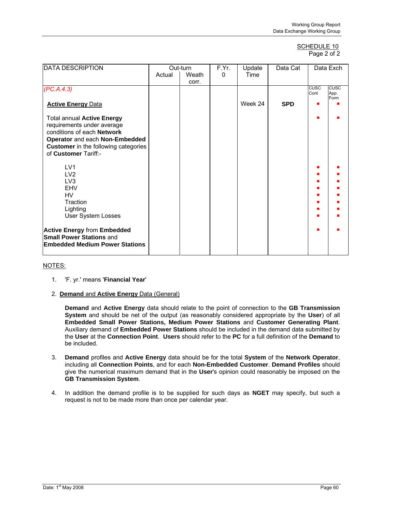#### SCHEDULE 10 Page 2 of 2

| <b>DATA DESCRIPTION</b>                     | Out-turn |       | F.Yr. | Update  | Data Cat   |              | Data Exch           |
|---------------------------------------------|----------|-------|-------|---------|------------|--------------|---------------------|
|                                             | Actual   | Weath | 0     | Time    |            |              |                     |
|                                             |          | corr. |       |         |            |              |                     |
| (PC.A.4.3)                                  |          |       |       |         |            | CUSC<br>Cont | <b>CUSC</b><br>App. |
|                                             |          |       |       |         |            |              | Form                |
| <b>Active Energy Data</b>                   |          |       |       | Week 24 | <b>SPD</b> |              |                     |
| <b>Total annual Active Energy</b>           |          |       |       |         |            |              |                     |
| requirements under average                  |          |       |       |         |            |              |                     |
| conditions of each Network                  |          |       |       |         |            |              |                     |
| Operator and each Non-Embedded              |          |       |       |         |            |              |                     |
| <b>Customer</b> in the following categories |          |       |       |         |            |              |                     |
| of Customer Tariff:-                        |          |       |       |         |            |              |                     |
|                                             |          |       |       |         |            |              |                     |
| LV <sub>1</sub>                             |          |       |       |         |            |              |                     |
| LV <sub>2</sub>                             |          |       |       |         |            |              |                     |
| LV <sub>3</sub>                             |          |       |       |         |            |              |                     |
| <b>EHV</b>                                  |          |       |       |         |            |              |                     |
| HV                                          |          |       |       |         |            |              |                     |
| Traction                                    |          |       |       |         |            |              |                     |
| Lighting                                    |          |       |       |         |            |              |                     |
| User System Losses                          |          |       |       |         |            |              |                     |
| <b>Active Energy from Embedded</b>          |          |       |       |         |            |              |                     |
| <b>Small Power Stations and</b>             |          |       |       |         |            |              |                     |
| <b>Embedded Medium Power Stations</b>       |          |       |       |         |            |              |                     |
|                                             |          |       |       |         |            |              |                     |

# NOTES:

- 1. 'F. yr.' means '**Financial Year**'
- 2. **Demand** and **Active Energy** Data (General)

**Demand** and **Active Energy** data should relate to the point of connection to the **GB Transmission System** and should be net of the output (as reasonably considered appropriate by the **User**) of all **Embedded Small Power Stations, Medium Power Stations** and **Customer Generating Plant**. Auxiliary demand of **Embedded Power Stations** should be included in the demand data submitted by the **User** at the **Connection Point**. **Users** should refer to the **PC** for a full definition of the **Demand** to be included.

- 3. **Demand** profiles and **Active Energy** data should be for the total **System** of the **Network Operator**, including all **Connection Points**, and for each **Non-Embedded Customer**. **Demand Profiles** should give the numerical maximum demand that in the **User**'s opinion could reasonably be imposed on the **GB Transmission System**.
- 4. In addition the demand profile is to be supplied for such days as **NGET** may specify, but such a request is not to be made more than once per calendar year.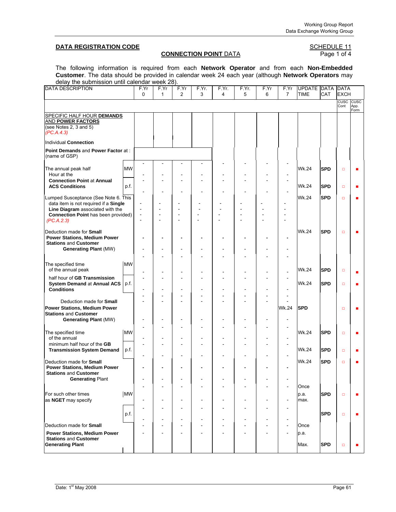# **DATA REGISTRATION CODE**<br>**CONNECTION POINT** DATA **SCHEDULE 11**<br>Page 1 of 4

### **CONNECTION POINT DATA**

The following information is required from each **Network Operator** and from each **Non-Embedded Customer**. The data should be provided in calendar week 24 each year (although **Network Operators** may delay the submission until calendar week 28).

| aciay the submission until calcridar week 20).<br><b>DATA DESCRIPTION</b>                                        |           | F.Yr<br>0 | F.Yr<br>$\mathbf{1}$ | F.Yr<br>$\overline{c}$ | F.Yr.<br>3     | F.Yr.<br>4     | F.Yr.<br>5           | F.Yr<br>6      | F.Yr<br>$\overline{7}$                               | UPDATE  DATA  DATA<br><b>TIME</b> | CAT        | <b>EXCH</b>       |      |
|------------------------------------------------------------------------------------------------------------------|-----------|-----------|----------------------|------------------------|----------------|----------------|----------------------|----------------|------------------------------------------------------|-----------------------------------|------------|-------------------|------|
|                                                                                                                  |           |           |                      |                        |                |                |                      |                |                                                      |                                   |            | cusc cusc<br>Cont | App. |
| SPECIFIC HALF HOUR DEMANDS                                                                                       |           |           |                      |                        |                |                |                      |                |                                                      |                                   |            |                   | Form |
| <b>AND POWER FACTORS</b><br>(see Notes 2, 3 and 5)<br>(PC.A.4.3)                                                 |           |           |                      |                        |                |                |                      |                |                                                      |                                   |            |                   |      |
| Individual Connection                                                                                            |           |           |                      |                        |                |                |                      |                |                                                      |                                   |            |                   |      |
| Point Demands and Power Factor at:<br>(name of GSP)                                                              |           |           |                      |                        |                |                |                      |                |                                                      |                                   |            |                   |      |
| The annual peak half                                                                                             | <b>MW</b> |           |                      |                        |                |                |                      |                | $\overline{a}$                                       | Wk.24                             | <b>SPD</b> | $\Box$            |      |
| Hour at the<br><b>Connection Point at Annual</b><br><b>ACS Conditions</b>                                        | p.f.      |           |                      |                        |                |                |                      |                |                                                      | Wk.24                             | <b>SPD</b> | $\Box$            |      |
| Lumped Susceptance (See Note 6. This                                                                             |           |           |                      |                        |                |                |                      |                |                                                      | <b>Wk.24</b>                      | <b>SPD</b> | $\Box$            |      |
| data item is not required if a Single<br>Line Diagram associated with the<br>Connection Point has been provided) |           |           |                      | ÷.<br>ä,               |                |                |                      |                |                                                      |                                   |            |                   |      |
| (PC.A.2.3)<br>Deduction made for Small                                                                           |           |           |                      | ä,                     |                |                |                      |                | ÷,                                                   | <b>Wk.24</b>                      | <b>SPD</b> | $\Box$            |      |
| Power Stations, Medium Power<br><b>Stations and Customer</b>                                                     |           |           |                      |                        |                |                |                      |                |                                                      |                                   |            |                   |      |
| <b>Generating Plant (MW)</b>                                                                                     |           |           |                      |                        |                |                |                      |                |                                                      |                                   |            |                   |      |
| The specified time<br>of the annual peak                                                                         | <b>MW</b> |           |                      |                        |                |                |                      |                |                                                      | Wk.24                             | <b>SPD</b> | $\Box$            |      |
| half hour of GB Transmission<br><b>System Demand at Annual ACS</b><br><b>Conditions</b>                          | p.f.      |           |                      |                        |                |                |                      |                |                                                      | <b>Wk.24</b>                      | <b>SPD</b> | $\Box$            |      |
| Deduction made for <b>Small</b>                                                                                  |           |           |                      |                        |                |                |                      |                |                                                      |                                   |            |                   |      |
| Power Stations, Medium Power<br><b>Stations and Customer</b>                                                     |           |           |                      |                        |                |                |                      |                | <b>Wk.24</b>                                         | <b>SPD</b>                        |            | $\Box$            |      |
| <b>Generating Plant (MW)</b>                                                                                     | <b>MW</b> |           |                      |                        |                |                |                      |                |                                                      |                                   |            |                   |      |
| The specified time<br>of the annual<br>minimum half hour of the GB                                               |           |           |                      |                        |                |                |                      |                | $\overline{\phantom{a}}$                             | Wk.24                             | <b>SPD</b> | $\Box$            |      |
| <b>Transmission System Demand</b>                                                                                | p.f.      |           |                      |                        |                |                |                      |                |                                                      | Wk.24                             | <b>SPD</b> | $\Box$            |      |
| Deduction made for <b>Small</b><br><b>Power Stations, Medium Power</b><br><b>Stations and Customer</b>           |           |           |                      |                        |                |                |                      |                |                                                      | <b>Wk.24</b>                      | <b>SPD</b> | $\Box$            |      |
| <b>Generating Plant</b>                                                                                          |           |           | $\blacksquare$       | $\rightarrow$          | $\overline{a}$ |                | $\overline{a}$       | $\blacksquare$ | $\overline{\phantom{a}}$<br>$\overline{\phantom{a}}$ | Once                              |            |                   |      |
| For such other times<br>as NGET may specify                                                                      | <b>MW</b> |           |                      |                        |                |                |                      | ٠              | ٠                                                    | p.a.<br>max.                      | <b>SPD</b> | $\Box$            | ■    |
|                                                                                                                  | p.f.      |           | ٠                    | $\blacksquare$         |                | $\sim$         | $\overline{a}$       | ٠              | $\blacksquare$                                       |                                   | <b>SPD</b> | $\Box$            |      |
| Deduction made for <b>Small</b>                                                                                  |           | $\sim$    | $\sim$               | $\ddot{\phantom{1}}$   | $\sim$         | $\blacksquare$ | $\ddot{\phantom{1}}$ | $\blacksquare$ | $\overline{\phantom{a}}$<br>$\sim$                   | Once                              |            |                   |      |
| <b>Power Stations, Medium Power</b><br><b>Stations and Customer</b><br><b>Generating Plant</b>                   |           |           |                      |                        |                |                |                      |                | $\sim$                                               | p.a.                              | <b>SPD</b> |                   |      |
|                                                                                                                  |           |           |                      |                        |                |                |                      |                |                                                      | Max.                              |            | $\Box$            | п    |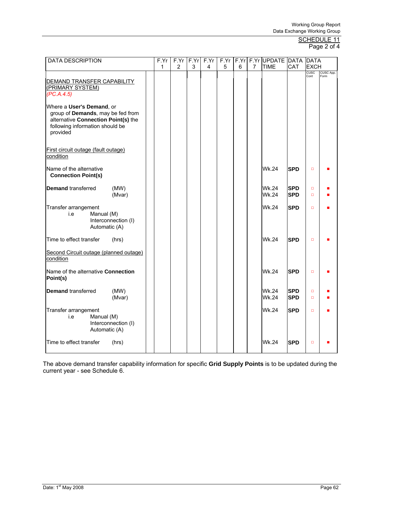# Page 2 of 4

| <b>DATA DESCRIPTION</b>                                                                                                                              | F.Yr | F.Yr | F.Yr | F.Yr | F.Yr |   |   | F.Yr F.Yr UPDATE DATA DATA |                          |                     |                   |
|------------------------------------------------------------------------------------------------------------------------------------------------------|------|------|------|------|------|---|---|----------------------------|--------------------------|---------------------|-------------------|
|                                                                                                                                                      | 1    | 2    | 3    | 4    | 5    | 6 | 7 | TIME                       | CAT                      | <b>EXCH</b>         |                   |
| DEMAND TRANSFER CAPABILITY<br>(PRIMARY SYSTEM)<br>(PC.A.4.5)                                                                                         |      |      |      |      |      |   |   |                            |                          | <b>CUSC</b><br>Cont | CUSC App.<br>Form |
| Where a User's Demand, or<br>group of Demands, may be fed from<br>alternative Connection Point(s) the<br>following information should be<br>provided |      |      |      |      |      |   |   |                            |                          |                     |                   |
| First circuit outage (fault outage)<br>condition                                                                                                     |      |      |      |      |      |   |   |                            |                          |                     |                   |
| Name of the alternative<br><b>Connection Point(s)</b>                                                                                                |      |      |      |      |      |   |   | Wk.24                      | <b>SPD</b>               | $\Box$              |                   |
| <b>Demand transferred</b><br>(MW)<br>(Mvar)                                                                                                          |      |      |      |      |      |   |   | Wk.24<br>Wk.24             | <b>SPD</b><br><b>SPD</b> | $\Box$<br>$\Box$    |                   |
| Transfer arrangement<br>Manual (M)<br>i.e<br>Interconnection (I)<br>Automatic (A)                                                                    |      |      |      |      |      |   |   | <b>Wk.24</b>               | <b>SPD</b>               | $\Box$              |                   |
| Time to effect transfer<br>(hrs)                                                                                                                     |      |      |      |      |      |   |   | Wk.24                      | <b>SPD</b>               | $\Box$              |                   |
| Second Circuit outage (planned outage)<br>condition                                                                                                  |      |      |      |      |      |   |   |                            |                          |                     |                   |
| Name of the alternative Connection<br>Point(s)                                                                                                       |      |      |      |      |      |   |   | Wk.24                      | <b>SPD</b>               | $\Box$              |                   |
| <b>Demand transferred</b><br>(MW)<br>(Mvar)                                                                                                          |      |      |      |      |      |   |   | Wk.24<br><b>Wk.24</b>      | <b>SPD</b><br><b>SPD</b> | $\Box$<br>$\Box$    |                   |
| Transfer arrangement<br>i.e<br>Manual (M)<br>Interconnection (I)<br>Automatic (A)                                                                    |      |      |      |      |      |   |   | Wk.24                      | <b>SPD</b>               | $\Box$              |                   |
| Time to effect transfer<br>(hrs)                                                                                                                     |      |      |      |      |      |   |   | <b>Wk.24</b>               | <b>SPD</b>               | $\Box$              |                   |

The above demand transfer capability information for specific **Grid Supply Points** is to be updated during the current year - see Schedule 6.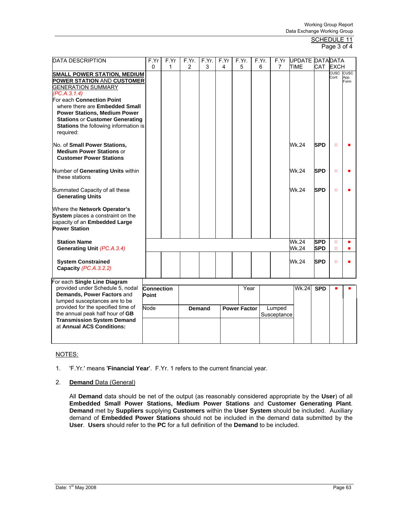### SCHEDULE 11 Page 3 of 4

| <b>DATA DESCRIPTION</b>                                                                                                                                                                                            | F.Yr                | F.Yr         | F.Yr. | F.Yr.  | F.Yr | F.Yr.               |      | F.Yr. | F.Yr                  | UPDATE DATADATA |                          |                   |              |
|--------------------------------------------------------------------------------------------------------------------------------------------------------------------------------------------------------------------|---------------------|--------------|-------|--------|------|---------------------|------|-------|-----------------------|-----------------|--------------------------|-------------------|--------------|
|                                                                                                                                                                                                                    | $\mathbf{0}$        | $\mathbf{1}$ | 2     | 3      | 4    | 5                   |      | 6     | 7                     | <b>TIME</b>     | CAT EXCH                 |                   |              |
| <b>SMALL POWER STATION, MEDIUM</b><br><b>POWER STATION AND CUSTOMER</b><br><b>GENERATION SUMMARY</b>                                                                                                               |                     |              |       |        |      |                     |      |       |                       |                 |                          | CUSC CUSC<br>Cont | App.<br>Form |
| (PC.A.3.1.4)<br>For each Connection Point<br>where there are Embedded Small<br><b>Power Stations, Medium Power</b><br><b>Stations or Customer Generating</b><br>Stations the following information is<br>required: |                     |              |       |        |      |                     |      |       |                       |                 |                          |                   |              |
| No. of Small Power Stations,<br><b>Medium Power Stations or</b><br><b>Customer Power Stations</b>                                                                                                                  |                     |              |       |        |      |                     |      |       |                       | Wk.24           | <b>SPD</b>               | $\Box$            |              |
| Number of Generating Units within<br>these stations                                                                                                                                                                |                     |              |       |        |      |                     |      |       |                       | Wk.24           | <b>SPD</b>               | $\Box$            |              |
| Summated Capacity of all these<br><b>Generating Units</b>                                                                                                                                                          |                     |              |       |        |      |                     |      |       |                       | Wk.24           | <b>SPD</b>               | $\Box$            |              |
| Where the Network Operator's<br>System places a constraint on the<br>capacity of an Embedded Large<br><b>Power Station</b>                                                                                         |                     |              |       |        |      |                     |      |       |                       |                 |                          |                   |              |
| <b>Station Name</b><br>Generating Unit (PC.A.3.4)                                                                                                                                                                  |                     |              |       |        |      |                     |      |       |                       | Wk.24<br>Wk.24  | <b>SPD</b><br><b>SPD</b> | $\Box$<br>$\Box$  |              |
| <b>System Constrained</b><br>Capacity (PC.A.3.2.2)                                                                                                                                                                 |                     |              |       |        |      |                     |      |       |                       | Wk.24           | <b>SPD</b>               | $\Box$            |              |
| For each Single Line Diagram                                                                                                                                                                                       |                     |              |       |        |      |                     |      |       |                       |                 |                          |                   |              |
| provided under Schedule 5, nodal<br>Demands, Power Factors and<br>lumped susceptances are to be                                                                                                                    | Connection<br>Point |              |       |        |      |                     | Year |       |                       | <b>Wk.24</b>    | <b>SPD</b>               |                   |              |
| provided for the specified time of<br>the annual peak half hour of GB<br><b>Transmission System Demand</b>                                                                                                         | Node                |              |       | Demand |      | <b>Power Factor</b> |      |       | Lumped<br>Susceptance |                 |                          |                   |              |
| at Annual ACS Conditions:                                                                                                                                                                                          |                     |              |       |        |      |                     |      |       |                       |                 |                          |                   |              |

# NOTES:

1. 'F.Yr.' means '**Financial Year**'. F.Yr. 1 refers to the current financial year.

# 2. **Demand** Data (General)

All **Demand** data should be net of the output (as reasonably considered appropriate by the **User**) of all **Embedded Small Power Stations, Medium Power Stations** and **Customer Generating Plant**. **Demand** met by **Suppliers** supplying **Customers** within the **User System** should be included. Auxiliary demand of **Embedded Power Stations** should not be included in the demand data submitted by the **User**. **Users** should refer to the **PC** for a full definition of the **Demand** to be included.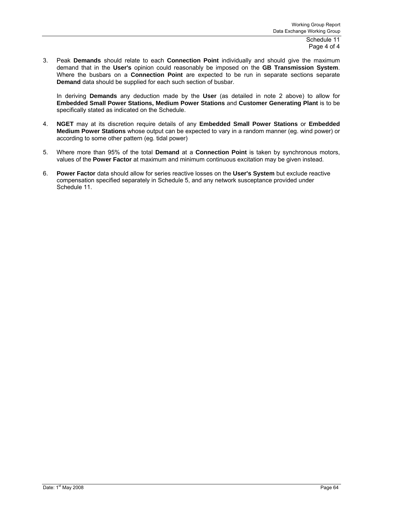Schedule 11 Page 4 of 4

3. Peak **Demands** should relate to each **Connection Point** individually and should give the maximum demand that in the **User's** opinion could reasonably be imposed on the **GB Transmission System**. Where the busbars on a **Connection Point** are expected to be run in separate sections separate **Demand** data should be supplied for each such section of busbar.

In deriving **Demands** any deduction made by the **User** (as detailed in note 2 above) to allow for **Embedded Small Power Stations, Medium Power Stations** and **Customer Generating Plant** is to be specifically stated as indicated on the Schedule.

- 4. **NGET** may at its discretion require details of any **Embedded Small Power Stations** or **Embedded Medium Power Stations** whose output can be expected to vary in a random manner (eg. wind power) or according to some other pattern (eg. tidal power)
- 5. Where more than 95% of the total **Demand** at a **Connection Point** is taken by synchronous motors, values of the **Power Factor** at maximum and minimum continuous excitation may be given instead.
- 6. **Power Factor** data should allow for series reactive losses on the **User's System** but exclude reactive compensation specified separately in Schedule 5, and any network susceptance provided under Schedule 11.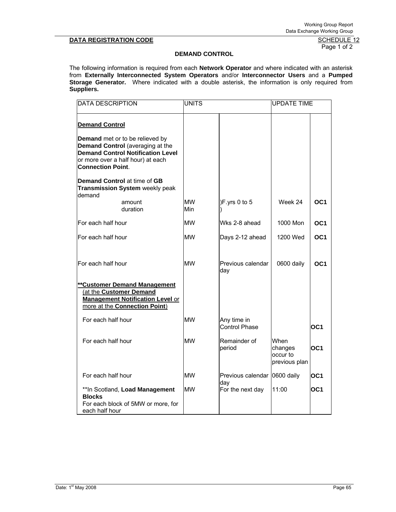Page 1 of 2

# **DEMAND CONTROL**

The following information is required from each **Network Operator** and where indicated with an asterisk from **Externally Interconnected System Operators** and/or **Interconnector Users** and a **Pumped Storage Generator.** Where indicated with a double asterisk, the information is only required from **Suppliers.** 

| <b>DATA DESCRIPTION</b>                                                                                                                                                                                                                                                      | <b>UNITS</b>     |                                     | <b>UPDATE TIME</b>                           |                 |  |
|------------------------------------------------------------------------------------------------------------------------------------------------------------------------------------------------------------------------------------------------------------------------------|------------------|-------------------------------------|----------------------------------------------|-----------------|--|
| <b>Demand Control</b><br>Demand met or to be relieved by<br>Demand Control (averaging at the<br><b>Demand Control Notification Level</b><br>or more over a half hour) at each<br><b>Connection Point.</b><br>Demand Control at time of GB<br>Transmission System weekly peak |                  |                                     |                                              |                 |  |
| demand<br>amount<br>duration                                                                                                                                                                                                                                                 | <b>MW</b><br>Min | )F.yrs 0 to 5                       | Week 24                                      | OC <sub>1</sub> |  |
| For each half hour                                                                                                                                                                                                                                                           | <b>MW</b>        | Wks 2-8 ahead                       | 1000 Mon                                     | OC <sub>1</sub> |  |
| For each half hour                                                                                                                                                                                                                                                           | <b>MW</b>        | Days 2-12 ahead                     | 1200 Wed                                     | OC <sub>1</sub> |  |
| lFor each half hour                                                                                                                                                                                                                                                          | <b>MW</b>        | Previous calendar<br>day            | 0600 daily                                   | OC <sub>1</sub> |  |
| <b>**Customer Demand Management</b><br>(at the Customer Demand<br><b>Management Notification Level or</b><br>more at the Connection Point)                                                                                                                                   |                  |                                     |                                              |                 |  |
| For each half hour                                                                                                                                                                                                                                                           | <b>MW</b>        | Any time in<br>Control Phase        |                                              | OC <sub>1</sub> |  |
| For each half hour                                                                                                                                                                                                                                                           | <b>MW</b>        | Remainder of<br>period              | When<br>changes<br>occur to<br>previous plan | OC <sub>1</sub> |  |
| For each half hour                                                                                                                                                                                                                                                           | <b>MW</b>        | Previous calendar 0600 daily<br>day |                                              | OC1             |  |
| ** In Scotland, Load Management<br><b>Blocks</b><br>For each block of 5MW or more, for<br>each half hour                                                                                                                                                                     | <b>MW</b>        | For the next day                    | 11:00                                        | OC1             |  |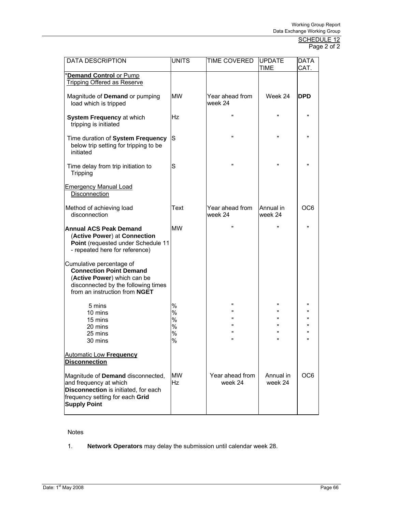| <b>DATA DESCRIPTION</b>                                                                                                                                           | <b>UNITS</b>                     | TIME COVERED                             | <b>UPDATE</b><br><b>TIME</b>      | DATA<br>CAT.                                 |
|-------------------------------------------------------------------------------------------------------------------------------------------------------------------|----------------------------------|------------------------------------------|-----------------------------------|----------------------------------------------|
| <b>Demand Control or Pump</b><br><b>Tripping Offered as Reserve</b>                                                                                               |                                  |                                          |                                   |                                              |
| Magnitude of Demand or pumping<br>load which is tripped                                                                                                           | <b>MW</b>                        | Year ahead from<br>week 24               | Week 24                           | <b>DPD</b>                                   |
| System Frequency at which<br>tripping is initiated                                                                                                                | Ηz                               | $\mathbf{u}$                             | $\mathbf{u}$                      | $\mathbf{u}$                                 |
| Time duration of System Frequency<br>below trip setting for tripping to be<br>initiated                                                                           | lS                               | $\pmb{\mathsf{u}}$                       | $\mathbf{u}$                      | $\mathbf{u}$                                 |
| Time delay from trip initiation to<br>Tripping                                                                                                                    | S                                | π                                        | $\mathbf{u}$                      | $\mathbf{u}$                                 |
| <b>Emergency Manual Load</b><br>Disconnection                                                                                                                     |                                  |                                          |                                   |                                              |
| Method of achieving load<br>disconnection                                                                                                                         | Text                             | Year ahead from<br>week 24               | Annual in<br>week 24              | OC <sub>6</sub>                              |
| <b>Annual ACS Peak Demand</b><br>(Active Power) at Connection<br>Point (requested under Schedule 11<br>- repeated here for reference)                             | <b>MW</b>                        | π                                        | $\mathbf{u}$                      | $\mathbf{u}$                                 |
| Cumulative percentage of<br><b>Connection Point Demand</b><br>(Active Power) which can be<br>disconnected by the following times<br>from an instruction from NGET |                                  |                                          |                                   |                                              |
| 5 mins<br>10 mins<br>15 mins<br>20 mins<br>25 mins<br>30 mins                                                                                                     | %<br>%<br>%<br>$\%$<br>$\%$<br>% | $\mathbf{u}$<br>Ħ<br>Ħ<br>$\blacksquare$ | $\mathbf{u}$<br>$\mathbf{u}$<br>Ħ | $\mathbf{u}$<br>$\mathbf{u}$<br>$\mathbf{u}$ |
| <b>Automatic Low Frequency</b><br><b>Disconnection</b>                                                                                                            |                                  |                                          |                                   |                                              |
| Magnitude of Demand disconnected,<br>and frequency at which<br>Disconnection is initiated, for each<br>frequency setting for each Grid<br><b>Supply Point</b>     | <b>MW</b><br><b>Hz</b>           | Year ahead from<br>week 24               | Annual in<br>week 24              | OC <sub>6</sub>                              |

# Notes

1. **Network Operators** may delay the submission until calendar week 28.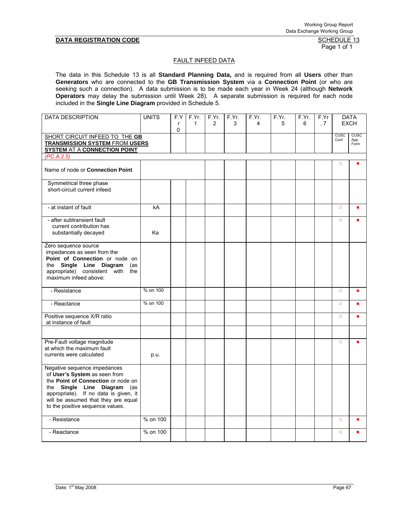Page 1 of 1

#### FAULT INFEED DATA

The data in this Schedule 13 is all **Standard Planning Data,** and is required from all **Users** other than **Generators** who are connected to the **GB Transmission System** via a **Connection Point** (or who are seeking such a connection). A data submission is to be made each year in Week 24 (although **Network Operators** may delay the submission until Week 28). A separate submission is required for each node included in the **Single Line Diagram** provided in Schedule 5.

| <b>DATA DESCRIPTION</b>                                                                                                                                                                                                                                   | <b>UNITS</b> | F.Y<br>$\mathsf{r}$<br>0 | F.Yr.<br>$\mathbf{1}$ | F.Yr.<br>2 | F.Yr.<br>3 | F.Yr.<br>4 | F.Yr.<br>5 | F.Yr.<br>6 | F.Yr<br>.7 |                     | <b>DATA</b><br><b>EXCH</b>  |
|-----------------------------------------------------------------------------------------------------------------------------------------------------------------------------------------------------------------------------------------------------------|--------------|--------------------------|-----------------------|------------|------------|------------|------------|------------|------------|---------------------|-----------------------------|
| SHORT CIRCUIT INFEED TO THE GB<br><b>TRANSMISSION SYSTEM FROM USERS</b><br><b>SYSTEM AT A CONNECTION POINT</b>                                                                                                                                            |              |                          |                       |            |            |            |            |            |            | <b>CUSC</b><br>Cont | <b>CUSC</b><br>App.<br>Form |
| (PC.A.2.5)                                                                                                                                                                                                                                                |              |                          |                       |            |            |            |            |            |            |                     |                             |
| Name of node or Connection Point                                                                                                                                                                                                                          |              |                          |                       |            |            |            |            |            |            | $\Box$              |                             |
| Symmetrical three phase<br>short-circuit current infeed                                                                                                                                                                                                   |              |                          |                       |            |            |            |            |            |            |                     |                             |
| - at instant of fault                                                                                                                                                                                                                                     | kA           |                          |                       |            |            |            |            |            |            | $\Box$              |                             |
| - after subtransient fault<br>current contribution has<br>substantially decayed                                                                                                                                                                           | Ka           |                          |                       |            |            |            |            |            |            | $\Box$              |                             |
| Zero sequence source<br>impedances as seen from the<br>Point of Connection or node on<br>the Single Line Diagram<br>(as<br>appropriate) consistent with the<br>maximum infeed above:                                                                      |              |                          |                       |            |            |            |            |            |            |                     |                             |
| - Resistance                                                                                                                                                                                                                                              | % on 100     |                          |                       |            |            |            |            |            |            | $\Box$              |                             |
| - Reactance                                                                                                                                                                                                                                               | % on 100     |                          |                       |            |            |            |            |            |            | $\Box$              |                             |
| Positive sequence X/R ratio<br>at instance of fault                                                                                                                                                                                                       |              |                          |                       |            |            |            |            |            |            | $\Box$              |                             |
|                                                                                                                                                                                                                                                           |              |                          |                       |            |            |            |            |            |            |                     |                             |
| Pre-Fault voltage magnitude<br>at which the maximum fault<br>currents were calculated                                                                                                                                                                     | p.u.         |                          |                       |            |            |            |            |            |            | $\Box$              |                             |
| Negative sequence impedances<br>of User's System as seen from<br>the Point of Connection or node on<br>the Single Line Diagram<br>(as<br>appropriate). If no data is given, it<br>will be assumed that they are equal<br>to the positive sequence values. |              |                          |                       |            |            |            |            |            |            |                     |                             |
| - Resistance                                                                                                                                                                                                                                              | % on 100     |                          |                       |            |            |            |            |            |            | $\Box$              |                             |
| - Reactance                                                                                                                                                                                                                                               | % on 100     |                          |                       |            |            |            |            |            |            | $\Box$              |                             |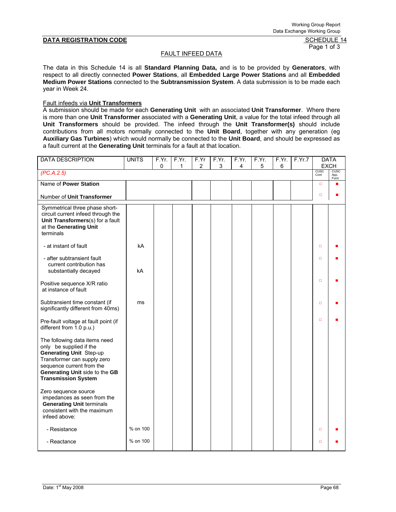# Page 1 of 3

# FAULT INFEED DATA

The data in this Schedule 14 is all **Standard Planning Data,** and is to be provided by **Generators**, with respect to all directly connected **Power Stations**, all **Embedded Large Power Stations** and all **Embedded Medium Power Stations** connected to the **Subtransmission System**. A data submission is to be made each year in Week 24.

## Fault infeeds via **Unit Transformers**

A submission should be made for each **Generating Unit** with an associated **Unit Transformer**. Where there is more than one **Unit Transformer** associated with a **Generating Unit**, a value for the total infeed through all **Unit Transformers** should be provided. The infeed through the **Unit Transformer(s)** should include contributions from all motors normally connected to the **Unit Board**, together with any generation (eg **Auxiliary Gas Turbines**) which would normally be connected to the **Unit Board**, and should be expressed as a fault current at the **Generating Unit** terminals for a fault at that location.

| <b>DATA DESCRIPTION</b>                                                                                                                                                                                         | <b>UNITS</b> | F.Yr.<br>0 | F.Yr.<br>1 | F.Yr<br>2 | F.Yr.<br>3 | F.Yr.<br>4 | F.Yr.<br>5 | F.Yr.<br>6 | F.Yr.7 |              | <b>DATA</b><br><b>EXCH</b> |
|-----------------------------------------------------------------------------------------------------------------------------------------------------------------------------------------------------------------|--------------|------------|------------|-----------|------------|------------|------------|------------|--------|--------------|----------------------------|
| (PC.A.2.5)                                                                                                                                                                                                      |              |            |            |           |            |            |            |            |        | CUSC<br>Cont | CUSC<br>App.               |
| Name of Power Station                                                                                                                                                                                           |              |            |            |           |            |            |            |            |        | $\Box$       | Form                       |
| Number of Unit Transformer                                                                                                                                                                                      |              |            |            |           |            |            |            |            |        | $\Box$       |                            |
| Symmetrical three phase short-<br>circuit current infeed through the<br>Unit Transformers(s) for a fault<br>at the Generating Unit<br>terminals                                                                 |              |            |            |           |            |            |            |            |        |              |                            |
| - at instant of fault                                                                                                                                                                                           | kA           |            |            |           |            |            |            |            |        | $\Box$       |                            |
| - after subtransient fault<br>current contribution has<br>substantially decayed                                                                                                                                 | kA           |            |            |           |            |            |            |            |        | $\Box$       |                            |
| Positive sequence X/R ratio<br>at instance of fault                                                                                                                                                             |              |            |            |           |            |            |            |            |        | $\Box$       |                            |
| Subtransient time constant (if<br>significantly different from 40ms)                                                                                                                                            | ms           |            |            |           |            |            |            |            |        | $\Box$       |                            |
| Pre-fault voltage at fault point (if<br>different from 1.0 p.u.)                                                                                                                                                |              |            |            |           |            |            |            |            |        | $\Box$       |                            |
| The following data items need<br>only be supplied if the<br>Generating Unit Step-up<br>Transformer can supply zero<br>sequence current from the<br>Generating Unit side to the GB<br><b>Transmission System</b> |              |            |            |           |            |            |            |            |        |              |                            |
| Zero sequence source<br>impedances as seen from the<br><b>Generating Unit terminals</b><br>consistent with the maximum<br>infeed above:                                                                         |              |            |            |           |            |            |            |            |        |              |                            |
| - Resistance                                                                                                                                                                                                    | % on 100     |            |            |           |            |            |            |            |        | $\Box$       |                            |
| - Reactance                                                                                                                                                                                                     | % on 100     |            |            |           |            |            |            |            |        | $\Box$       |                            |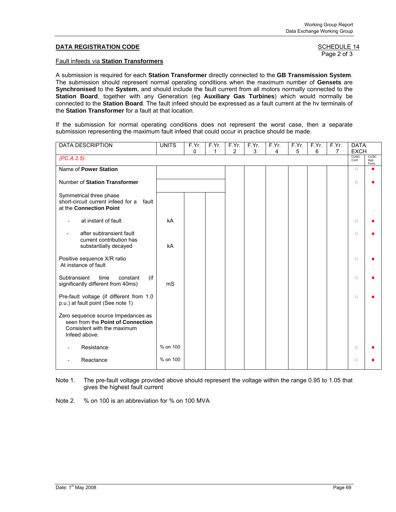Page 2 of 3

#### Fault infeeds via **Station Transformers**

A submission is required for each **Station Transformer** directly connected to the **GB Transmission System**. The submission should represent normal operating conditions when the maximum number of **Gensets** are **Synchronised** to the **System**, and should include the fault current from all motors normally connected to the **Station Board**, together with any Generation (eg **Auxiliary Gas Turbines**) which would normally be connected to the **Station Board**. The fault infeed should be expressed as a fault current at the hv terminals of the **Station Transformer** for a fault at that location.

If the submission for normal operating conditions does not represent the worst case, then a separate submission representing the maximum fault infeed that could occur in practice should be made.

| <b>DATA DESCRIPTION</b>                                                                                                 | <b>UNITS</b> | F.Yr. | F.Yr. | F.Yr.          | F.Yr. | F.Yr. | F.Yr. | F.Yr. | F.Yr.          | <b>DATA</b>         |                             |
|-------------------------------------------------------------------------------------------------------------------------|--------------|-------|-------|----------------|-------|-------|-------|-------|----------------|---------------------|-----------------------------|
|                                                                                                                         |              | 0     | 1     | $\overline{2}$ | 3     | 4     | 5     | 6     | $\overline{7}$ | <b>EXCH</b>         |                             |
| (PC.A.2.5)                                                                                                              |              |       |       |                |       |       |       |       |                | <b>CUSC</b><br>Cont | <b>CUSC</b><br>App.<br>Form |
| Name of Power Station                                                                                                   |              |       |       |                |       |       |       |       |                | $\Box$              |                             |
| Number of Station Transformer                                                                                           |              |       |       |                |       |       |       |       |                | ▫                   |                             |
| Symmetrical three phase<br>short-circuit current infeed for a fault<br>at the Connection Point                          |              |       |       |                |       |       |       |       |                |                     |                             |
| at instant of fault                                                                                                     | kA           |       |       |                |       |       |       |       |                | ▫                   |                             |
| after subtransient fault<br>current contribution has<br>substantially decayed                                           | kA           |       |       |                |       |       |       |       |                | $\Box$              |                             |
| Positive sequence X/R ratio<br>At instance of fault                                                                     |              |       |       |                |       |       |       |       |                | $\Box$              |                             |
| Subtransient<br>(if<br>constant<br>time<br>significantly different from 40ms)                                           | mS           |       |       |                |       |       |       |       |                | $\Box$              |                             |
| Pre-fault voltage (if different from 1.0<br>p.u.) at fault point (See note 1)                                           |              |       |       |                |       |       |       |       |                | $\Box$              |                             |
| Zero sequence source Impedances as<br>seen from the Point of Connection<br>Consistent with the maximum<br>Infeed above: |              |       |       |                |       |       |       |       |                |                     |                             |
| Resistance                                                                                                              | % on 100     |       |       |                |       |       |       |       |                | $\Box$              |                             |
| Reactance                                                                                                               | % on 100     |       |       |                |       |       |       |       |                | ▫                   |                             |

Note 1. The pre-fault voltage provided above should represent the voltage within the range 0.95 to 1.05 that gives the highest fault current

Note 2. % on 100 is an abbreviation for % on 100 MVA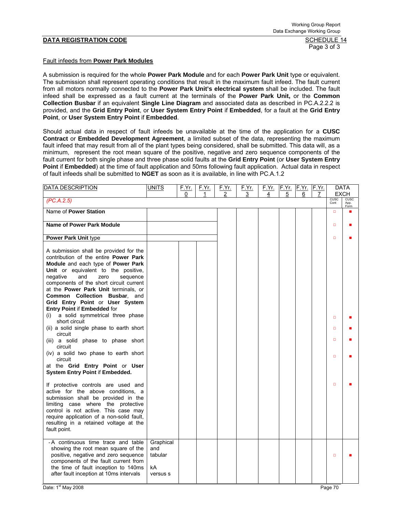Page 3 of 3

#### Fault infeeds from **Power Park Modules**

A submission is required for the whole **Power Park Module** and for each **Power Park Unit** type or equivalent. The submission shall represent operating conditions that result in the maximum fault infeed. The fault current from all motors normally connected to the **Power Park Unit's electrical system** shall be included. The fault infeed shall be expressed as a fault current at the terminals of the **Power Park Unit,** or the **Common Collection Busbar** if an equivalent **Single Line Diagram** and associated data as described in PC.A.2.2.2 is provided, and the **Grid Entry Point**, or **User System Entry Point** if **Embedded**, for a fault at the **Grid Entry Point**, or **User System Entry Point** if **Embedded**.

Should actual data in respect of fault infeeds be unavailable at the time of the application for a **CUSC Contract** or **Embedded Development Agreement**, a limited subset of the data, representing the maximum fault infeed that may result from all of the plant types being considered, shall be submitted. This data will, as a minimum, represent the root mean square of the positive, negative and zero sequence components of the fault current for both single phase and three phase solid faults at the **Grid Entry Point** (or **User System Entry Point** if **Embedded**) at the time of fault application and 50ms following fault application. Actual data in respect of fault infeeds shall be submitted to **NGET** as soon as it is available, in line with PC.A.1.2

| <b>DATA DESCRIPTION</b>                                                                                                                                                                                                                                                                                                                                                                                                                                                                                 | <b>UNITS</b>                                  | <u>F.Yr.</u> | <u>F.Yr.</u> | F.Yr. | <u>F.Yr.</u> | <u>F.Yr. F.Yr. F.Yr.</u> |   |   | F.Yr. | DATA                       |              |
|---------------------------------------------------------------------------------------------------------------------------------------------------------------------------------------------------------------------------------------------------------------------------------------------------------------------------------------------------------------------------------------------------------------------------------------------------------------------------------------------------------|-----------------------------------------------|--------------|--------------|-------|--------------|--------------------------|---|---|-------|----------------------------|--------------|
| (PC.A.2.5)                                                                                                                                                                                                                                                                                                                                                                                                                                                                                              |                                               | 0            | 1            | 2     | 3            | 4                        | 5 | 6 | 7     | <b>EXCH</b><br><b>CUSC</b> | CUSC         |
|                                                                                                                                                                                                                                                                                                                                                                                                                                                                                                         |                                               |              |              |       |              |                          |   |   |       | Cont                       | App.<br>Form |
| Name of Power Station                                                                                                                                                                                                                                                                                                                                                                                                                                                                                   |                                               |              |              |       |              |                          |   |   |       | $\Box$                     |              |
| <b>Name of Power Park Module</b>                                                                                                                                                                                                                                                                                                                                                                                                                                                                        |                                               |              |              |       |              |                          |   |   |       | $\Box$                     |              |
| Power Park Unit type                                                                                                                                                                                                                                                                                                                                                                                                                                                                                    |                                               |              |              |       |              |                          |   |   |       | $\Box$                     |              |
| A submission shall be provided for the<br>contribution of the entire <b>Power Park</b><br>Module and each type of Power Park<br>Unit or equivalent to the positive,<br>negative<br>and<br>sequence<br>zero<br>components of the short circuit current<br>at the Power Park Unit terminals, or<br>Common Collection Busbar, and<br>Grid Entry Point or User System<br>Entry Point if Embedded for<br>a solid symmetrical three phase<br>(i)<br>short circuit<br>(ii) a solid single phase to earth short |                                               |              |              |       |              |                          |   |   |       | $\Box$<br>$\Box$           |              |
| circuit<br>(iii) a solid phase to phase short<br>circuit                                                                                                                                                                                                                                                                                                                                                                                                                                                |                                               |              |              |       |              |                          |   |   |       | $\Box$                     |              |
| (iv) a solid two phase to earth short<br>circuit<br>at the Grid Entry Point or User<br>System Entry Point if Embedded.                                                                                                                                                                                                                                                                                                                                                                                  |                                               |              |              |       |              |                          |   |   |       | $\Box$                     |              |
| If protective controls are used and<br>active for the above conditions, a<br>submission shall be provided in the<br>limiting case where the protective<br>control is not active. This case may<br>require application of a non-solid fault,<br>resulting in a retained voltage at the<br>fault point.                                                                                                                                                                                                   |                                               |              |              |       |              |                          |   |   |       | $\Box$                     |              |
| -A continuous time trace and table<br>showing the root mean square of the<br>positive, negative and zero sequence<br>components of the fault current from<br>the time of fault inception to 140ms<br>after fault inception at 10ms intervals                                                                                                                                                                                                                                                            | Graphical<br>and<br>tabular<br>kA<br>versus s |              |              |       |              |                          |   |   |       | $\Box$                     |              |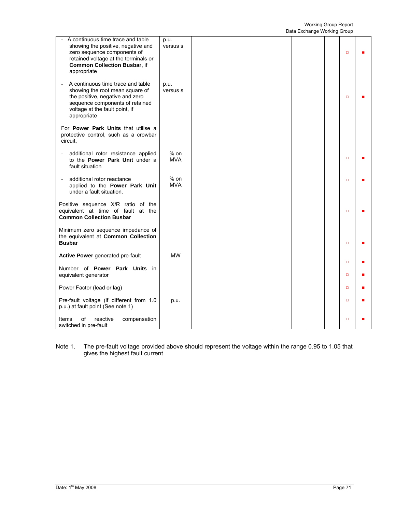|                                                                                                                                                                                                      |                      |  |  |  | Data Exchange working Group |        |  |
|------------------------------------------------------------------------------------------------------------------------------------------------------------------------------------------------------|----------------------|--|--|--|-----------------------------|--------|--|
| A continuous time trace and table<br>showing the positive, negative and<br>zero sequence components of<br>retained voltage at the terminals or<br><b>Common Collection Busbar, if</b><br>appropriate | p.u.<br>versus s     |  |  |  |                             | $\Box$ |  |
| A continuous time trace and table<br>÷,<br>showing the root mean square of<br>the positive, negative and zero<br>sequence components of retained<br>voltage at the fault point, if<br>appropriate    | p.u.<br>versus s     |  |  |  |                             | $\Box$ |  |
| For <b>Power Park Units</b> that utilise a<br>protective control, such as a crowbar<br>circuit.                                                                                                      |                      |  |  |  |                             |        |  |
| additional rotor resistance applied<br>to the Power Park Unit under a<br>fault situation                                                                                                             | $%$ on<br><b>MVA</b> |  |  |  |                             | $\Box$ |  |
| additional rotor reactance<br>÷,<br>applied to the Power Park Unit<br>under a fault situation.                                                                                                       | $%$ on<br><b>MVA</b> |  |  |  |                             | $\Box$ |  |
| Positive sequence X/R ratio of the<br>equivalent at time of fault at the<br><b>Common Collection Busbar</b>                                                                                          |                      |  |  |  |                             | $\Box$ |  |
| Minimum zero sequence impedance of<br>the equivalent at Common Collection<br><b>Busbar</b>                                                                                                           |                      |  |  |  |                             | $\Box$ |  |
| <b>Active Power generated pre-fault</b>                                                                                                                                                              | <b>MW</b>            |  |  |  |                             | $\Box$ |  |
| Number of Power Park Units in<br>equivalent generator                                                                                                                                                |                      |  |  |  |                             | $\Box$ |  |
| Power Factor (lead or lag)                                                                                                                                                                           |                      |  |  |  |                             | $\Box$ |  |
| Pre-fault voltage (if different from 1.0<br>p.u.) at fault point (See note 1)                                                                                                                        | p.u.                 |  |  |  |                             | $\Box$ |  |
| Items<br>οf<br>reactive<br>compensation<br>switched in pre-fault                                                                                                                                     |                      |  |  |  |                             | $\Box$ |  |

Note 1. The pre-fault voltage provided above should represent the voltage within the range 0.95 to 1.05 that gives the highest fault current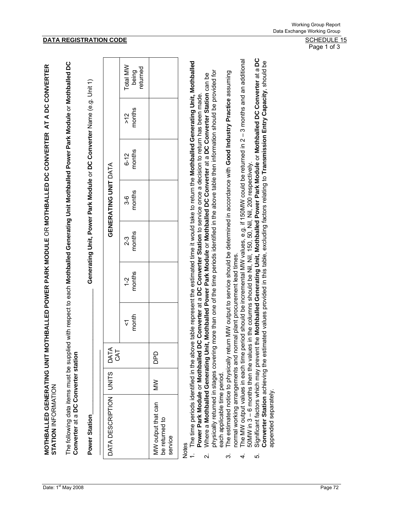The following data items must be supplied with respect to each **Mothballed Generating Unit Mothballed Power Park Module** or **Mothballed DC**  The following data items must be supplied with respect to each Mothballed Generating Unit Mothballed Power Park Module or Mothballed DC **Converter** at a **DC Converter station**  Converter at a DC Converter station

\_\_\_\_\_\_\_\_\_\_\_\_\_\_\_\_\_\_\_\_\_\_\_\_\_\_\_\_\_\_\_\_\_\_\_\_\_ **Generating Unit, Power Park Module** or **DC Converter** Name (e.g. Unit 1) Generating Unit, Power Park Module or DC Converter Name (e.g. Unit 1)

|                                    | Total MW<br>being<br>returned |                                                 |
|------------------------------------|-------------------------------|-------------------------------------------------|
|                                    | $>12$<br>months               |                                                 |
|                                    | $6-12$<br>months              |                                                 |
| GENERATING UNIT DATA               | 3-6<br>nonths                 |                                                 |
|                                    | $2-3$<br>nonths               |                                                 |
|                                    | $1-2$<br>months               |                                                 |
|                                    | $rac{1}{\sqrt{2}}$            |                                                 |
|                                    |                               | <b>DPD</b>                                      |
|                                    |                               | $\mathsf{M}\mathsf{M}$                          |
| DATA DESCRIPTION UNITS DATA<br>CAT |                               | MW output that can<br>be returned to<br>service |

Notes

- 1. The time periods identified in the above table represent the estimated time it would take to return the **Mothballed Generating Unit, Mothballed**  The time periods identified in the above table represent the estimated time it would take to return the Mothballed Generating Unit, Mothballed 2. Where a **Mothballed Generating Unit, Mothballed Power Park Module** or **Mothballed DC Converter** at a **DC Converter Station** can be ഉ Where a Mothballed Generating Unit, Mothballed Power Park Module or Mothballed DC Converter at a DC Converter Station can **Power Park Module** or **Mothballed DC Converter** at a **DC Converter Station** to service once a decision to return has been made. Power Park Module or Mothballed DC Converter at a DC Converter Station to service once a decision to return has been made.  $\overline{a}$  $\overline{\mathbf{v}}$ 
	- physically returned in stages covering more than one of the time periods identified in the above table then information should be provided for physically returned in stages covering more than one of the time periods identified in the above table then information should be provided for each applicable time period. each applicable time period.
- 3. The estimated notice to physically return MW output to service should be determined in accordance with **Good Industry Practice** assuming The estimated notice to physically return MW output to service should be determined in accordance with Good Industry Practice assuming normal working arrangements and normal plant procurement lead times. normal working arrangements and normal plant procurement lead times. က
- The MW output values in each time period should be incremental MW values, e.g. if 150MW could be returned in 2-3 months and an additional 4. The MW output values in each time period should be incremental MW values, e.g. if 150MW could be returned in 2 – 3 months and an additional 50MW in 3 – 6 months then the values in the columns should be Nil, Nil, 150, 50, Nil, Nil, 200 respectively. 50MW in 3 – 6 months then the values in the columns should be Nil, Nil, 150, 50, Nil, Nil, 200 respectively.  $\overline{4}$
- Significant factors which may prevent the Mothballed Generating Unit, Mothballed Power Park Module or Mothballed DC Converter at a DC<br>Converter Station achieving the estimated values provided in this table, excluding facto 5. Significant factors which may prevent the **Mothballed Generating Unit, Mothballed Power Park Module** or **Mothballed DC Converter** at a **DC Converter Station** achieving the estimated values provided in this table, excluding factors relating to **Transmission Entry Capacity**, should be appended separately. appended separately. ယ

Page 1 of 3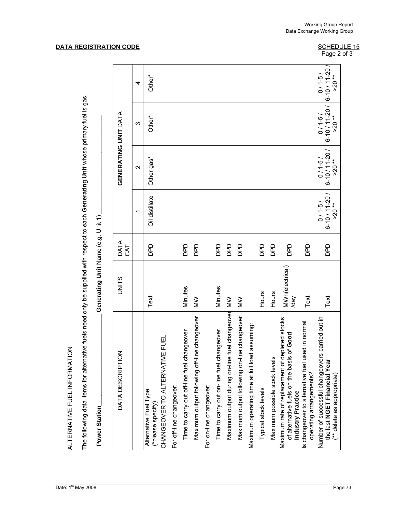ALTERNATIVE FUEL INFORMATION ALTERNATIVE FUEL INFORMATION

The following data items for alternative fuels need only be supplied with respect to each **Generating Unit** whose primary fuel is gas. The following data items for alternative fuels need only be supplied with respect to each Generating Unit whose primary fuel is gas.

| .<br>.<br>. |
|-------------|
| Í           |

| DATA DESCRIPTION                                                                                                    | <b>UNITS</b>            | DATA<br>CAT |                                         | GENERATING UNIT DATA               |                                                                                       |               |
|---------------------------------------------------------------------------------------------------------------------|-------------------------|-------------|-----------------------------------------|------------------------------------|---------------------------------------------------------------------------------------|---------------|
|                                                                                                                     |                         |             |                                         | $\mathbf{\Omega}$                  | ω                                                                                     | 4             |
| Alternative Fuel Type<br>(*please specify)                                                                          | Text                    | DPD         | Oil distillate                          | Other gas*                         | Other*                                                                                | Other*        |
| CHANGEOVER TO ALTERNATIVE FUEI                                                                                      |                         |             |                                         |                                    |                                                                                       |               |
| For off-line changeover:                                                                                            |                         |             |                                         |                                    |                                                                                       |               |
| Time to carry out off-line fuel changeover                                                                          | Minutes                 | DPD         |                                         |                                    |                                                                                       |               |
| le changeover<br>Maximum output following off-lin                                                                   | $\geq$                  | DPD         |                                         |                                    |                                                                                       |               |
| For on-line changeover:                                                                                             |                         |             |                                         |                                    |                                                                                       |               |
| Time to carry out on-line fuel changeover                                                                           | Minutes                 | <b>DPD</b>  |                                         |                                    |                                                                                       |               |
| Maximum output during on-line fuel changeover                                                                       | MW                      | DPD         |                                         |                                    |                                                                                       |               |
| le changeover<br>Maximum output following on-lin                                                                    | $\geq$                  | DPD         |                                         |                                    |                                                                                       |               |
| Maximum operating time at full load assuming:                                                                       |                         |             |                                         |                                    |                                                                                       |               |
| Typical stock levels                                                                                                | Hours                   | DPD         |                                         |                                    |                                                                                       |               |
| Maximum possible stock levels                                                                                       | Hours                   | <b>QdQ</b>  |                                         |                                    |                                                                                       |               |
| Maximum rate of replacement of depleted stocks<br>of Good<br>of alternative fuels on the basis<br>Industry Practice | MWh(electrical)<br>Vep/ | DPD         |                                         |                                    |                                                                                       |               |
| Is changeover to alternative fuel used in normal<br>operating arrangements?                                         | Text                    | DPD         |                                         |                                    |                                                                                       |               |
| carried out in<br>Number of successful changeovers<br>the last NGET Financial Year<br>(** delete as appropriate     | Text                    | DPD         | $6-10/11-20/$<br>$(5 - 1)$ 0<br>$>20**$ | $0/1-5/$<br>6-10/11-20/<br>$>20**$ | $\begin{array}{c c} 0/1.5/ & 0/1.5/ \\ 6.10/11.20/6.10/11.20/ \end{array}$<br>$>20**$ | $\approx$ 20* |

#### **DATA REGISTRATION CODE**

Working Group Report Data Exchange Working Group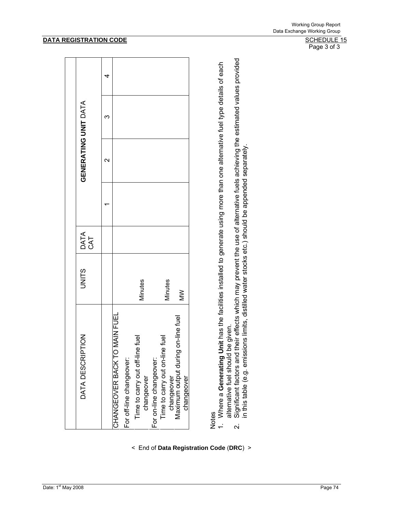# Notes

< End of **Data Registration Code** (**DRC**) >

1. Where a Generating Unit has the facilities installed to generate using more than one alternative fuel type details of each 1. Where a **Generating Unit** has the facilities installed to generate using more than one alternative fuel type details of each alternative fuel should be given. alternative fuel should be given.

Significant factors and their effects which may prevent the use of alternative fuels achieving the estimated values provided<br>in this table (e.g. emissions limits, distilled water stocks etc.) should be appended separately. 2. Significant factors and their effects which may prevent the use of alternative fuels achieving the estimated values provided in this table (e.g. emissions limits, distilled water stocks etc.) should be appended separately.  $\overline{\mathsf{N}}$ 

#### **DATA REGISTRATION CODE** SCHEDULE 15

Page 3 of 3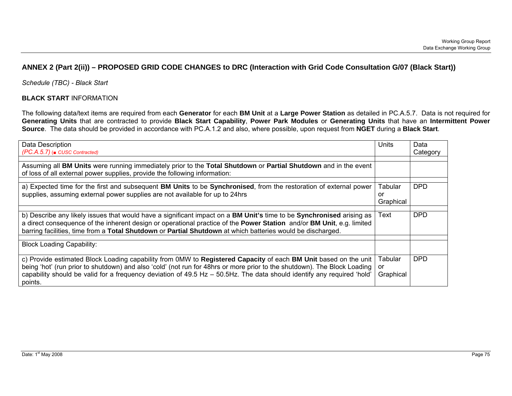# **ANNEX 2 (Part 2(ii)) – PROPOSED GRID CODE CHANGES to DRC (Interaction with Grid Code Consultation G/07 (Black Start))**

*Schedule (TBC) - Black Start* 

### **BLACK START** INFORMATION

The following data/text items are required from each **Generator** for each **BM Unit** at a **Large Power Station** as detailed in PC.A.5.7. Data is not required for **Generating Units** that are contracted to provide **Black Start Capability**, **Power Park Modules** or **Generating Units** that have an **Intermittent Power Source**. The data should be provided in accordance with PC.A.1.2 and also, where possible, upon request from **NGET** during a **Black Start**.

| Data Description<br>(PC.A.5.7) ( $\blacksquare$ CUSC Contracted)                                                                                                                                                                                                                                                                                                                 | Units                      | Data<br>Category |
|----------------------------------------------------------------------------------------------------------------------------------------------------------------------------------------------------------------------------------------------------------------------------------------------------------------------------------------------------------------------------------|----------------------------|------------------|
| Assuming all BM Units were running immediately prior to the Total Shutdown or Partial Shutdown and in the event                                                                                                                                                                                                                                                                  |                            |                  |
| of loss of all external power supplies, provide the following information:                                                                                                                                                                                                                                                                                                       |                            |                  |
| a) Expected time for the first and subsequent BM Units to be Synchronised, from the restoration of external power<br>supplies, assuming external power supplies are not available for up to 24hrs                                                                                                                                                                                | Tabular<br>or<br>Graphical | <b>DPD</b>       |
| b) Describe any likely issues that would have a significant impact on a BM Unit's time to be Synchronised arising as<br>a direct consequence of the inherent design or operational practice of the Power Station and/or BM Unit, e.g. limited<br>barring facilities, time from a Total Shutdown or Partial Shutdown at which batteries would be discharged.                      | Text                       | <b>DPD</b>       |
| <b>Block Loading Capability:</b>                                                                                                                                                                                                                                                                                                                                                 |                            |                  |
| c) Provide estimated Block Loading capability from 0MW to Registered Capacity of each BM Unit based on the unit<br>being 'hot' (run prior to shutdown) and also 'cold' (not run for 48hrs or more prior to the shutdown). The Block Loading<br>capability should be valid for a frequency deviation of 49.5 Hz - 50.5Hz. The data should identify any required 'hold'<br>points. | Tabular<br>or<br>Graphical | <b>DPD</b>       |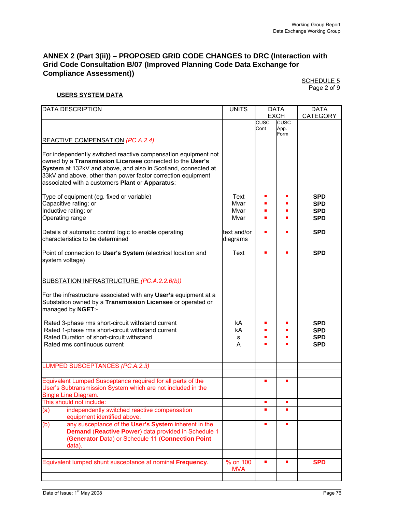# **ANNEX 2 (Part 3(ii)) – PROPOSED GRID CODE CHANGES to DRC (Interaction with Grid Code Consultation B/07 (Improved Planning Code Data Exchange for Compliance Assessment))**

SCHEDULE 5 Page 2 of 9

#### **USERS SYSTEM DATA**

|                 | <b>DATA DESCRIPTION</b>                                                                                                        | <b>UNITS</b> |                     | <b>DATA</b>    | <b>DATA</b>     |
|-----------------|--------------------------------------------------------------------------------------------------------------------------------|--------------|---------------------|----------------|-----------------|
|                 |                                                                                                                                |              |                     | <b>EXCH</b>    | <b>CATEGORY</b> |
|                 |                                                                                                                                |              | <b>CUSC</b><br>Cont | CUSC<br>App.   |                 |
|                 |                                                                                                                                |              |                     | Form           |                 |
|                 | REACTIVE COMPENSATION (PC.A.2.4)                                                                                               |              |                     |                |                 |
|                 |                                                                                                                                |              |                     |                |                 |
|                 | For independently switched reactive compensation equipment not                                                                 |              |                     |                |                 |
|                 | owned by a Transmission Licensee connected to the User's                                                                       |              |                     |                |                 |
|                 | System at 132kV and above, and also in Scotland, connected at                                                                  |              |                     |                |                 |
|                 | 33kV and above, other than power factor correction equipment                                                                   |              |                     |                |                 |
|                 | associated with a customers Plant or Apparatus:                                                                                |              |                     |                |                 |
|                 |                                                                                                                                |              |                     |                |                 |
|                 | Type of equipment (eg. fixed or variable)                                                                                      | Text         |                     |                | <b>SPD</b>      |
|                 | Capacitive rating; or                                                                                                          | Mvar         |                     |                | <b>SPD</b>      |
|                 | Inductive rating; or                                                                                                           | Mvar         |                     |                | <b>SPD</b>      |
|                 | Operating range                                                                                                                | Mvar         |                     |                | <b>SPD</b>      |
|                 |                                                                                                                                |              |                     |                |                 |
|                 | Details of automatic control logic to enable operating                                                                         | text and/or  |                     |                | <b>SPD</b>      |
|                 | characteristics to be determined                                                                                               | diagrams     |                     |                |                 |
|                 |                                                                                                                                |              |                     |                |                 |
|                 | Point of connection to User's System (electrical location and                                                                  | Text         |                     |                | <b>SPD</b>      |
| system voltage) |                                                                                                                                |              |                     |                |                 |
|                 |                                                                                                                                |              |                     |                |                 |
|                 |                                                                                                                                |              |                     |                |                 |
|                 | SUBSTATION INFRASTRUCTURE (PC.A.2.2.6(b))                                                                                      |              |                     |                |                 |
|                 |                                                                                                                                |              |                     |                |                 |
|                 | For the infrastructure associated with any User's equipment at a<br>Substation owned by a Transmission Licensee or operated or |              |                     |                |                 |
|                 |                                                                                                                                |              |                     |                |                 |
|                 | managed by NGET:-                                                                                                              |              |                     |                |                 |
|                 | Rated 3-phase rms short-circuit withstand current                                                                              | kA           |                     |                | <b>SPD</b>      |
|                 | Rated 1-phase rms short-circuit withstand current                                                                              | kA           |                     |                | <b>SPD</b>      |
|                 | Rated Duration of short-circuit withstand                                                                                      | s            |                     |                | <b>SPD</b>      |
|                 | Rated rms continuous current                                                                                                   | A            |                     |                | <b>SPD</b>      |
|                 |                                                                                                                                |              |                     |                |                 |
|                 |                                                                                                                                |              |                     |                |                 |
|                 | <b>LUMPED SUSCEPTANCES (PC.A.2.3)</b>                                                                                          |              |                     |                |                 |
|                 |                                                                                                                                |              |                     |                |                 |
|                 | Equivalent Lumped Susceptance required for all parts of the                                                                    |              |                     |                |                 |
|                 | User's Subtransmission System which are not included in the                                                                    |              |                     |                |                 |
|                 | Single Line Diagram.                                                                                                           |              |                     |                |                 |
|                 | This should not include:                                                                                                       |              | $\blacksquare$      | $\blacksquare$ |                 |
| (a)             | independently switched reactive compensation                                                                                   |              |                     |                |                 |
|                 | equipment identified above.                                                                                                    |              |                     |                |                 |
| (b)             | any susceptance of the User's System inherent in the                                                                           |              |                     |                |                 |
|                 | Demand (Reactive Power) data provided in Schedule 1                                                                            |              |                     |                |                 |
|                 | (Generator Data) or Schedule 11 (Connection Point                                                                              |              |                     |                |                 |
|                 | data).                                                                                                                         |              |                     |                |                 |
|                 |                                                                                                                                |              |                     |                |                 |
|                 | Equivalent lumped shunt susceptance at nominal Frequency.                                                                      | % on 100     |                     |                | <b>SPD</b>      |
|                 |                                                                                                                                | <b>MVA</b>   |                     |                |                 |
|                 |                                                                                                                                |              |                     |                |                 |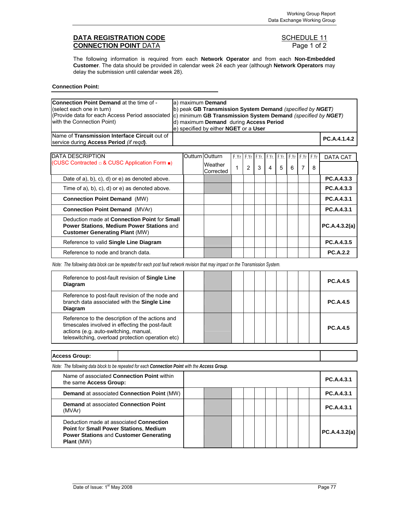# **DATA REGISTRATION CODE CONVECTION POINT** DATA **CONVECTION POINT** DATA **CONNECTION POINT DATA**

The following information is required from each **Network Operator** and from each **Non-Embedded Customer**. The data should be provided in calendar week 24 each year (although **Network Operators** may delay the submission until calendar week 28).

| <b>Connection Point:</b> |  |
|--------------------------|--|
|--------------------------|--|

| <b>Connection Point Demand at the time of -</b><br>(select each one in turn)                                                       | a) maximum Demand<br>b) peak GB Transmission System Demand (specified by NGET)<br>c) minimum GB Transmission System Demand (specified by NGET) |  |                                        |   |                                                          |   |                |   |   |   |   |                 |
|------------------------------------------------------------------------------------------------------------------------------------|------------------------------------------------------------------------------------------------------------------------------------------------|--|----------------------------------------|---|----------------------------------------------------------|---|----------------|---|---|---|---|-----------------|
| (Provide data for each Access Period associated<br>with the Connection Point)                                                      |                                                                                                                                                |  | d) maximum Demand during Access Period |   |                                                          |   |                |   |   |   |   |                 |
|                                                                                                                                    |                                                                                                                                                |  | e) specified by either NGET or a User  |   |                                                          |   |                |   |   |   |   |                 |
| Name of Transmission Interface Circuit out of                                                                                      |                                                                                                                                                |  |                                        |   |                                                          |   |                |   |   |   |   | PC.A.4.1.4.2    |
| service during <b>Access Period</b> (if regd).                                                                                     |                                                                                                                                                |  |                                        |   |                                                          |   |                |   |   |   |   |                 |
|                                                                                                                                    |                                                                                                                                                |  |                                        |   |                                                          |   |                |   |   |   |   |                 |
| <b>DATA DESCRIPTION</b>                                                                                                            |                                                                                                                                                |  | Outturn Outturn                        |   | F.Yr   F.Yr   F.Yr.   F.Yr.   F.Yr.   F.Yr   F.Yr   F.Yr |   |                |   |   |   |   | DATA CAT        |
| (CUSC Contracted □ & CUSC Application Form ■)                                                                                      |                                                                                                                                                |  | Weather<br>Corrected                   | 1 | 2                                                        | 3 | $\overline{4}$ | 5 | 6 | 7 | 8 |                 |
| Date of $a$ , $b$ , $c$ , $d$ or $e$ ) as denoted above.                                                                           |                                                                                                                                                |  |                                        |   |                                                          |   |                |   |   |   |   | PC.A.4.3.3      |
| Time of a), b), c), d) or e) as denoted above.                                                                                     |                                                                                                                                                |  |                                        |   |                                                          |   |                |   |   |   |   | PC.A.4.3.3      |
| <b>Connection Point Demand (MW)</b>                                                                                                |                                                                                                                                                |  |                                        |   |                                                          |   |                |   |   |   |   | PC.A.4.3.1      |
| <b>Connection Point Demand (MVAr)</b>                                                                                              |                                                                                                                                                |  |                                        |   |                                                          |   |                |   |   |   |   | PC.A.4.3.1      |
| Deduction made at Connection Point for Small<br>Power Stations, Medium Power Stations and<br><b>Customer Generating Plant (MW)</b> |                                                                                                                                                |  |                                        |   |                                                          |   |                |   |   |   |   | PC.A.4.3.2(a)   |
| Reference to valid Single Line Diagram                                                                                             |                                                                                                                                                |  |                                        |   |                                                          |   |                |   |   |   |   | PC.A.4.3.5      |
| Reference to node and branch data.                                                                                                 |                                                                                                                                                |  |                                        |   |                                                          |   |                |   |   |   |   | <b>PC.A.2.2</b> |

*Note: The following data block can be repeated for each post fault network revision that may impact on the Transmission System.* 

| Reference to post-fault revision of Single Line<br><b>Diagram</b>                                                                                                                                |  |  |  |  |  | <b>PC.A.4.5</b> |
|--------------------------------------------------------------------------------------------------------------------------------------------------------------------------------------------------|--|--|--|--|--|-----------------|
| Reference to post-fault revision of the node and<br>branch data associated with the Single Line<br>Diagram                                                                                       |  |  |  |  |  | <b>PC.A.4.5</b> |
| Reference to the description of the actions and<br>timescales involved in effecting the post-fault<br>actions (e.g. auto-switching, manual,<br>teleswitching, overload protection operation etc) |  |  |  |  |  | <b>PC.A.4.5</b> |

| <b>Access Group:</b>                                                                            |  |  |  |  |  |            |
|-------------------------------------------------------------------------------------------------|--|--|--|--|--|------------|
| Note: The following data block to be repeated for each Connection Point with the Access Group.  |  |  |  |  |  |            |
| Name of associated Connection Point within<br>the same Access Group:                            |  |  |  |  |  | PC.A.4.3.1 |
| <b>Demand at associated Connection Point (MW)</b>                                               |  |  |  |  |  | PC.A.4.3.1 |
| <b>Demand at associated Connection Point</b><br>(MVAr)                                          |  |  |  |  |  | PC.A.4.3.1 |
| Deduction made at associated <b>Connection</b><br><b>Point for Small Power Stations. Medium</b> |  |  |  |  |  |            |

**Plant** (MW)

**Power Stations** and **Customer Generating** 

**PC.A.4.3.2(a)**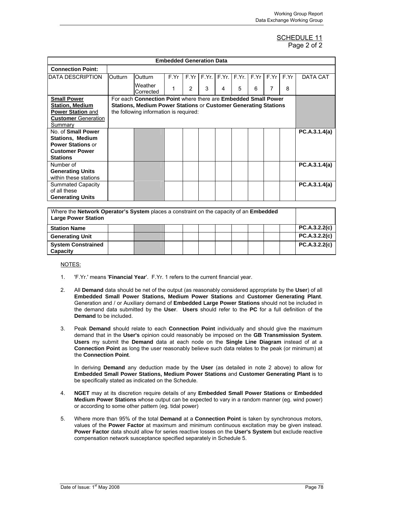#### SCHEDULE 11 Page 2 of 2

|                            |                                                                        |                                                                | <b>Embedded Generation Data</b> |   |   |   |                                          |   |      |      |               |
|----------------------------|------------------------------------------------------------------------|----------------------------------------------------------------|---------------------------------|---|---|---|------------------------------------------|---|------|------|---------------|
| <b>Connection Point:</b>   |                                                                        |                                                                |                                 |   |   |   |                                          |   |      |      |               |
| DATA DESCRIPTION           | Outturn                                                                | <b>Outturn</b>                                                 | F.Yr                            |   |   |   | $F.Yr$ $F.Yr$ , $F.Yr$ , $F.Yr$ , $F.Yr$ |   | F.Yr | F.Yr | DATA CAT      |
|                            |                                                                        | Weather<br>Corrected                                           |                                 | 2 | 3 | 4 | 5                                        | 6 | 7    | 8    |               |
| <b>Small Power</b>         |                                                                        | For each Connection Point where there are Embedded Small Power |                                 |   |   |   |                                          |   |      |      |               |
| <b>Station, Medium</b>     | <b>Stations, Medium Power Stations or Customer Generating Stations</b> |                                                                |                                 |   |   |   |                                          |   |      |      |               |
| <b>Power Station and</b>   |                                                                        | the following information is required:                         |                                 |   |   |   |                                          |   |      |      |               |
| <b>Customer</b> Generation |                                                                        |                                                                |                                 |   |   |   |                                          |   |      |      |               |
| Summary                    |                                                                        |                                                                |                                 |   |   |   |                                          |   |      |      |               |
| No. of Small Power         |                                                                        |                                                                |                                 |   |   |   |                                          |   |      |      | PC.A.3.1.4(a) |
| <b>Stations, Medium</b>    |                                                                        |                                                                |                                 |   |   |   |                                          |   |      |      |               |
| <b>Power Stations or</b>   |                                                                        |                                                                |                                 |   |   |   |                                          |   |      |      |               |
| <b>Customer Power</b>      |                                                                        |                                                                |                                 |   |   |   |                                          |   |      |      |               |
| <b>Stations</b>            |                                                                        |                                                                |                                 |   |   |   |                                          |   |      |      |               |
| Number of                  |                                                                        |                                                                |                                 |   |   |   |                                          |   |      |      | PC.A.3.1.4(a) |
| <b>Generating Units</b>    |                                                                        |                                                                |                                 |   |   |   |                                          |   |      |      |               |
| within these stations      |                                                                        |                                                                |                                 |   |   |   |                                          |   |      |      |               |
| <b>Summated Capacity</b>   |                                                                        |                                                                |                                 |   |   |   |                                          |   |      |      | PC.A.3.1.4(a) |
| of all these               |                                                                        |                                                                |                                 |   |   |   |                                          |   |      |      |               |
| <b>Generating Units</b>    |                                                                        |                                                                |                                 |   |   |   |                                          |   |      |      |               |

| Where the <b>Network Operator's System</b> places a constraint on the capacity of an <b>Embedded</b><br><b>Large Power Station</b> |  |  |  |  |  |  |  |  |  |               |
|------------------------------------------------------------------------------------------------------------------------------------|--|--|--|--|--|--|--|--|--|---------------|
| <b>Station Name</b>                                                                                                                |  |  |  |  |  |  |  |  |  | PC.A.3.2.2(c) |
| <b>Generating Unit</b>                                                                                                             |  |  |  |  |  |  |  |  |  | PC.A.3.2.2(c) |
| <b>System Constrained</b><br><b>Capacity</b>                                                                                       |  |  |  |  |  |  |  |  |  | PC.A.3.2.2(c) |

#### NOTES:

- 1. 'F.Yr.' means '**Financial Year**'. F.Yr. 1 refers to the current financial year.
- 2. All **Demand** data should be net of the output (as reasonably considered appropriate by the **User**) of all **Embedded Small Power Stations, Medium Power Stations** and **Customer Generating Plant**. Generation and / or Auxiliary demand of **Embedded Large Power Stations** should not be included in the demand data submitted by the **User**. **Users** should refer to the **PC** for a full definition of the **Demand** to be included.
- 3. Peak **Demand** should relate to each **Connection Point** individually and should give the maximum demand that in the **User's** opinion could reasonably be imposed on the **GB Transmission System**. **Users** my submit the **Demand** data at each node on the **Single Line Diagram** instead of at a **Connection Point** as long the user reasonably believe such data relates to the peak (or minimum) at the **Connection Point**.

In deriving **Demand** any deduction made by the **User** (as detailed in note 2 above) to allow for **Embedded Small Power Stations, Medium Power Stations** and **Customer Generating Plant** is to be specifically stated as indicated on the Schedule.

- 4. **NGET** may at its discretion require details of any **Embedded Small Power Stations** or **Embedded Medium Power Stations** whose output can be expected to vary in a random manner (eg. wind power) or according to some other pattern (eg. tidal power)
- 5. Where more than 95% of the total **Demand** at a **Connection Point** is taken by synchronous motors, values of the **Power Factor** at maximum and minimum continuous excitation may be given instead. **Power Factor** data should allow for series reactive losses on the **User's System** but exclude reactive compensation network susceptance specified separately in Schedule 5.